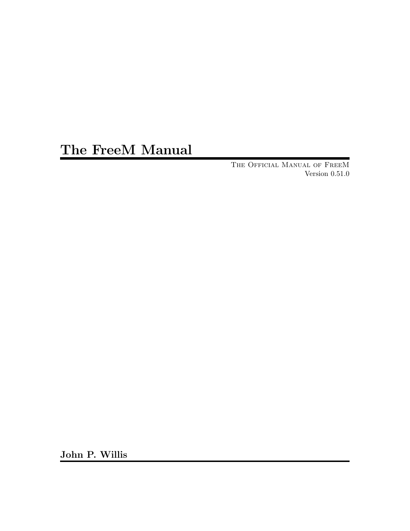# The FreeM Manual

The Official Manual of FreeM Version 0.51.0

John P. Willis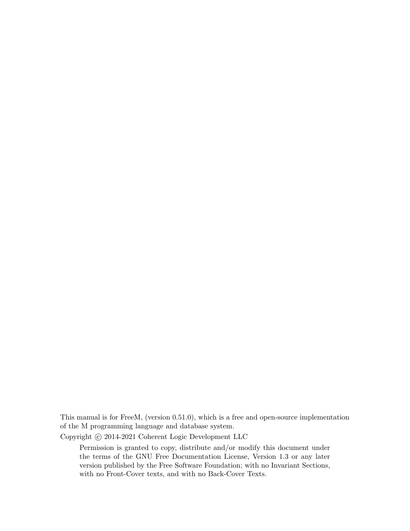This manual is for FreeM, (version 0.51.0), which is a free and open-source implementation of the M programming language and database system.

Copyright © 2014-2021 Coherent Logic Development LLC

Permission is granted to copy, distribute and/or modify this document under the terms of the GNU Free Documentation License, Version 1.3 or any later version published by the Free Software Foundation; with no Invariant Sections, with no Front-Cover texts, and with no Back-Cover Texts.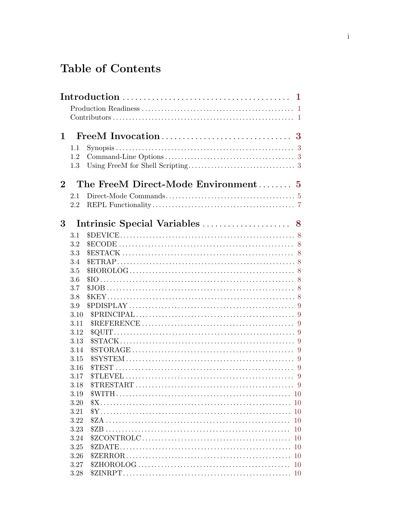# Table of Contents

|          | 1            |                                                              |
|----------|--------------|--------------------------------------------------------------|
|          |              | $\overline{1}$<br>$\overline{1}$                             |
| 1        |              | FreeM Invocation<br>3                                        |
|          | 1.1          |                                                              |
|          | 1.2          |                                                              |
|          | 1.3          |                                                              |
| $\bf{2}$ |              | The FreeM Direct-Mode Environment<br>$\overline{\mathbf{5}}$ |
|          | 2.1          |                                                              |
|          | 2.2          |                                                              |
|          |              |                                                              |
| 3        |              | Intrinsic Special Variables<br>8                             |
|          | 3.1          |                                                              |
|          | 3.2          |                                                              |
|          | 3.3          | 8                                                            |
|          | 3.4          |                                                              |
|          | 3.5          |                                                              |
|          | 3.6          | - 8                                                          |
|          | 3.7          |                                                              |
|          | 3.8          |                                                              |
|          | 3.9          | 9                                                            |
|          | 3.10         |                                                              |
|          | 3.11         | 9                                                            |
|          | 3.12         |                                                              |
|          | 3.13         | -9                                                           |
|          | 3.14         | 9                                                            |
|          | 3.15         | \$TEST                                                       |
|          | 3.16<br>3.17 | 9<br>STLEVEL<br>9                                            |
|          | 3.18         |                                                              |
|          | 3.19         |                                                              |
|          | 3.20         |                                                              |
|          | 3.21         |                                                              |
|          | 3.22         | <sup>10</sup>                                                |
|          | 3.23         | <b>10</b>                                                    |
|          | 3.24         |                                                              |
|          | 3.25         |                                                              |
|          | 3.26         |                                                              |
|          | 3.27         |                                                              |
|          | 3.28         |                                                              |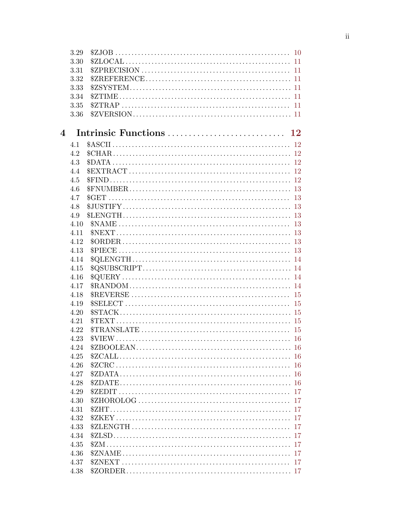|                | 3.29 |    |
|----------------|------|----|
|                | 3.30 |    |
|                | 3.31 |    |
|                | 3.32 |    |
|                | 3.33 |    |
|                | 3.34 |    |
|                | 3.35 |    |
|                | 3.36 |    |
|                |      |    |
| $\overline{4}$ |      |    |
|                | 4.1  |    |
|                | 4.2  |    |
|                | 4.3  |    |
|                | 4.4  |    |
|                | 4.5  |    |
|                | 4.6  |    |
|                | 4.7  |    |
|                | 4.8  |    |
|                | 4.9  |    |
|                | 4.10 |    |
|                | 4.11 |    |
|                | 4.12 |    |
|                | 4.13 |    |
|                | 4.14 |    |
|                | 4.15 |    |
|                | 4.16 |    |
|                | 4.17 |    |
|                | 4.18 |    |
|                | 4.19 |    |
|                | 4.20 |    |
|                | 4.21 |    |
|                | 4.22 |    |
|                | 4.23 |    |
|                | 4.24 |    |
|                | 4.25 |    |
|                | 4.26 |    |
|                | 4.27 |    |
|                | 4.28 |    |
|                | 4.29 |    |
|                | 4.30 |    |
|                | 4.31 |    |
|                | 4.32 | 17 |
|                | 4.33 | 17 |
|                | 4.34 |    |
|                | 4.35 |    |
|                | 4.36 |    |
|                | 4.37 |    |
|                | 4.38 |    |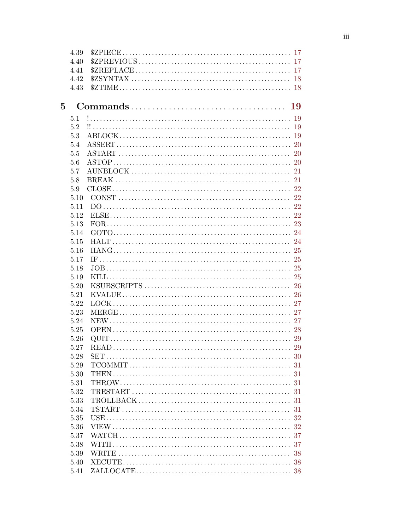|                | 4.39 |  |
|----------------|------|--|
|                | 4.40 |  |
|                | 4.41 |  |
|                | 4.42 |  |
|                | 4.43 |  |
|                |      |  |
| $\overline{5}$ |      |  |
|                | 5.1  |  |
|                | 5.2  |  |
|                | 5.3  |  |
|                | 5.4  |  |
|                | 5.5  |  |
|                | 5.6  |  |
|                | 5.7  |  |
|                | 5.8  |  |
|                | 5.9  |  |
|                | 5.10 |  |
|                | 5.11 |  |
|                | 5.12 |  |
|                | 5.13 |  |
|                | 5.14 |  |
|                | 5.15 |  |
|                | 5.16 |  |
|                | 5.17 |  |
|                | 5.18 |  |
|                | 5.19 |  |
|                | 5.20 |  |
|                | 5.21 |  |
|                | 5.22 |  |
|                | 5.23 |  |
|                | 5.24 |  |
|                | 5.25 |  |
|                | 5.26 |  |
|                | 5.27 |  |
|                | 5.28 |  |
|                | 5.29 |  |
|                | 5.30 |  |
|                | 5.31 |  |
|                | 5.32 |  |
|                | 5.33 |  |
|                | 5.34 |  |
|                | 5.35 |  |
|                | 5.36 |  |
|                | 5.37 |  |
|                | 5.38 |  |
|                | 5.39 |  |
|                |      |  |
|                | 5.40 |  |
|                |      |  |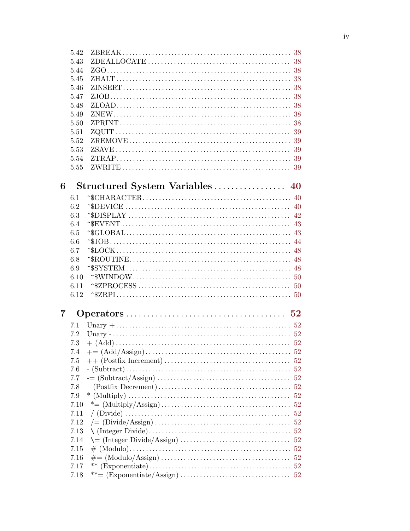|                | 5.42 |                                                                                                                                    |     |
|----------------|------|------------------------------------------------------------------------------------------------------------------------------------|-----|
|                | 5.43 |                                                                                                                                    |     |
|                | 5.44 |                                                                                                                                    |     |
|                | 5.45 |                                                                                                                                    |     |
|                | 5.46 |                                                                                                                                    |     |
|                | 5.47 |                                                                                                                                    |     |
|                | 5.48 |                                                                                                                                    |     |
|                | 5.49 |                                                                                                                                    |     |
|                | 5.50 |                                                                                                                                    |     |
|                | 5.51 |                                                                                                                                    |     |
|                | 5.52 |                                                                                                                                    |     |
|                | 5.53 |                                                                                                                                    |     |
|                | 5.54 |                                                                                                                                    |     |
|                | 5.55 |                                                                                                                                    |     |
| 6              |      | Structured System Variables  40                                                                                                    |     |
|                | 6.1  |                                                                                                                                    |     |
|                | 6.2  |                                                                                                                                    |     |
|                | 6.3  |                                                                                                                                    |     |
|                | 6.4  |                                                                                                                                    |     |
|                | 6.5  |                                                                                                                                    |     |
|                | 6.6  |                                                                                                                                    |     |
|                | 6.7  |                                                                                                                                    |     |
|                | 6.8  |                                                                                                                                    |     |
|                | 6.9  |                                                                                                                                    |     |
|                | 6.10 |                                                                                                                                    |     |
|                | 6.11 |                                                                                                                                    |     |
|                | 6.12 |                                                                                                                                    |     |
| $\overline{7}$ |      |                                                                                                                                    |     |
|                |      |                                                                                                                                    |     |
|                | 7.1  |                                                                                                                                    |     |
|                | 7.2  |                                                                                                                                    |     |
|                | 7.3  | $+ (Add) \dots 52$                                                                                                                 |     |
|                |      |                                                                                                                                    |     |
|                | 7.5  |                                                                                                                                    |     |
|                | 7.6  |                                                                                                                                    |     |
|                | 7.7  |                                                                                                                                    |     |
|                | 7.8  |                                                                                                                                    |     |
|                | 7.9  | $*(\text{Multiply}) \dots \dots \dots \dots \dots \dots \dots \dots \dots \dots \dots \dots \dots$                                 | -52 |
|                | 7.10 |                                                                                                                                    |     |
|                | 7.11 |                                                                                                                                    | 52  |
|                | 7.12 | $\mathcal{L} = \left( \text{Divide}/\text{Assign} \right) \dots \dots \dots \dots \dots \dots \dots \dots \dots \dots \dots \dots$ | 52  |
|                | 7.13 |                                                                                                                                    |     |
|                | 7.14 |                                                                                                                                    |     |
|                | 7.15 |                                                                                                                                    |     |
|                | 7.16 |                                                                                                                                    |     |
|                | 7.17 |                                                                                                                                    |     |
|                | 7.18 |                                                                                                                                    |     |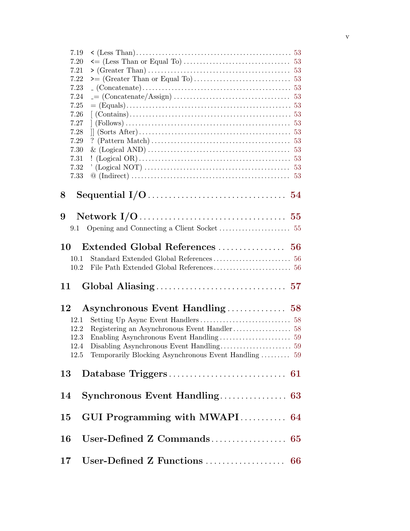| 7.19 |                                                      |
|------|------------------------------------------------------|
| 7.20 |                                                      |
| 7.21 |                                                      |
| 7.22 |                                                      |
| 7.23 |                                                      |
| 7.24 |                                                      |
| 7.25 |                                                      |
|      |                                                      |
| 7.26 |                                                      |
| 7.27 |                                                      |
| 7.28 |                                                      |
| 7.29 |                                                      |
| 7.30 |                                                      |
| 7.31 |                                                      |
| 7.32 |                                                      |
| 7.33 |                                                      |
|      |                                                      |
| 8    |                                                      |
|      |                                                      |
|      |                                                      |
| 9    |                                                      |
| 9.1  |                                                      |
|      |                                                      |
| 10   |                                                      |
|      |                                                      |
| 10.1 |                                                      |
| 10.2 |                                                      |
|      |                                                      |
| 11   |                                                      |
|      |                                                      |
|      |                                                      |
| 12   |                                                      |
| 12.1 |                                                      |
| 12.2 |                                                      |
| 12.3 |                                                      |
| 12.4 |                                                      |
| 12.5 | Temporarily Blocking Asynchronous Event Handling  59 |
|      |                                                      |
|      |                                                      |
| 13   |                                                      |
|      |                                                      |
| 14   |                                                      |
|      |                                                      |
|      |                                                      |
| 15   | GUI Programming with MWAPI 64                        |
|      |                                                      |
| 16   | User-Defined Z Commands<br>65                        |
|      |                                                      |
|      |                                                      |
| 17   | User-Defined Z Functions<br>66                       |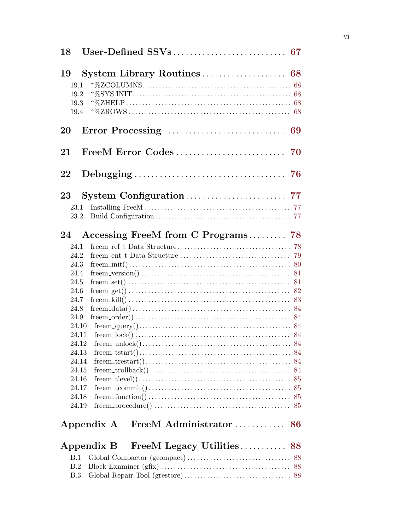| 18                                 |                                         |  |
|------------------------------------|-----------------------------------------|--|
| 19<br>19.1<br>19.2<br>19.3<br>19.4 |                                         |  |
| 20                                 |                                         |  |
| 21                                 |                                         |  |
| 22                                 |                                         |  |
| $23\,$                             |                                         |  |
| 23.1<br>23.2                       |                                         |  |
| 24                                 | Accessing FreeM from C Programs 78      |  |
| 24.1                               |                                         |  |
| 24.2                               |                                         |  |
| 24.3                               |                                         |  |
| 24.4                               |                                         |  |
| 24.5                               |                                         |  |
| 24.6                               |                                         |  |
| 24.7                               |                                         |  |
| 24.8                               |                                         |  |
| 24.9                               |                                         |  |
| 24.10                              |                                         |  |
| 24.11                              |                                         |  |
| 24.12                              |                                         |  |
| 24.13<br>24.14                     |                                         |  |
| 24.15                              |                                         |  |
| 24.16                              |                                         |  |
| 24.17                              |                                         |  |
| 24.18                              |                                         |  |
| 24.19                              |                                         |  |
|                                    | Appendix A                              |  |
|                                    | FreeM Legacy Utilities 88<br>Appendix B |  |
| B.1                                |                                         |  |
| B.2                                |                                         |  |
| B.3                                |                                         |  |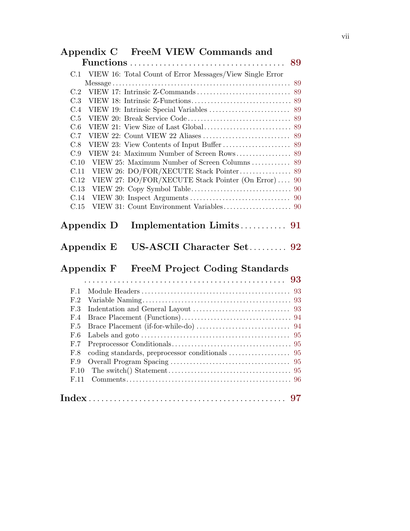|      | Appendix C FreeM VIEW Commands and                                                       |    |
|------|------------------------------------------------------------------------------------------|----|
|      |                                                                                          |    |
|      | C.1 VIEW 16: Total Count of Error Messages/View Single Error                             |    |
|      |                                                                                          | 89 |
| C.2  |                                                                                          |    |
| C.3  |                                                                                          |    |
| C.4  |                                                                                          |    |
| C.5  |                                                                                          |    |
| C.6  |                                                                                          |    |
| C.7  |                                                                                          |    |
| C.8  |                                                                                          |    |
| C.9  |                                                                                          |    |
| C.10 |                                                                                          |    |
| C.11 |                                                                                          |    |
| C.12 | VIEW 27: DO/FOR/XECUTE Stack Pointer (On Error)  90                                      |    |
| C.13 |                                                                                          |    |
| C.14 |                                                                                          |    |
| C.15 |                                                                                          |    |
|      | US-ASCII Character Set 92<br>Appendix E                                                  |    |
|      | Appendix F FreeM Project Coding Standards                                                |    |
|      |                                                                                          |    |
| F.1  |                                                                                          |    |
| F.2  |                                                                                          |    |
| F.3  |                                                                                          |    |
| F.4  |                                                                                          |    |
| F.5  |                                                                                          |    |
| F.6  | Labels and goto $\dots\dots\dots\dots\dots\dots\dots\dots\dots\dots\dots\dots\dots\dots$ |    |
| F.7  |                                                                                          |    |
| F.8  |                                                                                          | 95 |
| F.9  |                                                                                          | 95 |
| F.10 |                                                                                          |    |
| F.11 |                                                                                          |    |
|      |                                                                                          | 97 |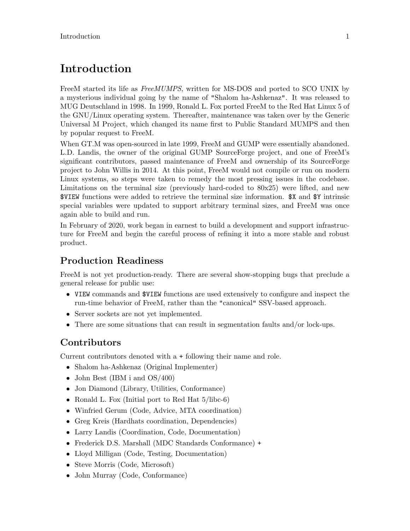# <span id="page-9-0"></span>Introduction

FreeM started its life as *FreeMUMPS*, written for MS-DOS and ported to SCO UNIX by a mysterious individual going by the name of "Shalom ha-Ashkenaz". It was released to MUG Deutschland in 1998. In 1999, Ronald L. Fox ported FreeM to the Red Hat Linux 5 of the GNU/Linux operating system. Thereafter, maintenance was taken over by the Generic Universal M Project, which changed its name first to Public Standard MUMPS and then by popular request to FreeM.

When GT.M was open-sourced in late 1999, FreeM and GUMP were essentially abandoned. L.D. Landis, the owner of the original GUMP SourceForge project, and one of FreeM's significant contributors, passed maintenance of FreeM and ownership of its SourceForge project to John Willis in 2014. At this point, FreeM would not compile or run on modern Linux systems, so steps were taken to remedy the most pressing issues in the codebase. Limitations on the terminal size (previously hard-coded to  $80x25$ ) were lifted, and new \$VIEW functions were added to retrieve the terminal size information. \$X and \$Y intrinsic special variables were updated to support arbitrary terminal sizes, and FreeM was once again able to build and run.

In February of 2020, work began in earnest to build a development and support infrastructure for FreeM and begin the careful process of refining it into a more stable and robust product.

### Production Readiness

FreeM is not yet production-ready. There are several show-stopping bugs that preclude a general release for public use:

- VIEW commands and \$VIEW functions are used extensively to configure and inspect the run-time behavior of FreeM, rather than the "canonical" SSV-based approach.
- Server sockets are not yet implemented.
- There are some situations that can result in segmentation faults and/or lock-ups.

### Contributors

Current contributors denoted with a + following their name and role.

- Shalom ha-Ashkenaz (Original Implementer)
- John Best (IBM i and OS/400)
- Jon Diamond (Library, Utilities, Conformance)
- Ronald L. Fox (Initial port to Red Hat  $5/libe-6$ )
- Winfried Gerum (Code, Advice, MTA coordination)
- Greg Kreis (Hardhats coordination, Dependencies)
- Larry Landis (Coordination, Code, Documentation)
- Frederick D.S. Marshall (MDC Standards Conformance) +
- Lloyd Milligan (Code, Testing, Documentation)
- Steve Morris (Code, Microsoft)
- John Murray (Code, Conformance)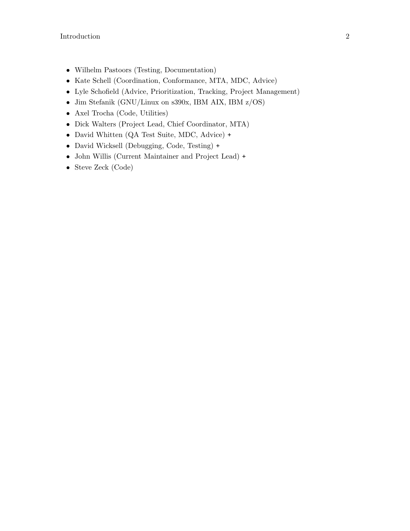- Wilhelm Pastoors (Testing, Documentation)
- Kate Schell (Coordination, Conformance, MTA, MDC, Advice)
- Lyle Schofield (Advice, Prioritization, Tracking, Project Management)
- Jim Stefanik (GNU/Linux on s390x, IBM AIX, IBM z/OS)
- Axel Trocha (Code, Utilities)
- Dick Walters (Project Lead, Chief Coordinator, MTA)
- David Whitten (QA Test Suite, MDC, Advice) +
- David Wicksell (Debugging, Code, Testing) +
- John Willis (Current Maintainer and Project Lead) +
- Steve Zeck (Code)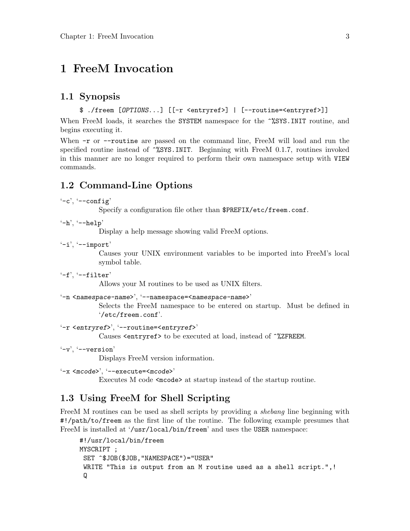# <span id="page-11-0"></span>1 FreeM Invocation

#### 1.1 Synopsis

```
$ ./freem [OPTIONS...] [[-r <entryref>] | [--routine=<entryref>]]
```
When FreeM loads, it searches the SYSTEM namespace for the  $\gamma$ %SYS.INIT routine, and begins executing it.

When  $-r$  or  $-r$  outine are passed on the command line, FreeM will load and run the specified routine instead of  $\gamma$ SYS.INIT. Beginning with FreeM 0.1.7, routines invoked in this manner are no longer required to perform their own namespace setup with VIEW commands.

#### 1.2 Command-Line Options

```
'-c', '-\text{config}'
```
Specify a configuration file other than \$PREFIX/etc/freem.conf.

 $'-h'$ ,  $'--help'$ 

Display a help message showing valid FreeM options.

 $'-i'$ ,  $'--import'$ 

Causes your UNIX environment variables to be imported into FreeM's local symbol table.

 $'-f'$ ,  $'--f\text{-filter}'$ 

Allows your M routines to be used as UNIX filters.

```
'-n <namespace-name>', '--namespace=<namespace-name>'
```
Selects the FreeM namespace to be entered on startup. Must be defined in '/etc/freem.conf'.

```
'-r <entryref>', '--routine=<entryref>'
```
Causes <entryref> to be executed at load, instead of ^%ZFREEM.

 $'-v'$ ,  $'--version'$ 

Displays FreeM version information.

```
'-x <mcode>', '--execute=<mcode>'
```
Executes M code <mcode> at startup instead of the startup routine.

#### 1.3 Using FreeM for Shell Scripting

FreeM M routines can be used as shell scripts by providing a *shebang* line beginning with #!/path/to/freem as the first line of the routine. The following example presumes that FreeM is installed at '/usr/local/bin/freem' and uses the USER namespace:

```
#!/usr/local/bin/freem
MYSCRIPT ;
SET ^$JOB($JOB,"NAMESPACE")="USER"
WRITE "This is output from an M routine used as a shell script.",!
 Q
```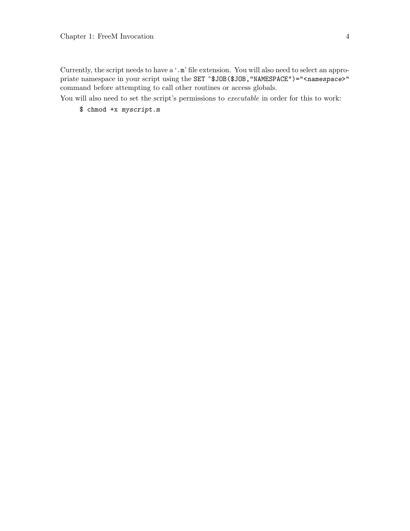Currently, the script needs to have a '.m' file extension. You will also need to select an appropriate namespace in your script using the SET ^\$JOB(\$JOB,"NAMESPACE")="<namespace>" command before attempting to call other routines or access globals.

You will also need to set the script's permissions to *executable* in order for this to work:

\$ chmod +x myscript.m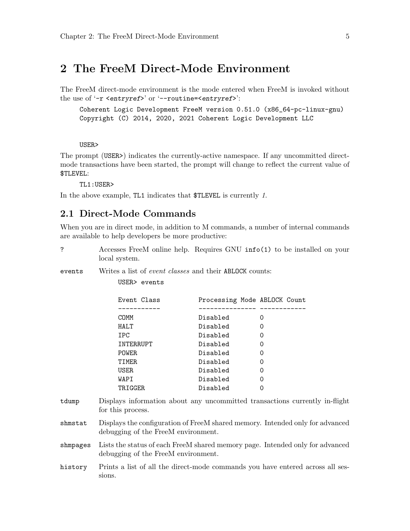### <span id="page-13-0"></span>2 The FreeM Direct-Mode Environment

The FreeM direct-mode environment is the mode entered when FreeM is invoked without the use of  $\text{-r}$  <entryref>' or  $\text{-r}$  -routine=<entryref>':

Coherent Logic Development FreeM version 0.51.0 (x86\_64-pc-linux-gnu) Copyright (C) 2014, 2020, 2021 Coherent Logic Development LLC

USER>

The prompt (USER>) indicates the currently-active namespace. If any uncommitted directmode transactions have been started, the prompt will change to reflect the current value of \$TLEVEL:

TL1:USER>

In the above example, TL1 indicates that \$TLEVEL is currently 1.

#### 2.1 Direct-Mode Commands

When you are in direct mode, in addition to M commands, a number of internal commands are available to help developers be more productive:

? Accesses FreeM online help. Requires GNU info(1) to be installed on your local system.

events Writes a list of *event classes* and their ABLOCK counts:

USER> events

| Event Class  | Processing Mode ABLOCK Count |   |
|--------------|------------------------------|---|
|              |                              |   |
| COMM         | Disabled                     | Ω |
| HALT         | Disabled                     | Ω |
| <b>IPC</b>   | Disabled                     | Ω |
| INTERRUPT    | Disabled                     | Ω |
| <b>POWER</b> | Disabled                     | Ω |
| TIMER        | Disabled                     | Ω |
| <b>USER</b>  | Disabled                     | Ω |
| WAPI         | Disabled                     | Ω |
| TRIGGER      | Disabled                     |   |

- tdump Displays information about any uncommitted transactions currently in-flight for this process.
- shmstat Displays the configuration of FreeM shared memory. Intended only for advanced debugging of the FreeM environment.
- shmpages Lists the status of each FreeM shared memory page. Intended only for advanced debugging of the FreeM environment.
- history Prints a list of all the direct-mode commands you have entered across all sessions.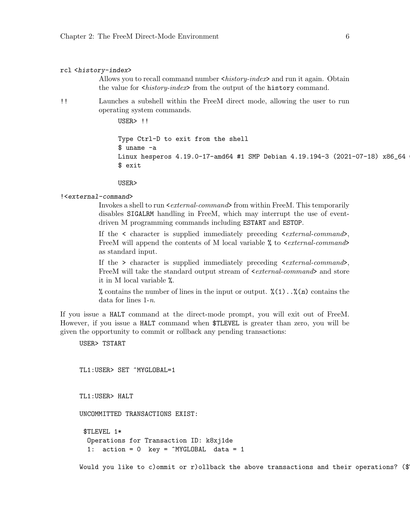#### rcl <history-index>

Allows you to recall command number <history-index> and run it again. Obtain the value for <history-index> from the output of the history command.

!! Launches a subshell within the FreeM direct mode, allowing the user to run operating system commands.

USER> !!

Type Ctrl-D to exit from the shell \$ uname -a Linux hesperos 4.19.0-17-amd64 #1 SMP Debian 4.19.194-3 (2021-07-18) x86\_64 \$ exit

USER>

#### !<external-command>

Invokes a shell to run  $\leq$  external-command> from within FreeM. This temporarily disables SIGALRM handling in FreeM, which may interrupt the use of eventdriven M programming commands including ESTART and ESTOP.

If the  $\leq$  character is supplied immediately preceding  $\leq$  external-command>, FreeM will append the contents of M local variable  $\%$  to  $\leq$  *external-command>* as standard input.

If the  $>$  character is supplied immediately preceding  $\leq$  external-command $\geq$ , FreeM will take the standard output stream of  $\leq$  external-command and store it in M local variable %.

% contains the number of lines in the input or output.  $\mathcal{N}(1) \dots \mathcal{N}(n)$  contains the data for lines  $1-n$ .

If you issue a HALT command at the direct-mode prompt, you will exit out of FreeM. However, if you issue a HALT command when \$TLEVEL is greater than zero, you will be given the opportunity to commit or rollback any pending transactions:

USER> TSTART

TL1:USER> SET ^MYGLOBAL=1

TL1:USER> HALT

UNCOMMITTED TRANSACTIONS EXIST:

\$TLEVEL 1\* Operations for Transaction ID: k8xj1de 1: action = 0 key = ^MYGLOBAL data = 1

Would you like to c)ommit or r)ollback the above transactions and their operations? (\$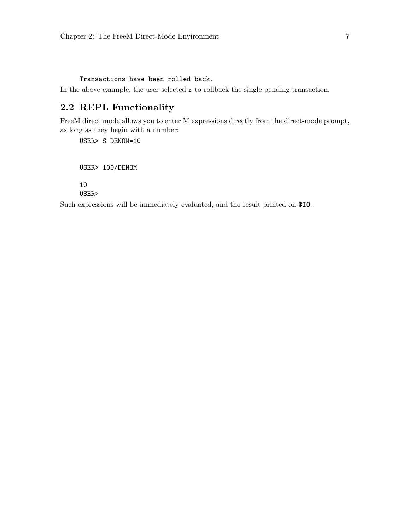<span id="page-15-0"></span>Transactions have been rolled back.

In the above example, the user selected  $r$  to rollback the single pending transaction.

### 2.2 REPL Functionality

FreeM direct mode allows you to enter M expressions directly from the direct-mode prompt, as long as they begin with a number:

USER> S DENOM=10

USER> 100/DENOM

10

USER>

Such expressions will be immediately evaluated, and the result printed on \$IO.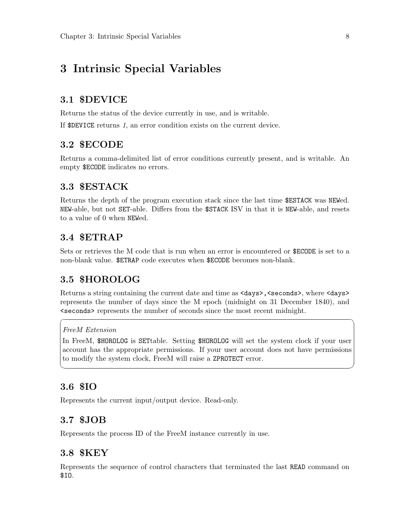# <span id="page-16-0"></span>3 Intrinsic Special Variables

#### 3.1 \$DEVICE

Returns the status of the device currently in use, and is writable.

If \$DEVICE returns 1, an error condition exists on the current device.

#### 3.2 \$ECODE

Returns a comma-delimited list of error conditions currently present, and is writable. An empty \$ECODE indicates no errors.

#### 3.3 \$ESTACK

Returns the depth of the program execution stack since the last time \$ESTACK was NEWed. NEW-able, but not SET-able. Differs from the \$STACK ISV in that it is NEW-able, and resets to a value of 0 when NEWed.

### 3.4 \$ETRAP

Sets or retrieves the M code that is run when an error is encountered or \$ECODE is set to a non-blank value. \$ETRAP code executes when \$ECODE becomes non-blank.

### 3.5 \$HOROLOG

Returns a string containing the current date and time as  $\langle \text{days} \rangle$ ,  $\langle \text{seconds} \rangle$ , where  $\langle \text{days} \rangle$ represents the number of days since the M epoch (midnight on 31 December 1840), and <seconds> represents the number of seconds since the most recent midnight.

 $\sqrt{2\pi}$ 

#### FreeM Extension

In FreeM, \$HOROLOG is SETtable. Setting \$HOROLOG will set the system clock if your user account has the appropriate permissions. If your user account does not have permissions to modify the system clock, FreeM will raise a ZPROTECT error.

✡ ✠

### 3.6 \$IO

Represents the current input/output device. Read-only.

#### 3.7 \$JOB

Represents the process ID of the FreeM instance currently in use.

#### 3.8 \$KEY

Represents the sequence of control characters that terminated the last READ command on \$IO.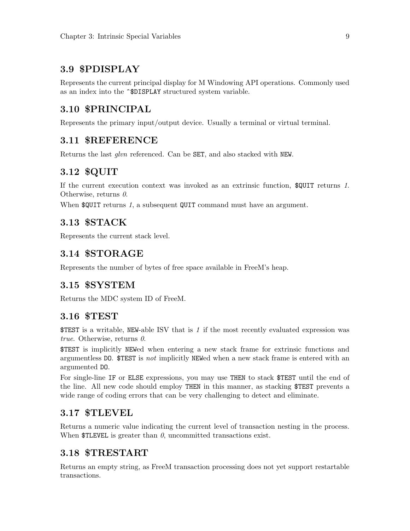### <span id="page-17-0"></span>3.9 \$PDISPLAY

Represents the current principal display for M Windowing API operations. Commonly used as an index into the ^\$DISPLAY structured system variable.

### 3.10 \$PRINCIPAL

Represents the primary input/output device. Usually a terminal or virtual terminal.

#### 3.11 \$REFERENCE

Returns the last glvn referenced. Can be SET, and also stacked with NEW.

#### 3.12 \$QUIT

If the current execution context was invoked as an extrinsic function, \$QUIT returns 1. Otherwise, returns  $\theta$ .

When  $\text{\$QUIT returns } 1$ , a subsequent QUIT command must have an argument.

### 3.13 \$STACK

Represents the current stack level.

#### 3.14 \$STORAGE

Represents the number of bytes of free space available in FreeM's heap.

### 3.15 \$SYSTEM

Returns the MDC system ID of FreeM.

#### 3.16 \$TEST

\$TEST is a writable, NEW-able ISV that is 1 if the most recently evaluated expression was true. Otherwise, returns  $\theta$ .

\$TEST is implicitly NEWed when entering a new stack frame for extrinsic functions and argumentless DO. \$TEST is not implicitly NEWed when a new stack frame is entered with an argumented DO.

For single-line IF or ELSE expressions, you may use THEN to stack \$TEST until the end of the line. All new code should employ THEN in this manner, as stacking \$TEST prevents a wide range of coding errors that can be very challenging to detect and eliminate.

#### 3.17 \$TLEVEL

Returns a numeric value indicating the current level of transaction nesting in the process. When  $TLEVEL$  is greater than  $\theta$ , uncommitted transactions exist.

#### 3.18 \$TRESTART

Returns an empty string, as FreeM transaction processing does not yet support restartable transactions.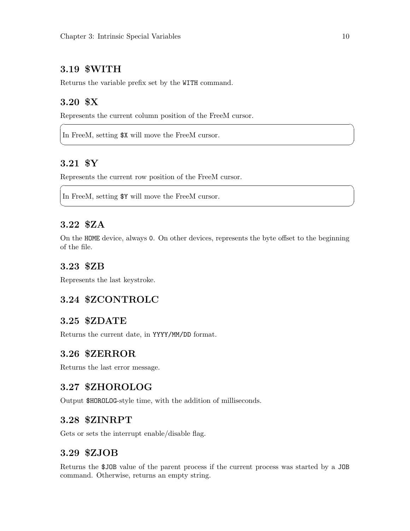### <span id="page-18-0"></span>3.19 \$WITH

Returns the variable prefix set by the WITH command.

# 3.20 \$X

Represents the current column position of the FreeM cursor.

In FreeM, setting \$X will move the FreeM cursor.

### 3.21 \$Y

Represents the current row position of the FreeM cursor.

In FreeM, setting \$Y will move the FreeM cursor.

#### 3.22 \$ZA

On the HOME device, always 0. On other devices, represents the byte offset to the beginning of the file.

 $\sqrt{2\pi}$ 

✡ ✠

 $\sqrt{2\pi}$ 

✡ ✠

#### 3.23 \$ZB

Represents the last keystroke.

### 3.24 \$ZCONTROLC

#### 3.25 \$ZDATE

Returns the current date, in YYYY/MM/DD format.

#### 3.26 \$ZERROR

Returns the last error message.

#### 3.27 \$ZHOROLOG

Output \$HOROLOG-style time, with the addition of milliseconds.

#### 3.28 \$ZINRPT

Gets or sets the interrupt enable/disable flag.

#### 3.29 \$ZJOB

Returns the \$JOB value of the parent process if the current process was started by a JOB command. Otherwise, returns an empty string.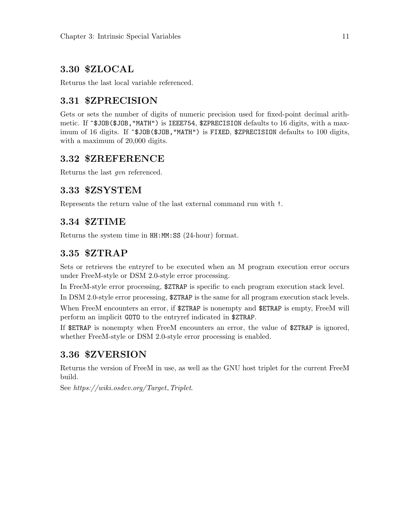### <span id="page-19-0"></span>3.30 \$ZLOCAL

Returns the last local variable referenced.

### 3.31 \$ZPRECISION

Gets or sets the number of digits of numeric precision used for fixed-point decimal arithmetic. If  $\hat{}$ \$JOB(\$JOB, "MATH") is IEEE754, \$ZPRECISION defaults to 16 digits, with a maximum of 16 digits. If  $\hat{}$ \$JOB(\$JOB, "MATH") is FIXED, \$ZPRECISION defaults to 100 digits, with a maximum of 20,000 digits.

### 3.32 \$ZREFERENCE

Returns the last gvn referenced.

### 3.33 \$ZSYSTEM

Represents the return value of the last external command run with !.

### 3.34 \$ZTIME

Returns the system time in HH:MM:SS (24-hour) format.

### 3.35 \$ZTRAP

Sets or retrieves the entryref to be executed when an M program execution error occurs under FreeM-style or DSM 2.0-style error processing.

In FreeM-style error processing, \$ZTRAP is specific to each program execution stack level.

In DSM 2.0-style error processing, \$ZTRAP is the same for all program execution stack levels.

When FreeM encounters an error, if  $ZTRAP$  is nonempty and  $ETRAP$  is empty, FreeM will perform an implicit GOTO to the entryref indicated in \$ZTRAP.

If \$ETRAP is nonempty when FreeM encounters an error, the value of \$ZTRAP is ignored, whether FreeM-style or DSM 2.0-style error processing is enabled.

### 3.36 \$ZVERSION

Returns the version of FreeM in use, as well as the GNU host triplet for the current FreeM build.

See  $https://wiki.osdev.org/Target\_Triplet$ .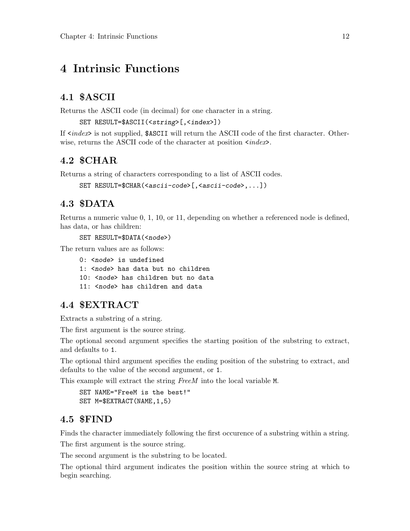# <span id="page-20-0"></span>4 Intrinsic Functions

### 4.1 \$ASCII

Returns the ASCII code (in decimal) for one character in a string.

```
SET RESULT=$ASCII(<string>[,<index>])
```
If  $\langle index \rangle$  is not supplied, \$ASCII will return the ASCII code of the first character. Otherwise, returns the ASCII code of the character at position  $\langle index \rangle$ .

### 4.2 \$CHAR

Returns a string of characters corresponding to a list of ASCII codes.

```
SET RESULT=$CHAR(<ascii-code>[,<ascii-code>,...])
```
### 4.3 \$DATA

Returns a numeric value 0, 1, 10, or 11, depending on whether a referenced node is defined, has data, or has children:

SET RESULT=\$DATA(<node>)

The return values are as follows:

0: <node> is undefined 1: <node> has data but no children 10: < node> has children but no data 11: <node> has children and data

### 4.4 \$EXTRACT

Extracts a substring of a string.

The first argument is the source string.

The optional second argument specifies the starting position of the substring to extract, and defaults to 1.

The optional third argument specifies the ending position of the substring to extract, and defaults to the value of the second argument, or 1.

This example will extract the string FreeM into the local variable M.

```
SET NAME="FreeM is the best!"
SET M=$EXTRACT(NAME,1,5)
```
### 4.5 \$FIND

Finds the character immediately following the first occurence of a substring within a string.

The first argument is the source string.

The second argument is the substring to be located.

The optional third argument indicates the position within the source string at which to begin searching.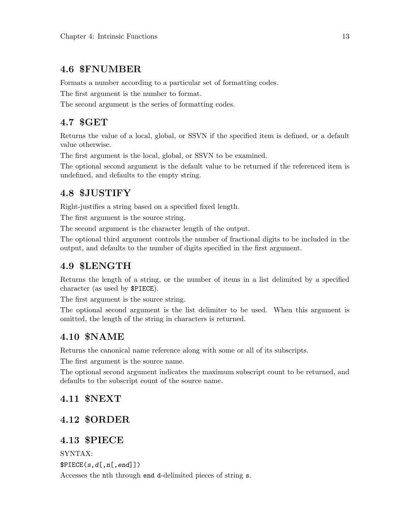### <span id="page-21-0"></span>4.6 \$FNUMBER

Formats a number according to a particular set of formatting codes.

The first argument is the number to format.

The second argument is the series of formatting codes.

### 4.7 \$GET

Returns the value of a local, global, or SSVN if the specified item is defined, or a default value otherwise.

The first argument is the local, global, or SSVN to be examined.

The optional second argument is the default value to be returned if the referenced item is undefined, and defaults to the empty string.

# 4.8 \$JUSTIFY

Right-justifies a string based on a specified fixed length.

The first argument is the source string.

The second argument is the character length of the output.

The optional third argument controls the number of fractional digits to be included in the output, and defaults to the number of digits specified in the first argument.

### 4.9 \$LENGTH

Returns the length of a string, or the number of items in a list delimited by a specified character (as used by \$PIECE).

The first argument is the source string.

The optional second argument is the list delimiter to be used. When this argument is omitted, the length of the string in characters is returned.

### 4.10 \$NAME

Returns the canonical name reference along with some or all of its subscripts.

The first argument is the source name.

The optional second argument indicates the maximum subscript count to be returned, and defaults to the subscript count of the source name.

### 4.11 \$NEXT

### 4.12 \$ORDER

### 4.13 \$PIECE

SYNTAX:

 $$PIECE(s,d[,n[,end]]$ 

Accesses the nth through end d-delimited pieces of string s.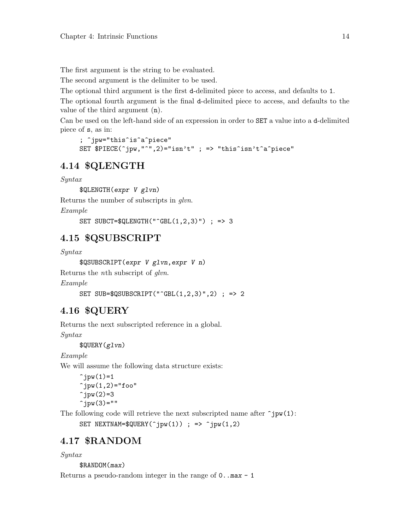<span id="page-22-0"></span>The first argument is the string to be evaluated.

The second argument is the delimiter to be used.

The optional third argument is the first d-delimited piece to access, and defaults to 1.

The optional fourth argument is the final d-delimited piece to access, and defaults to the value of the third argument (n).

Can be used on the left-hand side of an expression in order to SET a value into a d-delimited piece of s, as in:

```
; ^jpw="this^is^a^piece"
SET $PIECE(^jpw,"^",2)="isn't" ; => "this^isn't^a^piece"
```
#### 4.14 \$QLENGTH

Syntax

\$QLENGTH(expr V glvn)

Returns the number of subscripts in glvn.

Example

SET SUBCT= $\text{\$QLENGTH("GBL(1,2,3)") }$  ; => 3

### 4.15 \$QSUBSCRIPT

Syntax

\$QSUBSCRIPT(expr V glvn,expr V n)

Returns the nth subscript of glvn.

Example

```
SET SUB=$QSUBSCRIPT("^GBL(1,2,3)",2) ; => 2
```
#### 4.16 \$QUERY

Returns the next subscripted reference in a global.

Syntax

\$QUERY(glvn)

Example

We will assume the following data structure exists:

```
\hat{\gamma}jpw(1)=1\hat{y}jpw(1,2)="foo"
\hat{\gamma}jpw(2)=3\hat{p} ipw(3)=""
```
The following code will retrieve the next subscripted name after  $\hat{\mathsf{row}}(1)$ :

SET NEXTNAM= $\text{\textsterling}(\hat{\gamma})$ yw(1)) ; =>  $\hat{\gamma}$ jpw(1,2)

#### 4.17 \$RANDOM

#### Syntax

\$RANDOM(max)

Returns a pseudo-random integer in the range of  $0 \dots$  max  $-1$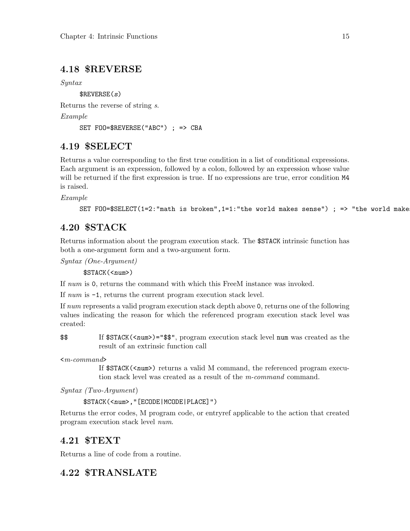### <span id="page-23-0"></span>4.18 \$REVERSE

Syntax

 $$REVERSE(s)$ Returns the reverse of string s.

Example

```
SET FOO=$REVERSE("ABC") ; => CBA
```
### 4.19 \$SELECT

Returns a value corresponding to the first true condition in a list of conditional expressions. Each argument is an expression, followed by a colon, followed by an expression whose value will be returned if the first expression is true. If no expressions are true, error condition  $M4$ is raised.

Example

```
SET FOO=\SSELECT(1=2:"math is broken",1=1:"the world makes sense") ; => "the world make
```
### 4.20 \$STACK

Returns information about the program execution stack. The \$STACK intrinsic function has both a one-argument form and a two-argument form.

Syntax (One-Argument)

\$STACK(<num>)

If num is 0, returns the command with which this FreeM instance was invoked.

If num is -1, returns the current program execution stack level.

If num represents a valid program execution stack depth above 0, returns one of the following values indicating the reason for which the referenced program execution stack level was created:

\$\$ If \$STACK(<num>)="\$\$", program execution stack level num was created as the result of an extrinsic function call

 $\langle m\text{-}command\rangle$ 

If  $\frac{S}{R}$  (<num>) returns a valid M command, the referenced program execution stack level was created as a result of the m-command command.

Syntax (Two-Argument)

\$STACK(<num>,"[ECODE|MCODE|PLACE]")

Returns the error codes, M program code, or entryref applicable to the action that created program execution stack level num.

### 4.21 \$TEXT

Returns a line of code from a routine.

### 4.22 \$TRANSLATE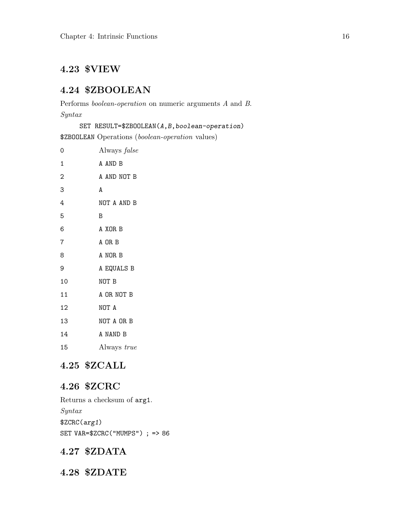# <span id="page-24-0"></span>4.23 \$VIEW

### 4.24 \$ZBOOLEAN

Performs boolean-operation on numeric arguments A and B. Syntax

SET RESULT=\$ZBOOLEAN(A,B,boolean-operation)

\$ZBOOLEAN Operations (boolean-operation values)

| 0              | Always false |
|----------------|--------------|
| $\mathbf{1}$   | A AND B      |
| $\overline{2}$ | A AND NOT B  |
| 3              | A            |
| 4              | NOT A AND B  |
| 5              | B            |
| 6              | A XOR B      |
| $\overline{7}$ | A OR B       |
| 8              | A NOR B      |
| 9              | A EQUALS B   |
| 10             | NOT B        |
| 11             | A OR NOT B   |
| 12             | NOT A        |
| 13             | NOT A OR B   |
| 14             | A NAND B     |
| 15             | Always true  |
|                |              |

### 4.25 \$ZCALL

### 4.26 \$ZCRC

Returns a checksum of arg1. Syntax \$ZCRC(arg1) SET VAR=\$ZCRC("MUMPS") ; => 86

# 4.27 \$ZDATA

4.28 \$ZDATE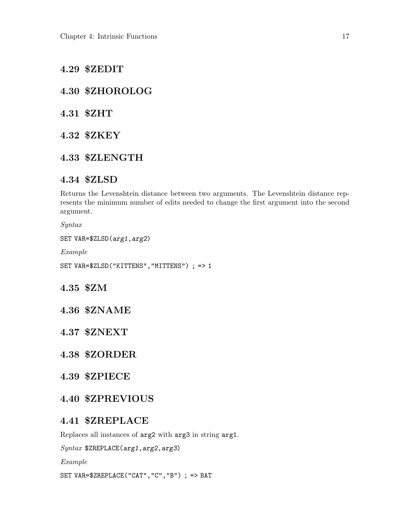- <span id="page-25-0"></span>4.29 \$ZEDIT
- 4.30 \$ZHOROLOG
- 4.31 \$ZHT
- 4.32 \$ZKEY
- 4.33 \$ZLENGTH

#### 4.34 \$ZLSD

Returns the Levenshtein distance between two arguments. The Levenshtein distance represents the minimum number of edits needed to change the first argument into the second argument.

Syntax

SET VAR=\$ZLSD(arg1,arg2)

Example

SET VAR=\$ZLSD("KITTENS","MITTENS") ; => 1

4.35 \$ZM

4.36 \$ZNAME

4.37 \$ZNEXT

- 4.38 \$ZORDER
- 4.39 \$ZPIECE

#### 4.40 \$ZPREVIOUS

#### 4.41 \$ZREPLACE

Replaces all instances of arg2 with arg3 in string arg1.

Syntax \$ZREPLACE(arg1,arg2,arg3)

Example

SET VAR=\$ZREPLACE("CAT","C","B") ; => BAT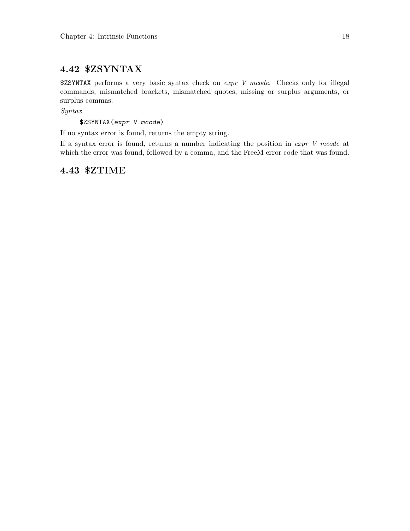### <span id="page-26-0"></span>4.42 \$ZSYNTAX

 $$ZSYNTAX performs a very basic syntax check on *expr* V mode. Check only for illegal$ commands, mismatched brackets, mismatched quotes, missing or surplus arguments, or surplus commas.

Syntax

\$ZSYNTAX(expr V mcode)

If no syntax error is found, returns the empty string.

If a syntax error is found, returns a number indicating the position in  $\exp r V$  mcode at which the error was found, followed by a comma, and the FreeM error code that was found.

### 4.43 \$ZTIME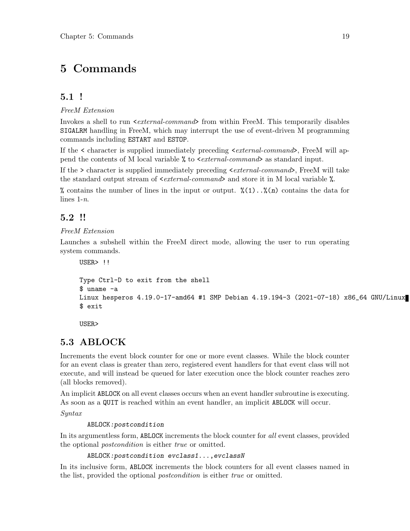# <span id="page-27-0"></span>5 Commands

### 5.1 !

FreeM Extension

Invokes a shell to run  $\leq$  external-command> from within FreeM. This temporarily disables SIGALRM handling in FreeM, which may interrupt the use of event-driven M programming commands including ESTART and ESTOP.

If the  $\leq$  character is supplied immediately preceding  $\leq$  external-command>, FreeM will append the contents of M local variable  $\frac{\pi}{6}$  to  $\leq$  *external-command* as standard input.

If the > character is supplied immediately preceding  $\le$  external-command>, FreeM will take the standard output stream of  $\leq$  external-command and store it in M local variable  $\%$ .

% contains the number of lines in the input or output.  $\mathcal{L}(1) \ldots \mathcal{L}(n)$  contains the data for lines  $1-n$ .

### 5.2 !!

#### FreeM Extension

Launches a subshell within the FreeM direct mode, allowing the user to run operating system commands.

```
USER> !!
```

```
Type Ctrl-D to exit from the shell
$ uname -a
Linux hesperos 4.19.0-17-amd64 #1 SMP Debian 4.19.194-3 (2021-07-18) x86_64 GNU/Linux
$ exit
```
USER>

# 5.3 ABLOCK

Increments the event block counter for one or more event classes. While the block counter for an event class is greater than zero, registered event handlers for that event class will not execute, and will instead be queued for later execution once the block counter reaches zero (all blocks removed).

An implicit ABLOCK on all event classes occurs when an event handler subroutine is executing. As soon as a QUIT is reached within an event handler, an implicit ABLOCK will occur.

Syntax

#### ABLOCK:postcondition

In its argumentless form, ABLOCK increments the block counter for all event classes, provided the optional *postcondition* is either *true* or omitted.

ABLOCK:postcondition evclass1...,evclassN

In its inclusive form, ABLOCK increments the block counters for all event classes named in the list, provided the optional *postcondition* is either *true* or omitted.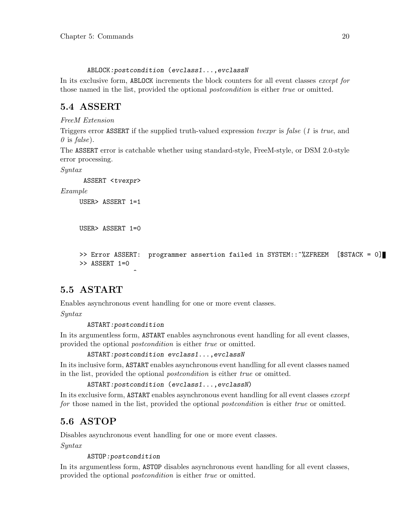ABLOCK:postcondition (evclass1...,evclassN

<span id="page-28-0"></span>In its exclusive form, ABLOCK increments the block counters for all event classes except for those named in the list, provided the optional *postcondition* is either *true* or omitted.

### 5.4 ASSERT

FreeM Extension

Triggers error ASSERT if the supplied truth-valued expression tvexpr is false (1 is true, and  $\theta$  is false).

The ASSERT error is catchable whether using standard-style, FreeM-style, or DSM 2.0-style error processing.

Syntax

ASSERT <tvexpr>

Example

USER> ASSERT 1=1

```
USER> ASSERT 1=0
```

```
>> Error ASSERT: programmer assertion failed in SYSTEM::^%ZFREEM [$STACK = 0]
>> ASSERT 1=0
```
### 5.5 ASTART

Enables asynchronous event handling for one or more event classes.

Syntax

ASTART:postcondition

 $\hat{ }$ 

In its argumentless form, ASTART enables asynchronous event handling for all event classes, provided the optional postcondition is either true or omitted.

ASTART:postcondition evclass1...,evclassN

In its inclusive form, ASTART enables asynchronous event handling for all event classes named in the list, provided the optional postcondition is either true or omitted.

```
ASTART:postcondition (evclass1...,evclassN)
```
In its exclusive form, ASTART enables asynchronous event handling for all event classes except for those named in the list, provided the optional *postcondition* is either true or omitted.

# 5.6 ASTOP

Disables asynchronous event handling for one or more event classes.

Syntax

#### ASTOP:postcondition

In its argumentless form, ASTOP disables asynchronous event handling for all event classes, provided the optional postcondition is either true or omitted.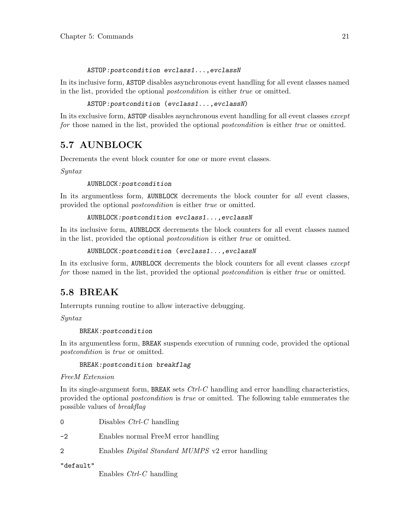#### ASTOP:postcondition evclass1...,evclassN

<span id="page-29-0"></span>In its inclusive form, ASTOP disables asynchronous event handling for all event classes named in the list, provided the optional postcondition is either true or omitted.

```
ASTOP:postcondition (evclass1...,evclassN)
```
In its exclusive form, ASTOP disables asynchronous event handling for all event classes except for those named in the list, provided the optional *postcondition* is either true or omitted.

### 5.7 AUNBLOCK

Decrements the event block counter for one or more event classes.

Syntax

AUNBLOCK:postcondition

In its argumentless form, AUNBLOCK decrements the block counter for all event classes, provided the optional postcondition is either true or omitted.

#### AUNBLOCK:postcondition evclass1...,evclassN

In its inclusive form, AUNBLOCK decrements the block counters for all event classes named in the list, provided the optional postcondition is either true or omitted.

```
AUNBLOCK:postcondition (evclass1...,evclassN
```
In its exclusive form, AUNBLOCK decrements the block counters for all event classes except for those named in the list, provided the optional *postcondition* is either true or omitted.

### 5.8 BREAK

Interrupts running routine to allow interactive debugging.

Syntax

#### BREAK:postcondition

In its argumentless form, BREAK suspends execution of running code, provided the optional postcondition is true or omitted.

#### BREAK:postcondition breakflag

FreeM Extension

In its single-argument form, BREAK sets  $Ctrl$ -C handling and error handling characteristics, provided the optional postcondition is true or omitted. The following table enumerates the possible values of breakflag

| $\Omega$  | Disables $Ctrl$ -C handling                             |
|-----------|---------------------------------------------------------|
| $-2$      | Enables normal FreeM error handling                     |
| 2         | Enables <i>Digital Standard MUMPS</i> v2 error handling |
| "default" |                                                         |

Enables Ctrl-C handling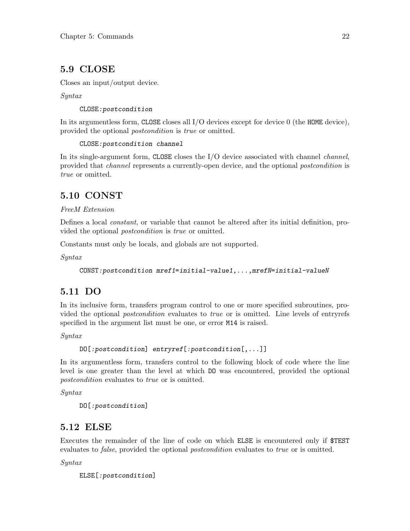### <span id="page-30-0"></span>5.9 CLOSE

Closes an input/output device.

Syntax

CLOSE:postcondition

In its argumentless form, CLOSE closes all I/O devices except for device 0 (the HOME device), provided the optional postcondition is true or omitted.

CLOSE:postcondition channel

In its single-argument form, CLOSE closes the I/O device associated with channel *channel*, provided that channel represents a currently-open device, and the optional postcondition is true or omitted.

### 5.10 CONST

#### FreeM Extension

Defines a local constant, or variable that cannot be altered after its initial definition, provided the optional postcondition is true or omitted.

Constants must only be locals, and globals are not supported.

Syntax

```
CONST:postcondition mref1=initial-value1,...,mrefN=initial-valueN
```
### 5.11 DO

In its inclusive form, transfers program control to one or more specified subroutines, provided the optional postcondition evaluates to true or is omitted. Line levels of entryrefs specified in the argument list must be one, or error M14 is raised.

Syntax

DO[:postcondition] entryref[:postcondition[,...]]

In its argumentless form, transfers control to the following block of code where the line level is one greater than the level at which DO was encountered, provided the optional postcondition evaluates to true or is omitted.

Syntax

```
DO[:postcondition]
```
### 5.12 ELSE

Executes the remainder of the line of code on which ELSE is encountered only if \$TEST evaluates to *false*, provided the optional *postcondition* evaluates to *true* or is omitted.

Syntax

ELSE[:postcondition]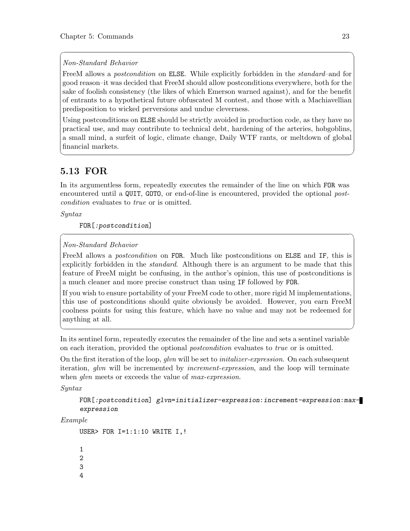#### Non-Standard Behavior

FreeM allows a *postcondition* on **ELSE**. While explicitly forbidden in the *standard*–and for good reason–it was decided that FreeM should allow postconditions everywhere, both for the sake of foolish consistency (the likes of which Emerson warned against), and for the benefit of entrants to a hypothetical future obfuscated M contest, and those with a Machiavellian predisposition to wicked perversions and undue cleverness.

<span id="page-31-0"></span> $\sqrt{2\pi}$ 

Using postconditions on ELSE should be strictly avoided in production code, as they have no practical use, and may contribute to technical debt, hardening of the arteries, hobgoblins, a small mind, a surfeit of logic, climate change, Daily WTF rants, or meltdown of global financial markets.

✡ ✠

# 5.13 FOR

In its argumentless form, repeatedly executes the remainder of the line on which FOR was encountered until a QUIT, GOTO, or end-of-line is encountered, provided the optional postcondition evaluates to true or is omitted.

Syntax

FOR[:postcondition]

#### Non-Standard Behavior

FreeM allows a *postcondition* on FOR. Much like postconditions on ELSE and IF, this is explicitly forbidden in the *standard*. Although there is an argument to be made that this feature of FreeM might be confusing, in the author's opinion, this use of postconditions is a much cleaner and more precise construct than using IF followed by FOR.

 $\sqrt{2\pi}$ 

If you wish to ensure portability of your FreeM code to other, more rigid M implementations, this use of postconditions should quite obviously be avoided. However, you earn FreeM coolness points for using this feature, which have no value and may not be redeemed for anything at all.

In its sentinel form, repeatedly executes the remainder of the line and sets a sentinel variable on each iteration, provided the optional *postcondition* evaluates to *true* or is omitted.

 $\overline{\phantom{a}}$   $\overline{\phantom{a}}$   $\overline{\phantom{a}}$   $\overline{\phantom{a}}$   $\overline{\phantom{a}}$   $\overline{\phantom{a}}$   $\overline{\phantom{a}}$   $\overline{\phantom{a}}$   $\overline{\phantom{a}}$   $\overline{\phantom{a}}$   $\overline{\phantom{a}}$   $\overline{\phantom{a}}$   $\overline{\phantom{a}}$   $\overline{\phantom{a}}$   $\overline{\phantom{a}}$   $\overline{\phantom{a}}$   $\overline{\phantom{a}}$   $\overline{\phantom{a}}$   $\overline{\$ 

On the first iteration of the loop, *glvn* will be set to *initalizer-expression*. On each subsequent iteration, glvn will be incremented by *increment-expression*, and the loop will terminate when *glvn* meets or exceeds the value of *max-expression*.

Syntax

```
FOR[:postcondition] glvn=initializer-expression:increment-expression:max-
expression
```
Example

USER> FOR I=1:1:10 WRITE I,!

1 2

3

4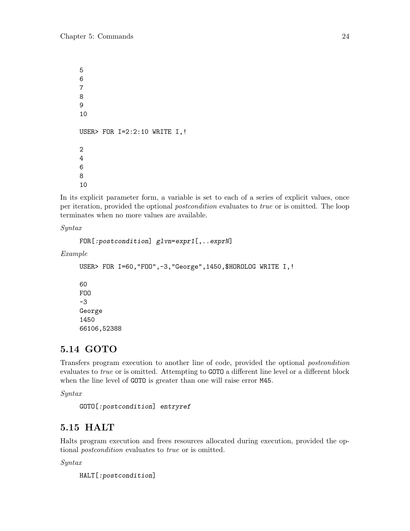```
5
6
7
8
9
10
USER> FOR I=2:2:10 WRITE I,!
2
4
6
8
10
```
In its explicit parameter form, a variable is set to each of a series of explicit values, once per iteration, provided the optional postcondition evaluates to true or is omitted. The loop terminates when no more values are available.

Syntax

```
FOR[:postcondition] glvn=expr1[,..exprN]
```
Example

```
USER> FOR I=60,"FOO",-3,"George",1450,$HOROLOG WRITE I,!
60
FOO
-3
George
1450
66106,52388
```
### 5.14 GOTO

Transfers program execution to another line of code, provided the optional postcondition evaluates to *true* or is omitted. Attempting to GOTO a different line level or a different block when the line level of GOTO is greater than one will raise error M45.

Syntax

```
GOTO[:postcondition] entryref
```
### 5.15 HALT

Halts program execution and frees resources allocated during execution, provided the optional postcondition evaluates to true or is omitted.

Syntax

HALT[:postcondition]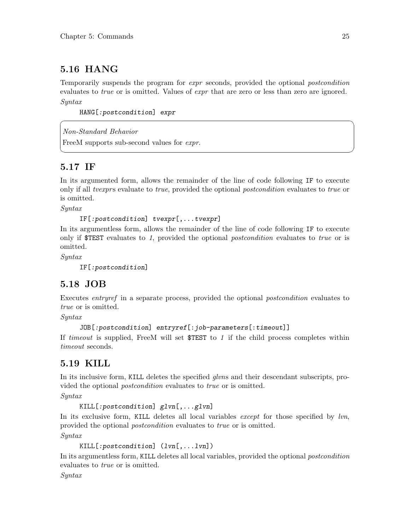# <span id="page-33-0"></span>5.16 HANG

Temporarily suspends the program for expr seconds, provided the optional postcondition evaluates to *true* or is omitted. Values of *expr* that are zero or less than zero are ignored. Syntax

 $\sqrt{2\pi}$ 

✡ ✠

HANG[:postcondition] expr

Non-Standard Behavior

FreeM supports sub-second values for *expr*.

### 5.17 IF

In its argumented form, allows the remainder of the line of code following IF to execute only if all *tvexprs* evaluate to *true*, provided the optional *postcondition* evaluates to *true* or is omitted.

Syntax

IF[:postcondition] tvexpr[,...tvexpr]

In its argumentless form, allows the remainder of the line of code following IF to execute only if \$TEST evaluates to 1, provided the optional *postcondition* evaluates to true or is omitted.

Syntax

IF[:postcondition]

### 5.18 JOB

Executes entryref in a separate process, provided the optional postcondition evaluates to true or is omitted.

Syntax

```
JOB[:postcondition] entryref[:job-parameters[:timeout]]
```
If timeout is supplied, FreeM will set  $TEST$  to 1 if the child process completes within timeout seconds.

### 5.19 KILL

In its inclusive form, KILL deletes the specified *alvns* and their descendant subscripts, provided the optional postcondition evaluates to true or is omitted.

Syntax

KILL[:postcondition] glvn[,...glvn]

In its exclusive form, KILL deletes all local variables *except* for those specified by lvn, provided the optional *postcondition* evaluates to *true* or is omitted.

Syntax

KILL[:postcondition] (lvn[,...lvn])

In its argumentless form, KILL deletes all local variables, provided the optional postcondition evaluates to *true* or is omitted.

Syntax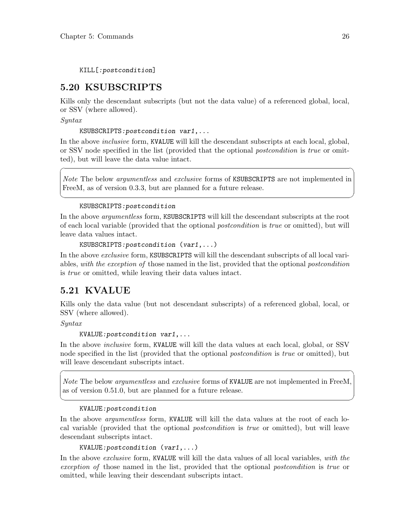<span id="page-34-0"></span>KILL[:postcondition]

### 5.20 KSUBSCRIPTS

Kills only the descendant subscripts (but not the data value) of a referenced global, local, or SSV (where allowed).

Syntax

KSUBSCRIPTS:postcondition var1,...

In the above *inclusive* form, KVALUE will kill the descendant subscripts at each local, global, or SSV node specified in the list (provided that the optional postcondition is true or omitted), but will leave the data value intact.

Note The below *argumentless* and exclusive forms of KSUBSCRIPTS are not implemented in FreeM, as of version 0.3.3, but are planned for a future release.

 $\sqrt{2\pi}$ 

✡ ✠

#### KSUBSCRIPTS:postcondition

In the above *argumentless* form, KSUBSCRIPTS will kill the descendant subscripts at the root of each local variable (provided that the optional postcondition is true or omitted), but will leave data values intact.

```
KSUBSCRIPTS:postcondition (var1,...)
```
In the above *exclusive* form, KSUBSCRIPTS will kill the descendant subscripts of all local variables, with the exception of those named in the list, provided that the optional postcondition is true or omitted, while leaving their data values intact.

### 5.21 KVALUE

Kills only the data value (but not descendant subscripts) of a referenced global, local, or SSV (where allowed).

Syntax

```
KVALUE:postcondition var1,...
```
In the above *inclusive* form, KVALUE will kill the data values at each local, global, or SSV node specified in the list (provided that the optional *postcondition* is *true* or omitted), but will leave descendant subscripts intact.

Note The below argumentless and exclusive forms of KVALUE are not implemented in FreeM, as of version 0.51.0, but are planned for a future release.

 $\sqrt{2\pi}$ 

✡ ✠

#### KVALUE:postcondition

In the above *argumentless* form, KVALUE will kill the data values at the root of each local variable (provided that the optional postcondition is true or omitted), but will leave descendant subscripts intact.

```
KVALUE:postcondition (var1,...)
```
In the above exclusive form, KVALUE will kill the data values of all local variables, with the exception of those named in the list, provided that the optional postcondition is true or omitted, while leaving their descendant subscripts intact.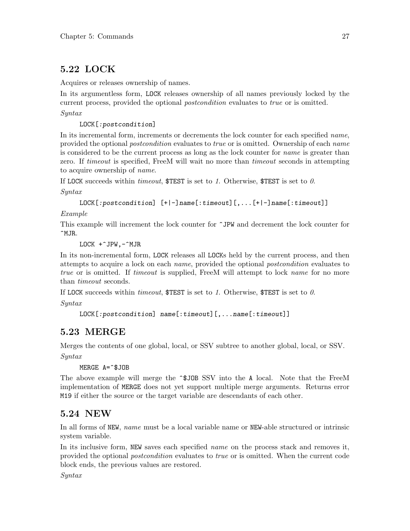# <span id="page-35-0"></span>5.22 LOCK

Acquires or releases ownership of names.

In its argumentless form, LOCK releases ownership of all names previously locked by the current process, provided the optional *postcondition* evaluates to *true* or is omitted.

Syntax

LOCK[:postcondition]

In its incremental form, increments or decrements the lock counter for each specified *name*, provided the optional *postcondition* evaluates to *true* or is omitted. Ownership of each *name* is considered to be the current process as long as the lock counter for name is greater than zero. If timeout is specified, FreeM will wait no more than timeout seconds in attempting to acquire ownership of name.

If LOCK succeeds within timeout,  $T \text{EST}$  is set to 1. Otherwise,  $T \text{EST}$  is set to 0.

Syntax

```
LOCK[:postcondition] [+|-]name[:timeout][,...[+|-]name[:timeout]]
```
Example

This example will increment the lock counter for ^JPW and decrement the lock counter for ^MJR.

LOCK +^JPW,-^MJR

In its non-incremental form, LOCK releases all LOCKs held by the current process, and then attempts to acquire a lock on each name, provided the optional postcondition evaluates to true or is omitted. If timeout is supplied, FreeM will attempt to lock name for no more than timeout seconds.

If LOCK succeeds within timeout,  $T^*$  is set to 1. Otherwise,  $T^*$  is set to 0.

Syntax

```
LOCK[:postcondition] name[:timeout][,...name[:timeout]]
```
### 5.23 MERGE

Merges the contents of one global, local, or SSV subtree to another global, local, or SSV.

Syntax

MERGE A=^\$JOB

The above example will merge the ^\$JOB SSV into the A local. Note that the FreeM implementation of MERGE does not yet support multiple merge arguments. Returns error M19 if either the source or the target variable are descendants of each other.

# 5.24 NEW

In all forms of NEW, name must be a local variable name or NEW-able structured or intrinsic system variable.

In its inclusive form, NEW saves each specified *name* on the process stack and removes it, provided the optional postcondition evaluates to true or is omitted. When the current code block ends, the previous values are restored.

Syntax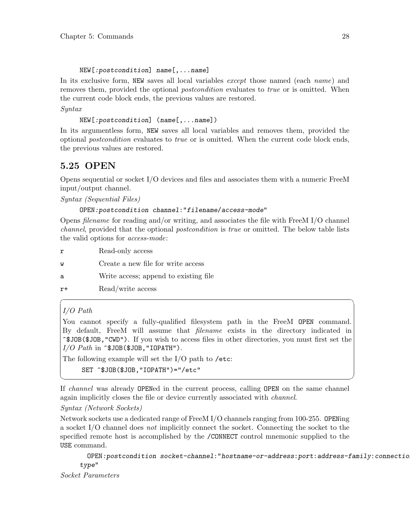#### NEW[:postcondition] name[,...name]

In its exclusive form, NEW saves all local variables *except* those named (each *name*) and removes them, provided the optional *postcondition* evaluates to *true* or is omitted. When the current code block ends, the previous values are restored.

#### Syntax

NEW[:postcondition] (name[,...name])

In its argumentless form, NEW saves all local variables and removes them, provided the optional postcondition evaluates to true or is omitted. When the current code block ends, the previous values are restored.

## 5.25 OPEN

Opens sequential or socket I/O devices and files and associates them with a numeric FreeM input/output channel.

Syntax (Sequential Files)

#### OPEN:postcondition channel:"filename/access-mode"

Opens filename for reading and/or writing, and associates the file with FreeM I/O channel channel, provided that the optional postcondition is true or omitted. The below table lists the valid options for access-mode:

- r Read-only access
- w Create a new file for write access
- a Write access; append to existing file
- r+ Read/write access

#### I/O Path

You cannot specify a fully-qualified filesystem path in the FreeM OPEN command. By default, FreeM will assume that filename exists in the directory indicated in ^\$JOB(\$JOB,"CWD"). If you wish to access files in other directories, you must first set the  $I/O$  Path in  $\hat{\sigma}$ \$JOB(\$JOB, "IOPATH").

 $\sqrt{2\pi}$ 

The following example will set the I/O path to /etc:

SET ^\$JOB(\$JOB,"IOPATH")="/etc"

If channel was already OPENed in the current process, calling OPEN on the same channel again implicitly closes the file or device currently associated with channel.

✡ ✠

#### Syntax (Network Sockets)

Network sockets use a dedicated range of FreeM I/O channels ranging from 100-255. OPENing a socket I/O channel does not implicitly connect the socket. Connecting the socket to the specified remote host is accomplished by the /CONNECT control mnemonic supplied to the USE command.

OPEN:postcondition socket-channel:"hostname-or-address:port:address-family:connectiontype"

Socket Parameters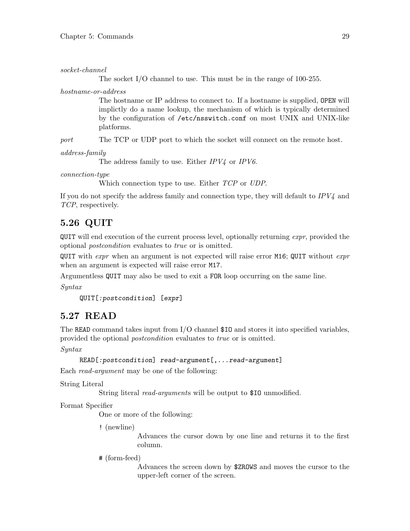socket-channel

The socket I/O channel to use. This must be in the range of 100-255.

hostname-or-address

The hostname or IP address to connect to. If a hostname is supplied, OPEN will implictly do a name lookup, the mechanism of which is typically determined by the configuration of /etc/nsswitch.conf on most UNIX and UNIX-like platforms.

port The TCP or UDP port to which the socket will connect on the remote host.

address-family

The address family to use. Either  $IPV<sub>4</sub>$  or  $IPV6$ .

connection-type

Which connection type to use. Either *TCP* or *UDP*.

If you do not specify the address family and connection type, they will default to  $IPV<sub>4</sub>$  and TCP, respectively.

## 5.26 QUIT

**QUIT** will end execution of the current process level, optionally returning *expr*, provided the optional postcondition evaluates to true or is omitted.

QUIT with *expr* when an argument is not expected will raise error M16; QUIT without *expr* when an argument is expected will raise error M17.

Argumentless QUIT may also be used to exit a FOR loop occurring on the same line.

Syntax

```
QUIT[:postcondition] [expr]
```
### 5.27 READ

The READ command takes input from I/O channel \$IO and stores it into specified variables, provided the optional *postcondition* evaluates to *true* or is omitted.

Syntax

```
READ[:postcondition] read-argument[,...read-argument]
```
Each read-argument may be one of the following:

String Literal

String literal *read-arguments* will be output to \$10 unmodified.

Format Specifier

One or more of the following:

! (newline)

Advances the cursor down by one line and returns it to the first column.

# (form-feed)

Advances the screen down by \$ZROWS and moves the cursor to the upper-left corner of the screen.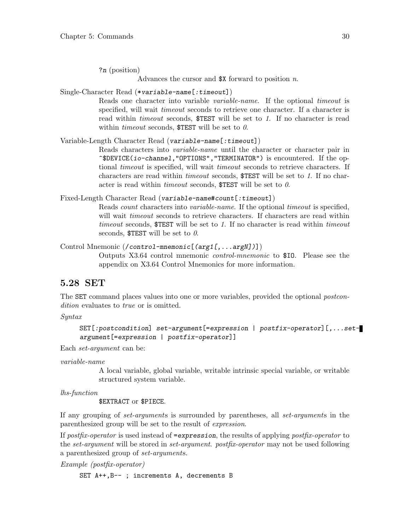?n (position)

Advances the cursor and \$X forward to position n.

Single-Character Read (\*variable-name[:timeout])

Reads one character into variable variable-name. If the optional timeout is specified, will wait *timeout* seconds to retrieve one character. If a character is read within *timeout* seconds, \$TEST will be set to 1. If no character is read within *timeout* seconds,  $TEST$  will be set to  $\theta$ .

Variable-Length Character Read (variable-name[:timeout])

Reads characters into variable-name until the character or character pair in ^\$DEVICE(io-channel,"OPTIONS","TERMINATOR") is encountered. If the optional *timeout* is specified, will wait *timeout* seconds to retrieve characters. If characters are read within timeout seconds, \$TEST will be set to 1. If no character is read within *timeout* seconds,  $$TEST$  will be set to  $0$ .

Fixed-Length Character Read (variable-name#count[:timeout])

Reads count characters into variable-name. If the optional timeout is specified, will wait *timeout* seconds to retrieve characters. If characters are read within timeout seconds, \$TEST will be set to 1. If no character is read within timeout seconds,  $TEST$  will be set to  $\theta$ .

Control Mnemonic (/control-mnemonic[(arg1[,...argN])])

Outputs X3.64 control mnemonic control-mnemonic to \$IO. Please see the appendix on X3.64 Control Mnemonics for more information.

### 5.28 SET

The SET command places values into one or more variables, provided the optional *postcon*dition evaluates to *true* or is omitted.

Syntax

```
SET[:postcondition] set-argument[=expression | postfix-operator][,...set-
argument[=expression | postfix-operator]]
```
Each set-argument can be:

variable-name

A local variable, global variable, writable intrinsic special variable, or writable structured system variable.

lhs-function

\$EXTRACT or \$PIECE.

If any grouping of set-arguments is surrounded by parentheses, all set-arguments in the parenthesized group will be set to the result of expression.

If postfix-operator is used instead of  $=$ expression, the results of applying postfix-operator to the set-argument will be stored in set-argument. postfix-operator may not be used following a parenthesized group of set-arguments.

Example (postfix-operator)

SET A++,B-- ; increments A, decrements B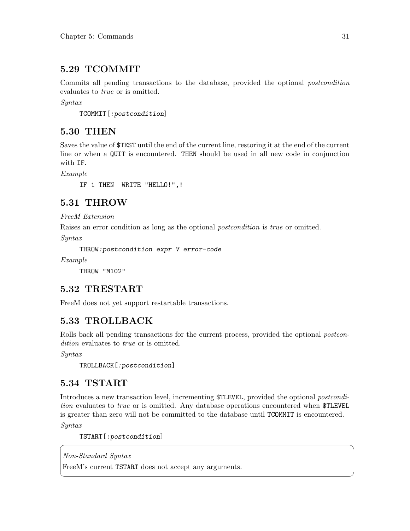## 5.29 TCOMMIT

Commits all pending transactions to the database, provided the optional postcondition evaluates to *true* or is omitted.

Syntax

TCOMMIT[:postcondition]

## 5.30 THEN

Saves the value of \$TEST until the end of the current line, restoring it at the end of the current line or when a QUIT is encountered. THEN should be used in all new code in conjunction with IF.

Example

IF 1 THEN WRITE "HELLO!",!

## 5.31 THROW

FreeM Extension

Raises an error condition as long as the optional *postcondition* is *true* or omitted.

Syntax

THROW:postcondition expr V error-code

Example

THROW "M102"

## 5.32 TRESTART

FreeM does not yet support restartable transactions.

## 5.33 TROLLBACK

Rolls back all pending transactions for the current process, provided the optional *postcon*dition evaluates to *true* or is omitted.

Syntax

TROLLBACK[:postcondition]

## 5.34 TSTART

Introduces a new transaction level, incrementing \$TLEVEL, provided the optional postcondition evaluates to true or is omitted. Any database operations encountered when \$TLEVEL is greater than zero will not be committed to the database until TCOMMIT is encountered.

 $\sqrt{2\pi}$ 

✡ ✠

Syntax

TSTART[:postcondition]

Non-Standard Syntax

FreeM's current TSTART does not accept any arguments.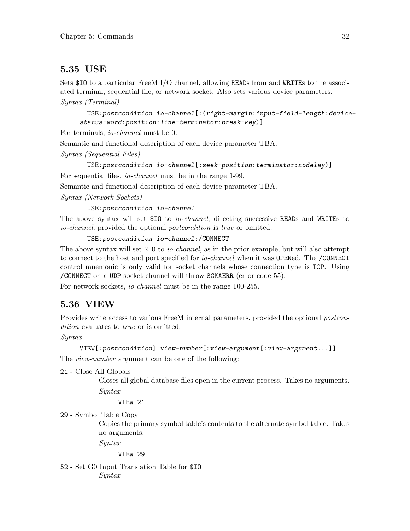## 5.35 USE

Sets \$IO to a particular FreeM I/O channel, allowing READs from and WRITEs to the associated terminal, sequential file, or network socket. Also sets various device parameters. Syntax (Terminal)

USE:postcondition io-channel[:(right-margin:input-field-length:devicestatus-word:position:line-terminator:break-key)]

For terminals, io-channel must be 0.

Semantic and functional description of each device parameter TBA.

Syntax (Sequential Files)

USE:postcondition io-channel[:seek-position:terminator:nodelay)] For sequential files, *io-channel* must be in the range 1-99.

Semantic and functional description of each device parameter TBA.

Syntax (Network Sockets)

USE:postcondition io-channel

The above syntax will set \$IO to io-channel, directing successive READs and WRITEs to io-channel, provided the optional postcondition is true or omitted.

```
USE:postcondition io-channel:/CONNECT
```
The above syntax will set \$10 to *io-channel*, as in the prior example, but will also attempt to connect to the host and port specified for *io-channel* when it was OPENed. The /CONNECT control mnemonic is only valid for socket channels whose connection type is TCP. Using /CONNECT on a UDP socket channel will throw SCKAERR (error code 55).

For network sockets, *io-channel* must be in the range 100-255.

## 5.36 VIEW

Provides write access to various FreeM internal parameters, provided the optional postcondition evaluates to *true* or is omitted.

Syntax

```
VIEW[:postcondition] view-number[:view-argument[:view-argument...]]
```
The *view-number* argument can be one of the following:

21 - Close All Globals

Closes all global database files open in the current process. Takes no arguments. Syntax

VIEW 21

```
29 - Symbol Table Copy
```
Copies the primary symbol table's contents to the alternate symbol table. Takes no arguments.

Syntax

VIEW 29

52 - Set G0 Input Translation Table for \$IO Syntax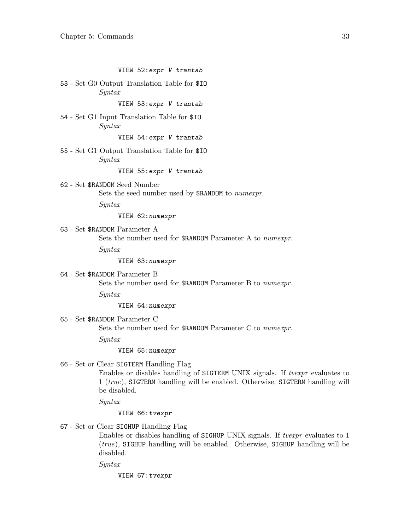#### VIEW 52:expr V trantab

53 - Set G0 Output Translation Table for \$IO Syntax

#### VIEW 53:expr V trantab

54 - Set G1 Input Translation Table for \$IO Syntax

VIEW 54:expr V trantab

55 - Set G1 Output Translation Table for \$IO Syntax

VIEW 55:expr V trantab

62 - Set \$RANDOM Seed Number Sets the seed number used by \$RANDOM to numexpr.

Syntax

VIEW 62:numexpr

63 - Set \$RANDOM Parameter A

Sets the number used for \$RANDOM Parameter A to numexpr.

Syntax

VIEW 63:numexpr

64 - Set \$RANDOM Parameter B

Sets the number used for \$RANDOM Parameter B to numexpr.

Syntax

VIEW 64:numexpr

65 - Set \$RANDOM Parameter C

Sets the number used for \$RANDOM Parameter C to numexpr.

Syntax

#### VIEW 65:numexpr

#### 66 - Set or Clear SIGTERM Handling Flag

Enables or disables handling of SIGTERM UNIX signals. If tvexpr evaluates to 1 (true), SIGTERM handling will be enabled. Otherwise, SIGTERM handling will be disabled.

Syntax

#### VIEW 66:tvexpr

67 - Set or Clear SIGHUP Handling Flag

Enables or disables handling of SIGHUP UNIX signals. If  $tvezpr$  evaluates to 1 (true), SIGHUP handling will be enabled. Otherwise, SIGHUP handling will be disabled.

Syntax

VIEW 67:tvexpr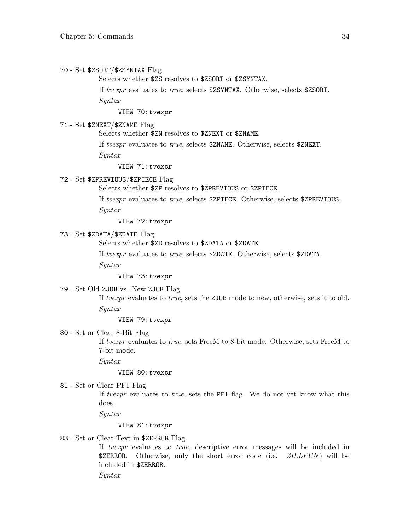#### 70 - Set \$ZSORT/\$ZSYNTAX Flag

Selects whether \$ZS resolves to \$ZSORT or \$ZSYNTAX.

If tvexpr evaluates to true, selects \$ZSYNTAX. Otherwise, selects \$ZSORT.

Syntax

VIEW 70:tvexpr

#### 71 - Set \$ZNEXT/\$ZNAME Flag

Selects whether \$ZN resolves to \$ZNEXT or \$ZNAME.

If tvexpr evaluates to true, selects \$ZNAME. Otherwise, selects \$ZNEXT.

Syntax

VIEW 71:tvexpr

#### 72 - Set \$ZPREVIOUS/\$ZPIECE Flag

Selects whether \$ZP resolves to \$ZPREVIOUS or \$ZPIECE.

If tvexpr evaluates to true, selects \$ZPIECE. Otherwise, selects \$ZPREVIOUS. Syntax

VIEW 72:tvexpr

#### 73 - Set \$ZDATA/\$ZDATE Flag

Selects whether \$ZD resolves to \$ZDATA or \$ZDATE.

If tvexpr evaluates to true, selects \$ZDATE. Otherwise, selects \$ZDATA.

Syntax

VIEW 73:tvexpr

#### 79 - Set Old ZJOB vs. New ZJOB Flag

If tvexpr evaluates to true, sets the ZJOB mode to new, otherwise, sets it to old. Syntax

#### VIEW 79:tvexpr

80 - Set or Clear 8-Bit Flag

If tvexpr evaluates to true, sets FreeM to 8-bit mode. Otherwise, sets FreeM to 7-bit mode.

Syntax

#### VIEW 80:tvexpr

81 - Set or Clear PF1 Flag

If tvexpr evaluates to true, sets the PF1 flag. We do not yet know what this does.

Syntax

#### VIEW 81:tvexpr

#### 83 - Set or Clear Text in \$ZERROR Flag

If tvexpr evaluates to true, descriptive error messages will be included in \$ZERROR. Otherwise, only the short error code (i.e. ZILLFUN) will be included in \$ZERROR.

Syntax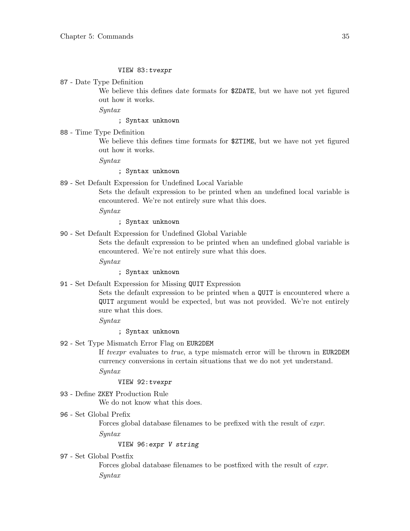#### VIEW 83:tvexpr

87 - Date Type Definition

We believe this defines date formats for \$ZDATE, but we have not yet figured out how it works.

Syntax

#### ; Syntax unknown

88 - Time Type Definition

We believe this defines time formats for \$2TIME, but we have not yet figured out how it works.

Syntax

#### ; Syntax unknown

89 - Set Default Expression for Undefined Local Variable

Sets the default expression to be printed when an undefined local variable is encountered. We're not entirely sure what this does.

Syntax

- ; Syntax unknown
- 90 Set Default Expression for Undefined Global Variable

Sets the default expression to be printed when an undefined global variable is encountered. We're not entirely sure what this does.

Syntax

; Syntax unknown

91 - Set Default Expression for Missing QUIT Expression

Sets the default expression to be printed when a QUIT is encountered where a QUIT argument would be expected, but was not provided. We're not entirely sure what this does.

Syntax

#### ; Syntax unknown

92 - Set Type Mismatch Error Flag on EUR2DEM

If tvexpr evaluates to true, a type mismatch error will be thrown in EUR2DEM currency conversions in certain situations that we do not yet understand.

Syntax

#### VIEW 92:tvexpr

93 - Define ZKEY Production Rule We do not know what this does.

#### 96 - Set Global Prefix

Forces global database filenames to be prefixed with the result of expr.

Syntax

#### VIEW 96:expr V string

97 - Set Global Postfix

Forces global database filenames to be postfixed with the result of expr. Syntax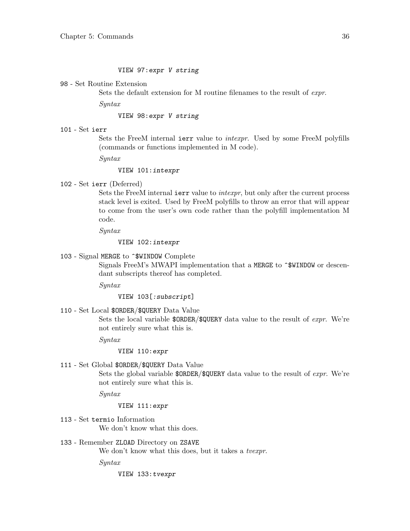#### VIEW 97:expr V string

98 - Set Routine Extension

Sets the default extension for M routine filenames to the result of expr.

Syntax

VIEW 98:expr V string

101 - Set ierr

Sets the FreeM internal ierr value to intexpr. Used by some FreeM polyfills (commands or functions implemented in M code).

Syntax

VIEW 101:intexpr

#### 102 - Set ierr (Deferred)

Sets the FreeM internal ierr value to *intexpr*, but only after the current process stack level is exited. Used by FreeM polyfills to throw an error that will appear to come from the user's own code rather than the polyfill implementation M code.

Syntax

VIEW 102:intexpr

#### 103 - Signal MERGE to ^\$WINDOW Complete

Signals FreeM's MWAPI implementation that a MERGE to ~\$WINDOW or descendant subscripts thereof has completed.

Syntax

#### VIEW 103[:subscript]

110 - Set Local \$ORDER/\$QUERY Data Value

Sets the local variable  $DRER/\Lap{L}QUERN$  data value to the result of *expr*. We're not entirely sure what this is.

Syntax

VIEW 110:expr

111 - Set Global \$ORDER/\$QUERY Data Value

Sets the global variable \$0RDER/\$QUERY data value to the result of *expr*. We're not entirely sure what this is.

Syntax

#### VIEW 111:expr

- 113 Set termio Information We don't know what this does.
- 133 Remember ZLOAD Directory on ZSAVE

We don't know what this does, but it takes a *tvexpr*.

Syntax

VIEW 133:tvexpr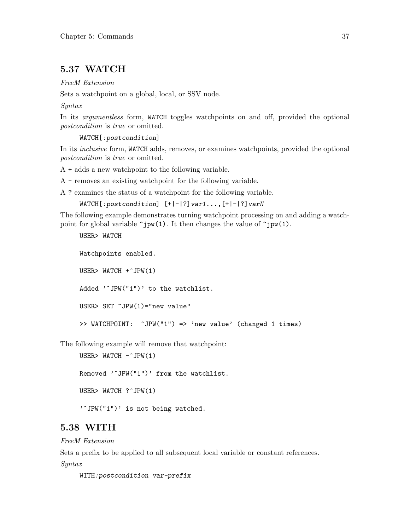### 5.37 WATCH

FreeM Extension

Sets a watchpoint on a global, local, or SSV node.

Syntax

In its *argumentless* form, WATCH toggles watchpoints on and off, provided the optional postcondition is true or omitted.

```
WATCH[:postcondition]
```
In its *inclusive* form, WATCH adds, removes, or examines watchpoints, provided the optional postcondition is true or omitted.

A + adds a new watchpoint to the following variable.

A - removes an existing watchpoint for the following variable.

A ? examines the status of a watchpoint for the following variable.

 $WATCH$ [:postcondition]  $[+|-|?]var1...$ ,  $[+|-|?]varN$ 

The following example demonstrates turning watchpoint processing on and adding a watchpoint for global variable  $\hat{\mathsf{p}}(1)$ . It then changes the value of  $\hat{\mathsf{p}}(1)$ .

USER> WATCH Watchpoints enabled. USER> WATCH +^JPW(1) Added '<sup>o</sup>JPW("1")' to the watchlist. USER> SET ^JPW(1)="new value" >> WATCHPOINT: ^JPW("1") => 'new value' (changed 1 times)

The following example will remove that watchpoint:

```
USER> WATCH -\hat{J}PW(1)Removed '<sup>^</sup>JPW("1")' from the watchlist.
USER> WATCH ?^JPW(1)
```
'"JPW("1")' is not being watched.

## 5.38 WITH

FreeM Extension

Sets a prefix to be applied to all subsequent local variable or constant references.

Syntax

WITH:postcondition var-prefix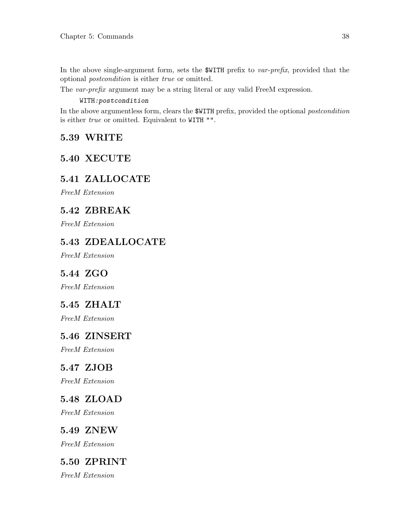In the above single-argument form, sets the \$WITH prefix to var-prefix, provided that the optional postcondition is either true or omitted.

The var-prefix argument may be a string literal or any valid FreeM expression.

#### WITH:postcondition

In the above argumentless form, clears the \$WITH prefix, provided the optional postcondition is either true or omitted. Equivalent to WITH "".

## 5.39 WRITE

## 5.40 XECUTE

## 5.41 ZALLOCATE

FreeM Extension

## 5.42 ZBREAK

FreeM Extension

## 5.43 ZDEALLOCATE

FreeM Extension

## 5.44 ZGO

FreeM Extension

## 5.45 ZHALT

FreeM Extension

## 5.46 ZINSERT

FreeM Extension

## 5.47 ZJOB

FreeM Extension

## 5.48 ZLOAD

FreeM Extension

## 5.49 ZNEW

FreeM Extension

## 5.50 ZPRINT

FreeM Extension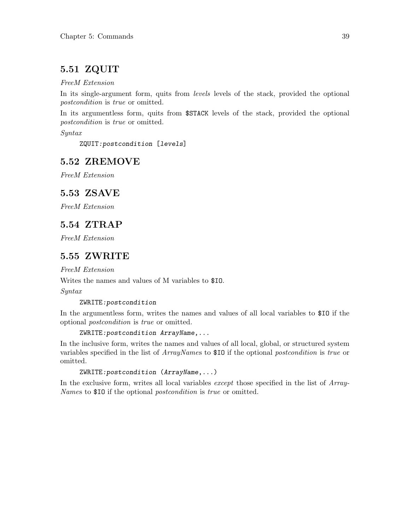## 5.51 ZQUIT

#### FreeM Extension

In its single-argument form, quits from *levels* levels of the stack, provided the optional postcondition is true or omitted.

In its argumentless form, quits from \$STACK levels of the stack, provided the optional postcondition is true or omitted.

Syntax

ZQUIT:postcondition [levels]

## 5.52 ZREMOVE

FreeM Extension

## 5.53 ZSAVE

FreeM Extension

## 5.54 ZTRAP

FreeM Extension

## 5.55 ZWRITE

FreeM Extension

Writes the names and values of M variables to \$IO.

Syntax

#### ZWRITE:postcondition

In the argumentless form, writes the names and values of all local variables to \$IO if the optional postcondition is true or omitted.

```
ZWRITE:postcondition ArrayName,...
```
In the inclusive form, writes the names and values of all local, global, or structured system variables specified in the list of ArrayNames to \$IO if the optional postcondition is true or omitted.

ZWRITE:postcondition (ArrayName,...)

In the exclusive form, writes all local variables *except* those specified in the list of Array-Names to \$10 if the optional *postcondition* is *true* or omitted.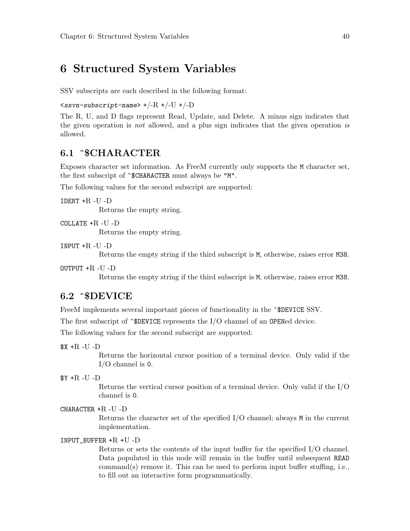## 6 Structured System Variables

SSV subscripts are each described in the following format:

 $\langle$ ssvn-subscript-name> +/-R +/-U +/-D

The R, U, and D flags represent Read, Update, and Delete. A minus sign indicates that the given operation is not allowed, and a plus sign indicates that the given operation is allowed.

### 6.1 ^\$CHARACTER

Exposes character set information. As FreeM currently only supports the M character set, the first subscript of  $\hat{\cdot}$  SCHARACTER must always be "M".

The following values for the second subscript are supported:

 $IDENT + R - U - D$ 

Returns the empty string.

COLLATE +R -U -D

Returns the empty string.

 $INPUT + R - U - D$ 

Returns the empty string if the third subscript is M, otherwise, raises error M38.

OUTPUT  $+R$  -U -D

Returns the empty string if the third subscript is M, otherwise, raises error M38.

### 6.2 ^\$DEVICE

```
FreeM implements several important pieces of functionality in the \textdegreeSDEVICE SSV.
```
The first subscript of  $\hat{\sigma}$ DEVICE represents the I/O channel of an OPENed device.

The following values for the second subscript are supported:

 $X + R - U - D$ 

Returns the horizontal cursor position of a terminal device. Only valid if the I/O channel is 0.

 $Y + R - U - D$ 

Returns the vertical cursor position of a terminal device. Only valid if the I/O channel is 0.

CHARACTER +R -U -D

Returns the character set of the specified I/O channel; always M in the current implementation.

#### INPUT\_BUFFER +R +U -D

Returns or sets the contents of the input buffer for the specified I/O channel. Data populated in this node will remain in the buffer until subsequent READ command(s) remove it. This can be used to perform input buffer stuffing, i.e., to fill out an interactive form programmatically.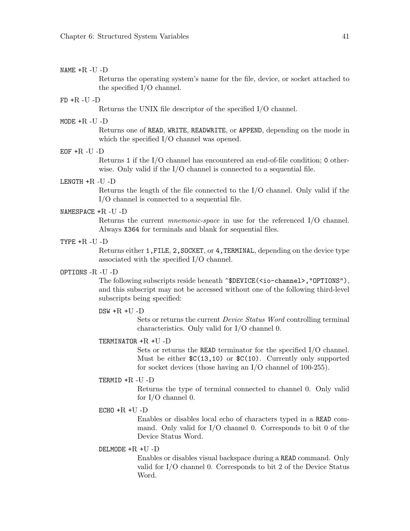#### NAME +R -U -D

Returns the operating system's name for the file, device, or socket attached to the specified I/O channel.

#### $FD + R - U - D$

Returns the UNIX file descriptor of the specified I/O channel.

#### MODE +R -U -D

Returns one of READ, WRITE, READWRITE, or APPEND, depending on the mode in which the specified I/O channel was opened.

#### $EOF + R - U - D$

Returns 1 if the I/O channel has encountered an end-of-file condition; 0 otherwise. Only valid if the I/O channel is connected to a sequential file.

#### LENGTH +R -U -D

Returns the length of the file connected to the I/O channel. Only valid if the I/O channel is connected to a sequential file.

#### NAMESPACE +R -U -D

Returns the current mnemonic-space in use for the referenced I/O channel. Always X364 for terminals and blank for sequential files.

#### TYPE  $+R$  -U -D

Returns either 1, FILE, 2, SOCKET, or 4, TERMINAL, depending on the device type associated with the specified I/O channel.

#### OPTIONS -R -U -D

The following subscripts reside beneath  $\text{SDEVICE}(\text{Sio-channel}\text{, "OPTIONS"}$ , and this subscript may not be accessed without one of the following third-level subscripts being specified:

#### $DSW + R + U - D$

Sets or returns the current Device Status Word controlling terminal characteristics. Only valid for I/O channel 0.

#### TERMINATOR +R +U -D

Sets or returns the READ terminator for the specified I/O channel. Must be either  $C(13,10)$  or  $C(10)$ . Currently only supported for socket devices (those having an I/O channel of 100-255).

#### TERMID +R -U -D

Returns the type of terminal connected to channel 0. Only valid for I/O channel 0.

#### $ECHO + R + U - D$

Enables or disables local echo of characters typed in a READ command. Only valid for I/O channel 0. Corresponds to bit 0 of the Device Status Word.

#### DELMODE +R +U -D

Enables or disables visual backspace during a READ command. Only valid for I/O channel 0. Corresponds to bit 2 of the Device Status Word.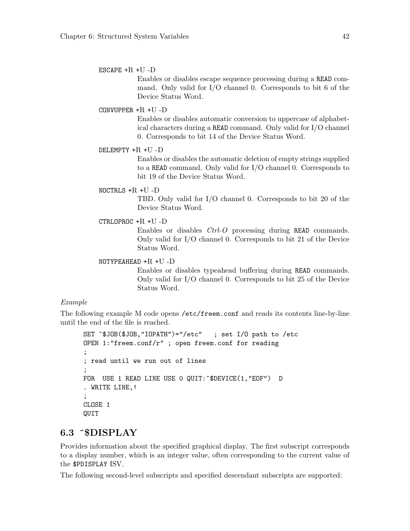#### ESCAPE +R +U -D

Enables or disables escape sequence processing during a READ command. Only valid for I/O channel 0. Corresponds to bit 6 of the Device Status Word.

#### CONVUPPER +R +U -D

Enables or disables automatic conversion to uppercase of alphabetical characters during a READ command. Only valid for I/O channel 0. Corresponds to bit 14 of the Device Status Word.

#### DELEMPTY +R +U -D

Enables or disables the automatic deletion of empty strings supplied to a READ command. Only valid for I/O channel 0. Corresponds to bit 19 of the Device Status Word.

#### NOCTRLS +R +U -D

TBD. Only valid for I/O channel 0. Corresponds to bit 20 of the Device Status Word.

#### CTRLOPROC +R +U -D

Enables or disables Ctrl-O processing during READ commands. Only valid for I/O channel 0. Corresponds to bit 21 of the Device Status Word.

#### NOTYPEAHEAD +R +U -D

Enables or disables typeahead buffering during READ commands. Only valid for I/O channel 0. Corresponds to bit 25 of the Device Status Word.

#### Example

The following example M code opens /etc/freem.conf and reads its contents line-by-line until the end of the file is reached.

```
SET ^$JOB($JOB,"IOPATH")="/etc" ; set I/O path to /etc
OPEN 1:"freem.conf/r" ; open freem.conf for reading
;
; read until we run out of lines
;
FOR USE 1 READ LINE USE 0 QUIT: ^$DEVICE(1, "EOF") D
. WRITE LINE,!
;
CLOSE 1
QUIT
```
### 6.3 ^\$DISPLAY

Provides information about the specified graphical display. The first subscript corresponds to a display number, which is an integer value, often corresponding to the current value of the \$PDISPLAY ISV.

The following second-level subscripts and specified descendant subscripts are supported: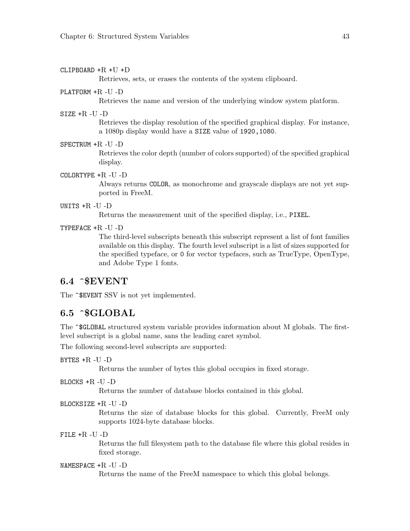#### CLIPBOARD +R +U +D

Retrieves, sets, or erases the contents of the system clipboard.

#### PLATFORM +R -U -D

Retrieves the name and version of the underlying window system platform.

#### SIZE +R -U -D

Retrieves the display resolution of the specified graphical display. For instance, a 1080p display would have a SIZE value of 1920,1080.

#### SPECTRUM +R -U -D

Retrieves the color depth (number of colors supported) of the specified graphical display.

#### COLORTYPE +R -U -D

Always returns COLOR, as monochrome and grayscale displays are not yet supported in FreeM.

#### UNITS +R -U -D

Returns the measurement unit of the specified display, i.e., PIXEL.

#### TYPEFACE +R -U -D

The third-level subscripts beneath this subscript represent a list of font families available on this display. The fourth level subscript is a list of sizes supported for the specified typeface, or 0 for vector typefaces, such as TrueType, OpenType, and Adobe Type 1 fonts.

### 6.4 ^\$EVENT

The  $\hat{\mathcal{F}}$ EVENT SSV is not yet implemented.

### 6.5 ^\$GLOBAL

The  $\hat{\sigma}$ GLOBAL structured system variable provides information about M globals. The firstlevel subscript is a global name, sans the leading caret symbol.

The following second-level subscripts are supported:

#### BYTES +R -U -D

Returns the number of bytes this global occupies in fixed storage.

BLOCKS +R -U -D

Returns the number of database blocks contained in this global.

#### BLOCKSIZE +R -U -D

Returns the size of database blocks for this global. Currently, FreeM only supports 1024-byte database blocks.

FILE +R -U -D

Returns the full filesystem path to the database file where this global resides in fixed storage.

#### NAMESPACE +R -U -D

Returns the name of the FreeM namespace to which this global belongs.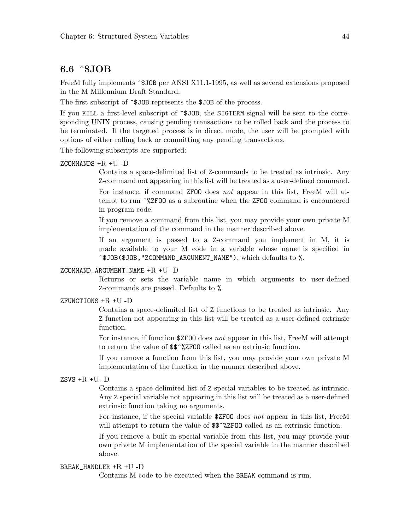## 6.6 ^\$JOB

FreeM fully implements  $\hat{\sigma}$  JOB per ANSI X11.1-1995, as well as several extensions proposed in the M Millennium Draft Standard.

The first subscript of  $\hat{}$  \$JOB represents the \$JOB of the process.

If you KILL a first-level subscript of  $\hat{}$ \$JOB, the SIGTERM signal will be sent to the corresponding UNIX process, causing pending transactions to be rolled back and the process to be terminated. If the targeted process is in direct mode, the user will be prompted with options of either rolling back or committing any pending transactions.

The following subscripts are supported:

#### ZCOMMANDS +R +U -D

Contains a space-delimited list of Z-commands to be treated as intrinsic. Any Z-command not appearing in this list will be treated as a user-defined command.

For instance, if command ZFOO does not appear in this list, FreeM will attempt to run ^%ZFOO as a subroutine when the ZFOO command is encountered in program code.

If you remove a command from this list, you may provide your own private M implementation of the command in the manner described above.

If an argument is passed to a Z-command you implement in M, it is made available to your M code in a variable whose name is specified in ^\$JOB(\$JOB,"ZCOMMAND\_ARGUMENT\_NAME"), which defaults to %.

#### ZCOMMAND\_ARGUMENT\_NAME +R +U -D

Returns or sets the variable name in which arguments to user-defined Z-commands are passed. Defaults to %.

#### ZFUNCTIONS  $+R +U -D$

Contains a space-delimited list of Z functions to be treated as intrinsic. Any Z function not appearing in this list will be treated as a user-defined extrinsic function.

For instance, if function \$ZFOO does not appear in this list, FreeM will attempt to return the value of \$\$^%ZFOO called as an extrinsic function.

If you remove a function from this list, you may provide your own private M implementation of the function in the manner described above.

#### ZSVS +R +U -D

Contains a space-delimited list of Z special variables to be treated as intrinsic. Any Z special variable not appearing in this list will be treated as a user-defined extrinsic function taking no arguments.

For instance, if the special variable \$ZFOO does not appear in this list, FreeM will attempt to return the value of  $\frac{25}{8}$ %ZFOO called as an extrinsic function.

If you remove a built-in special variable from this list, you may provide your own private M implementation of the special variable in the manner described above.

#### BREAK\_HANDLER  $+R +U -D$

Contains M code to be executed when the BREAK command is run.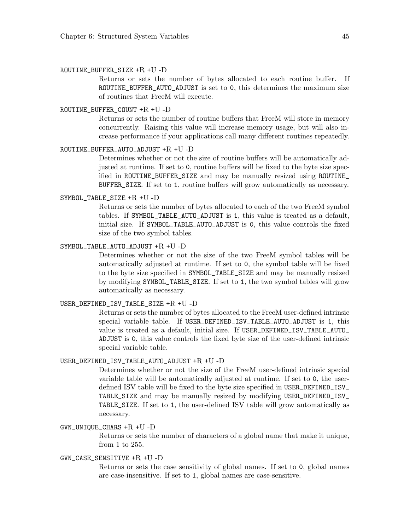#### ROUTINE\_BUFFER\_SIZE +R +U -D

Returns or sets the number of bytes allocated to each routine buffer. If ROUTINE\_BUFFER\_AUTO\_ADJUST is set to 0, this determines the maximum size of routines that FreeM will execute.

#### ROUTINE\_BUFFER\_COUNT +R +U -D

Returns or sets the number of routine buffers that FreeM will store in memory concurrently. Raising this value will increase memory usage, but will also increase performance if your applications call many different routines repeatedly.

#### ROUTINE\_BUFFER\_AUTO\_ADJUST +R +U -D

Determines whether or not the size of routine buffers will be automatically adjusted at runtime. If set to 0, routine buffers will be fixed to the byte size specified in ROUTINE\_BUFFER\_SIZE and may be manually resized using ROUTINE\_ BUFFER\_SIZE. If set to 1, routine buffers will grow automatically as necessary.

#### SYMBOL\_TABLE\_SIZE +R +U -D

Returns or sets the number of bytes allocated to each of the two FreeM symbol tables. If SYMBOL\_TABLE\_AUTO\_ADJUST is 1, this value is treated as a default, initial size. If SYMBOL\_TABLE\_AUTO\_ADJUST is 0, this value controls the fixed size of the two symbol tables.

#### SYMBOL\_TABLE\_AUTO\_ADJUST +R +U -D

Determines whether or not the size of the two FreeM symbol tables will be automatically adjusted at runtime. If set to 0, the symbol table will be fixed to the byte size specified in SYMBOL\_TABLE\_SIZE and may be manually resized by modifying SYMBOL\_TABLE\_SIZE. If set to 1, the two symbol tables will grow automatically as necessary.

#### USER\_DEFINED\_ISV\_TABLE\_SIZE +R +U -D

Returns or sets the number of bytes allocated to the FreeM user-defined intrinsic special variable table. If USER\_DEFINED\_ISV\_TABLE\_AUTO\_ADJUST is 1, this value is treated as a default, initial size. If USER\_DEFINED\_ISV\_TABLE\_AUTO\_ ADJUST is 0, this value controls the fixed byte size of the user-defined intrinsic special variable table.

#### USER\_DEFINED\_ISV\_TABLE\_AUTO\_ADJUST +R +U -D

Determines whether or not the size of the FreeM user-defined intrinsic special variable table will be automatically adjusted at runtime. If set to 0, the userdefined ISV table will be fixed to the byte size specified in USER\_DEFINED\_ISV\_ TABLE\_SIZE and may be manually resized by modifying USER\_DEFINED\_ISV\_ TABLE\_SIZE. If set to 1, the user-defined ISV table will grow automatically as necessary.

#### GVN\_UNIQUE\_CHARS +R +U -D

Returns or sets the number of characters of a global name that make it unique, from 1 to 255.

#### GVN\_CASE\_SENSITIVE +R +U -D

Returns or sets the case sensitivity of global names. If set to 0, global names are case-insensitive. If set to 1, global names are case-sensitive.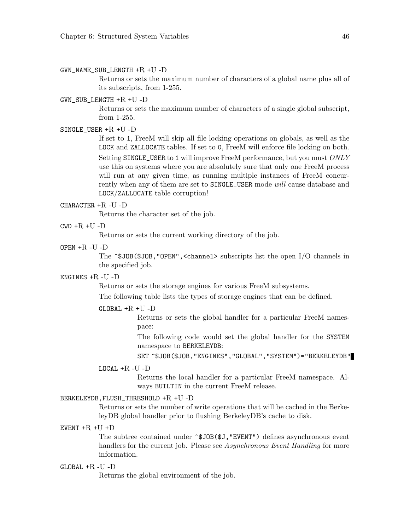#### GVN\_NAME\_SUB\_LENGTH +R +U -D

Returns or sets the maximum number of characters of a global name plus all of its subscripts, from 1-255.

#### GVN\_SUB\_LENGTH +R +U -D

Returns or sets the maximum number of characters of a single global subscript, from 1-255.

#### SINGLE\_USER +R +U -D

If set to 1, FreeM will skip all file locking operations on globals, as well as the LOCK and ZALLOCATE tables. If set to 0, FreeM will enforce file locking on both. Setting SINGLE\_USER to 1 will improve FreeM performance, but you must ONLY use this on systems where you are absolutely sure that only one FreeM process will run at any given time, as running multiple instances of FreeM concurrently when any of them are set to SINGLE\_USER mode will cause database and LOCK/ZALLOCATE table corruption!

#### CHARACTER +R -U -D

Returns the character set of the job.

#### $CWD + R + U - D$

Returns or sets the current working directory of the job.

#### OPEN +R -U -D

The  $\hat{\mathcal{S}}$ JOB( $\hat{\mathcal{S}}$ JOB,"OPEN",<channel> subscripts list the open I/O channels in the specified job.

#### ENGINES +R -U -D

Returns or sets the storage engines for various FreeM subsystems.

The following table lists the types of storage engines that can be defined.

#### GLOBAL +R +U -D

Returns or sets the global handler for a particular FreeM namespace:

The following code would set the global handler for the SYSTEM namespace to BERKELEYDB:

SET ^\$JOB(\$JOB,"ENGINES","GLOBAL","SYSTEM")="BERKELEYDB"

#### $LOGAL + R - U - D$

Returns the local handler for a particular FreeM namespace. Always BUILTIN in the current FreeM release.

#### BERKELEYDB,FLUSH\_THRESHOLD +R +U -D

Returns or sets the number of write operations that will be cached in the BerkeleyDB global handler prior to flushing BerkeleyDB's cache to disk.

#### EVENT  $+R +U +D$

The subtree contained under  $\hat{\mathcal{F}}$ JOB( $\hat{\mathcal{F}}$ J, "EVENT") defines asynchronous event handlers for the current job. Please see Asynchronous Event Handling for more information.

#### $GLOBAL + R - U - D$

Returns the global environment of the job.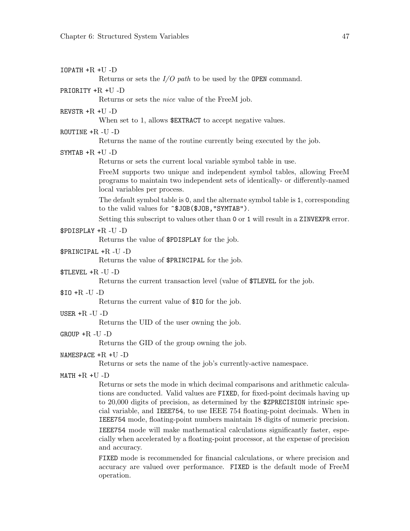| $IOPATH + R + U - D$ | Returns or sets the $I/O$ path to be used by the OPEN command.                                                                                                                                                                                                                                                                                                                                                                                                                                                                                                                                              |
|----------------------|-------------------------------------------------------------------------------------------------------------------------------------------------------------------------------------------------------------------------------------------------------------------------------------------------------------------------------------------------------------------------------------------------------------------------------------------------------------------------------------------------------------------------------------------------------------------------------------------------------------|
|                      |                                                                                                                                                                                                                                                                                                                                                                                                                                                                                                                                                                                                             |
| PRIORITY $+R +U -D$  | Returns or sets the <i>nice</i> value of the FreeM job.                                                                                                                                                                                                                                                                                                                                                                                                                                                                                                                                                     |
| REVSTR $+R +U -D$    | When set to 1, allows \$EXTRACT to accept negative values.                                                                                                                                                                                                                                                                                                                                                                                                                                                                                                                                                  |
| ROUTINE $+R$ -U -D   | Returns the name of the routine currently being executed by the job.                                                                                                                                                                                                                                                                                                                                                                                                                                                                                                                                        |
|                      |                                                                                                                                                                                                                                                                                                                                                                                                                                                                                                                                                                                                             |
| SYMTAB $+R +U -D$    | Returns or sets the current local variable symbol table in use.                                                                                                                                                                                                                                                                                                                                                                                                                                                                                                                                             |
|                      | FreeM supports two unique and independent symbol tables, allowing FreeM<br>programs to maintain two independent sets of identically- or differently-named<br>local variables per process.                                                                                                                                                                                                                                                                                                                                                                                                                   |
|                      | The default symbol table is 0, and the alternate symbol table is 1, corresponding<br>to the valid values for ~\$JOB(\$JOB, "SYMTAB").                                                                                                                                                                                                                                                                                                                                                                                                                                                                       |
|                      | Setting this subscript to values other than 0 or 1 will result in a ZINVEXPR error.                                                                                                                                                                                                                                                                                                                                                                                                                                                                                                                         |
| \$PDISPLAY +R-U-D    |                                                                                                                                                                                                                                                                                                                                                                                                                                                                                                                                                                                                             |
|                      | Returns the value of \$PDISPLAY for the job.                                                                                                                                                                                                                                                                                                                                                                                                                                                                                                                                                                |
|                      | \$PRINCIPAL +R-U-D<br>Returns the value of \$PRINCIPAL for the job.                                                                                                                                                                                                                                                                                                                                                                                                                                                                                                                                         |
| $TLEVEL + R - U - D$ |                                                                                                                                                                                                                                                                                                                                                                                                                                                                                                                                                                                                             |
|                      | Returns the current transaction level (value of \$TLEVEL for the job.                                                                                                                                                                                                                                                                                                                                                                                                                                                                                                                                       |
| $$10 + R - U - D$    | Returns the current value of \$10 for the job.                                                                                                                                                                                                                                                                                                                                                                                                                                                                                                                                                              |
| USER $+R$ -U -D      |                                                                                                                                                                                                                                                                                                                                                                                                                                                                                                                                                                                                             |
|                      | Returns the UID of the user owning the job.                                                                                                                                                                                                                                                                                                                                                                                                                                                                                                                                                                 |
| GROUP $+R$ -U -D     |                                                                                                                                                                                                                                                                                                                                                                                                                                                                                                                                                                                                             |
|                      | Returns the GID of the group owning the job.                                                                                                                                                                                                                                                                                                                                                                                                                                                                                                                                                                |
| NAMESPACE $+R$ +U -D | Returns or sets the name of the job's currently-active namespace.                                                                                                                                                                                                                                                                                                                                                                                                                                                                                                                                           |
| $MATH + R + U - D$   |                                                                                                                                                                                                                                                                                                                                                                                                                                                                                                                                                                                                             |
|                      | Returns or sets the mode in which decimal comparisons and arithmetic calcula-<br>tions are conducted. Valid values are FIXED, for fixed-point decimals having up<br>to 20,000 digits of precision, as determined by the \$ZPRECISION intrinsic spe-<br>cial variable, and IEEE754, to use IEEE 754 floating-point decimals. When in<br>IEEE754 mode, floating-point numbers maintain 18 digits of numeric precision.<br>IEEE754 mode will make mathematical calculations significantly faster, espe-<br>cially when accelerated by a floating-point processor, at the expense of precision<br>and accuracy. |
|                      |                                                                                                                                                                                                                                                                                                                                                                                                                                                                                                                                                                                                             |

FIXED mode is recommended for financial calculations, or where precision and accuracy are valued over performance. FIXED is the default mode of FreeM operation.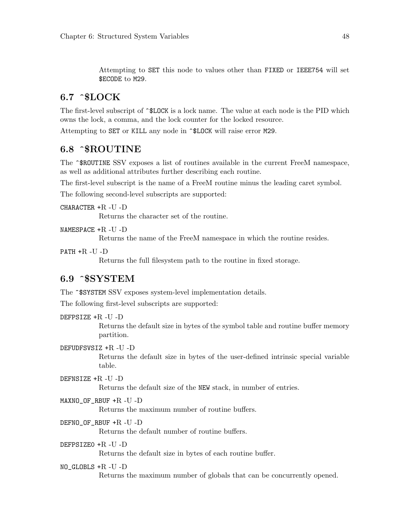Attempting to SET this node to values other than FIXED or IEEE754 will set \$ECODE to M29.

## $6.7$   $\degree$ SLOCK

The first-level subscript of  $\hat{\phantom{a}}$  SLOCK is a lock name. The value at each node is the PID which owns the lock, a comma, and the lock counter for the locked resource.

Attempting to SET or KILL any node in ^\$LOCK will raise error M29.

### 6.8 ^\$ROUTINE

The  $\hat{\sigma}$ ROUTINE SSV exposes a list of routines available in the current FreeM namespace, as well as additional attributes further describing each routine.

The first-level subscript is the name of a FreeM routine minus the leading caret symbol.

The following second-level subscripts are supported:

CHARACTER +R -U -D

Returns the character set of the routine.

NAMESPACE +R -U -D

Returns the name of the FreeM namespace in which the routine resides.

PATH  $+R$  -U -D

Returns the full filesystem path to the routine in fixed storage.

### 6.9 ^\$SYSTEM

The ~\$SYSTEM SSV exposes system-level implementation details.

The following first-level subscripts are supported:

DEFPSIZE +R -U -D

Returns the default size in bytes of the symbol table and routine buffer memory partition.

DEFUDFSVSIZ +R -U -D

Returns the default size in bytes of the user-defined intrinsic special variable table.

DEFNSIZE +R -U -D

Returns the default size of the NEW stack, in number of entries.

#### MAXNO\_OF\_RBUF +R -U -D

Returns the maximum number of routine buffers.

#### DEFNO\_OF\_RBUF +R -U -D

Returns the default number of routine buffers.

#### DEFPSIZE0 +R -U -D

Returns the default size in bytes of each routine buffer.

#### $NO_GLOBLS + R$  -U -D

Returns the maximum number of globals that can be concurrently opened.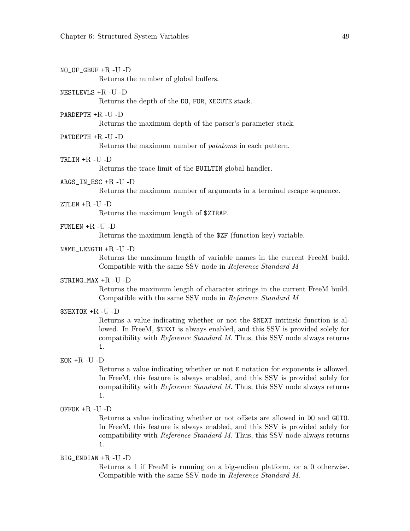$NO_OF_GBUF + R - U - D$ 

Returns the number of global buffers.

#### NESTLEVLS +R -U -D

Returns the depth of the DO, FOR, XECUTE stack.

#### PARDEPTH +R -U -D

Returns the maximum depth of the parser's parameter stack.

#### PATDEPTH +R -U -D

Returns the maximum number of patatoms in each pattern.

#### TRLIM +R -U -D

Returns the trace limit of the BUILTIN global handler.

#### ARGS IN ESC  $+R$  -U -D

Returns the maximum number of arguments in a terminal escape sequence.

#### $ZTIEN + R - U - D$

Returns the maximum length of \$ZTRAP.

#### FUNLEN +R -U -D

Returns the maximum length of the \$ZF (function key) variable.

#### NAME LENGTH  $+R$  -U -D

Returns the maximum length of variable names in the current FreeM build. Compatible with the same SSV node in Reference Standard M

#### STRING\_MAX +R -U -D

Returns the maximum length of character strings in the current FreeM build. Compatible with the same SSV node in Reference Standard M

\$NEXTOK +R -U -D

Returns a value indicating whether or not the \$NEXT intrinsic function is allowed. In FreeM, \$NEXT is always enabled, and this SSV is provided solely for compatibility with Reference Standard M. Thus, this SSV node always returns 1.

#### EOK  $+R$  -U -D

Returns a value indicating whether or not E notation for exponents is allowed. In FreeM, this feature is always enabled, and this SSV is provided solely for compatibility with Reference Standard M. Thus, this SSV node always returns 1.

#### OFFOK +R -U -D

Returns a value indicating whether or not offsets are allowed in DO and GOTO. In FreeM, this feature is always enabled, and this SSV is provided solely for compatibility with Reference Standard M. Thus, this SSV node always returns 1.

#### BIG\_ENDIAN +R -U -D

Returns a 1 if FreeM is running on a big-endian platform, or a 0 otherwise. Compatible with the same SSV node in Reference Standard M.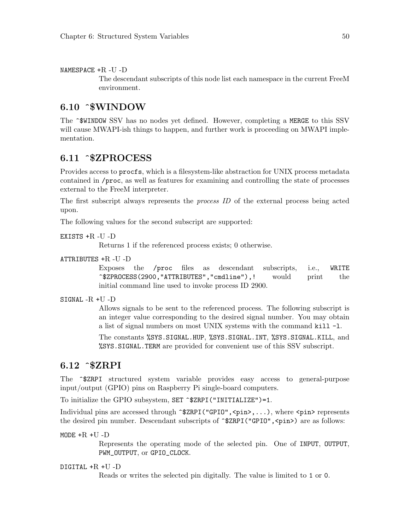NAMESPACE  $+R$  -U -D

The descendant subscripts of this node list each namespace in the current FreeM environment.

### 6.10 ^\$WINDOW

The ^\$WINDOW SSV has no nodes yet defined. However, completing a MERGE to this SSV will cause MWAPI-ish things to happen, and further work is proceeding on MWAPI implementation.

## 6.11 ^\$ZPROCESS

Provides access to procfs, which is a filesystem-like abstraction for UNIX process metadata contained in /proc, as well as features for examining and controlling the state of processes external to the FreeM interpreter.

The first subscript always represents the process ID of the external process being acted upon.

The following values for the second subscript are supported:

```
EXISTS +R -U -D
```
Returns 1 if the referenced process exists; 0 otherwise.

```
ATTRIBUTES +R -U -D
```
Exposes the /proc files as descendant subscripts, i.e., WRITE ^\$ZPROCESS(2900,"ATTRIBUTES","cmdline"),! would print the initial command line used to invoke process ID 2900.

SIGNAL -R +U -D

Allows signals to be sent to the referenced process. The following subscript is an integer value corresponding to the desired signal number. You may obtain a list of signal numbers on most UNIX systems with the command kill -l.

The constants %SYS.SIGNAL.HUP, %SYS.SIGNAL.INT, %SYS.SIGNAL.KILL, and %SYS.SIGNAL.TERM are provided for convenient use of this SSV subscript.

### 6.12 ^\$ZRPI

The ^\$ZRPI structured system variable provides easy access to general-purpose input/output (GPIO) pins on Raspberry Pi single-board computers.

To initialize the GPIO subsystem, SET ^\$ZRPI("INITIALIZE")=1.

Individual pins are accessed through  $\hat{\sigma}$ ZRPI("GPIO", <pin>,...), where <pin> represents the desired pin number. Descendant subscripts of  $\hat{\sigma}$ ERPI("GPIO", <pin>) are as follows:

MODE  $+R +U -D$ 

Represents the operating mode of the selected pin. One of INPUT, OUTPUT, PWM\_OUTPUT, or GPIO\_CLOCK.

DIGITAL +R +U -D

Reads or writes the selected pin digitally. The value is limited to 1 or 0.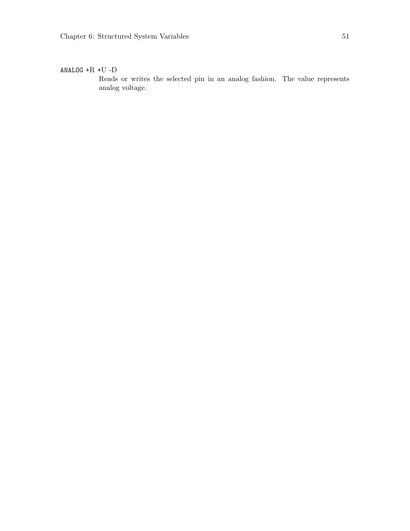#### ANALOG  $+R +U -D$

Reads or writes the selected pin in an analog fashion. The value represents analog voltage.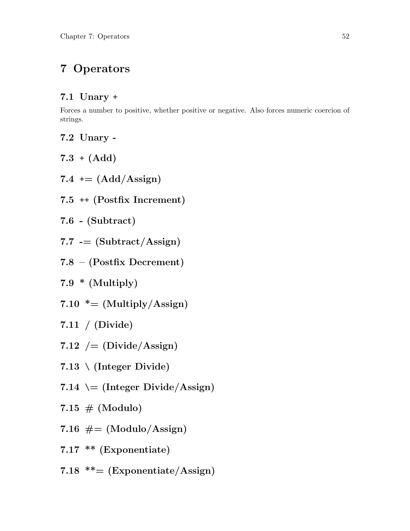## 7 Operators

## 7.1 Unary +

Forces a number to positive, whether positive or negative. Also forces numeric coercion of strings.

7.2 Unary -

 $7.3 + (Add)$ 

- 7.4  $+$   $=$   $(Add/Assign)$
- 7.5 ++ (Postfix Increment)

7.6 - (Subtract)

7.7  $-$  (Subtract/Assign)

7.8 – (Postfix Decrement)

7.9  $*$  (Multiply)

7.10  $* = (Multiply/Assign)$ 

7.11 / (Divide)

- 7.12  $/=(Divide/Assign)$
- $7.13 \setminus (Integer Divide)$
- 7.14  $\leftarrow$  (Integer Divide/Assign)
- 7.15  $# (Modulo)$
- 7.16  $#=(\text{Modulo}/\text{Assign})$
- 7.17 \*\* (Exponentiate)
- 7.18  $**=(Exponentiate/Assign)$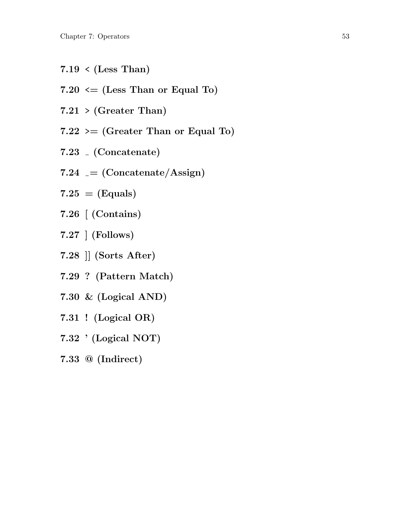- $7.19 \leq (Less Than)$
- 7.20  $\leq$  (Less Than or Equal To)
- $7.21$  > (Greater Than)
- $7.22 \geq (G \text{reater} \text{ Than or Equal To})$
- 7.23 (Concatenate)
- 7.24  $=$  (Concatenate/Assign)
- $7.25 = (Equals)$
- 7.26 [ (Contains)
- 7.27 ] (Follows)
- 7.28 ]] (Sorts After)
- 7.29 ? (Pattern Match)
- 7.30 & (Logical AND)
- 7.31 ! (Logical OR)
- 7.32 ' (Logical NOT)
- 7.33 @ (Indirect)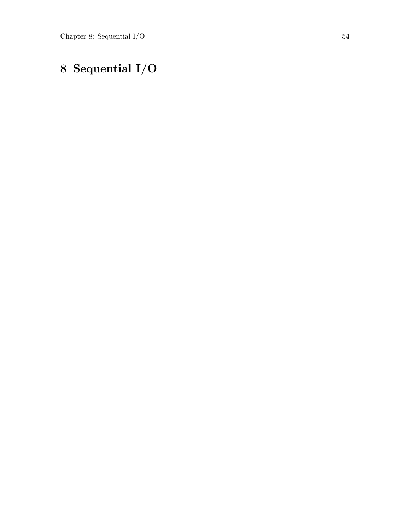# 8 Sequential I/O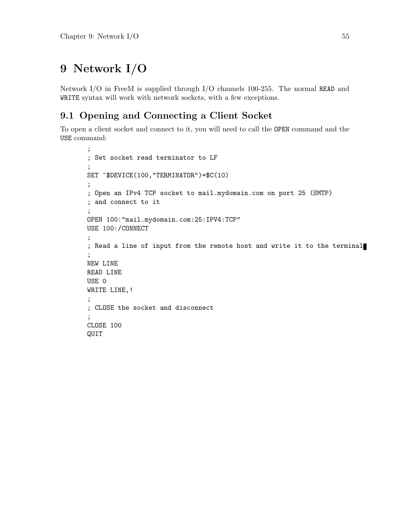## 9 Network I/O

Network I/O in FreeM is supplied through I/O channels 100-255. The normal READ and WRITE syntax will work with network sockets, with a few exceptions.

## 9.1 Opening and Connecting a Client Socket

To open a client socket and connect to it, you will need to call the OPEN command and the USE command:

```
;
; Set socket read terminator to LF
;
SET ^$DEVICE(100,"TERMINATOR")=$C(10)
;
; Open an IPv4 TCP socket to mail.mydomain.com on port 25 (SMTP)
; and connect to it
;
OPEN 100:"mail.mydomain.com:25:IPV4:TCP"
USE 100:/CONNECT
;
; Read a line of input from the remote host and write it to the terminal
;
NEW LINE
READ LINE
USE 0
WRITE LINE,!
;
; CLOSE the socket and disconnect
;
CLOSE 100
QUIT
```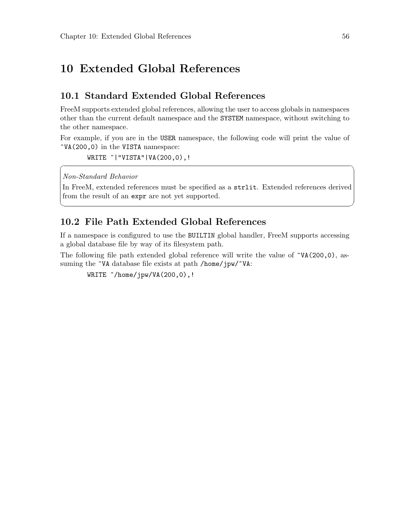## 10 Extended Global References

## 10.1 Standard Extended Global References

FreeM supports extended global references, allowing the user to access globals in namespaces other than the current default namespace and the SYSTEM namespace, without switching to the other namespace.

For example, if you are in the USER namespace, the following code will print the value of  $\gamma$ VA(200,0) in the VISTA namespace:

```
WRITE ^| "VISTA" | VA(200,0), !
```
Non-Standard Behavior

In FreeM, extended references must be specified as a strlit. Extended references derived from the result of an expr are not yet supported.

✡ ✠

 $\sqrt{2\pi}$ 

## 10.2 File Path Extended Global References

If a namespace is configured to use the BUILTIN global handler, FreeM supports accessing a global database file by way of its filesystem path.

The following file path extended global reference will write the value of  $\gamma(A(200,0), a$ ssuming the  $\gamma$ VA database file exists at path /home/jpw/ $\gamma$ VA:

 $WRITE \n\hat{\ }$ /home/jpw/VA(200,0),!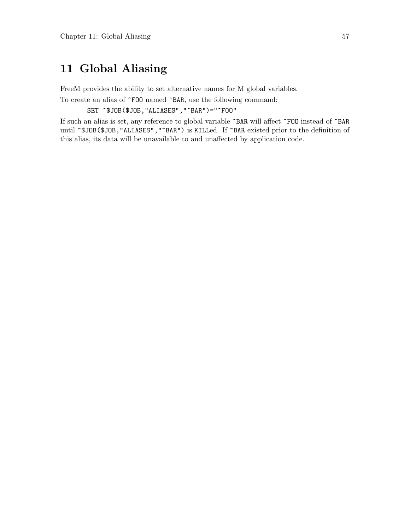## 11 Global Aliasing

FreeM provides the ability to set alternative names for M global variables.

To create an alias of ^FOO named ^BAR, use the following command:

SET ^\$JOB(\$JOB,"ALIASES","^BAR")="^FOO"

If such an alias is set, any reference to global variable ^BAR will affect ^FOO instead of ^BAR until ^\$JOB(\$JOB,"ALIASES","^BAR") is KILLed. If ^BAR existed prior to the definition of this alias, its data will be unavailable to and unaffected by application code.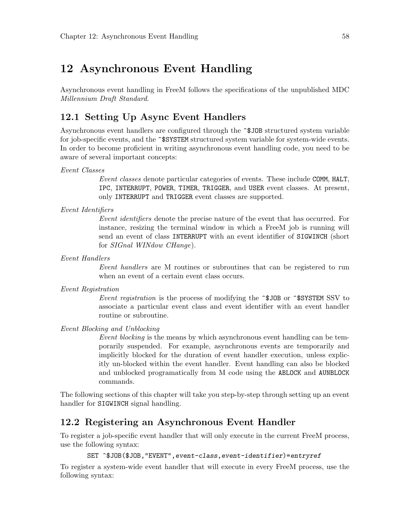## 12 Asynchronous Event Handling

Asynchronous event handling in FreeM follows the specifications of the unpublished MDC Millennium Draft Standard.

## 12.1 Setting Up Async Event Handlers

Asynchronous event handlers are configured through the ^\$JOB structured system variable for job-specific events, and the ~\$SYSTEM structured system variable for system-wide events. In order to become proficient in writing asynchronous event handling code, you need to be aware of several important concepts:

#### Event Classes

Event classes denote particular categories of events. These include COMM, HALT, IPC, INTERRUPT, POWER, TIMER, TRIGGER, and USER event classes. At present, only INTERRUPT and TRIGGER event classes are supported.

#### Event Identifiers

Event identifiers denote the precise nature of the event that has occurred. For instance, resizing the terminal window in which a FreeM job is running will send an event of class INTERRUPT with an event identifier of SIGWINCH (short for SIGnal WINdow CHange).

Event Handlers

Event handlers are M routines or subroutines that can be registered to run when an event of a certain event class occurs.

Event Registration

Event registration is the process of modifying the  $\hat{}$  SJOB or  $\hat{}$ SSYSTEM SSV to associate a particular event class and event identifier with an event handler routine or subroutine.

#### Event Blocking and Unblocking

Event blocking is the means by which asynchronous event handling can be temporarily suspended. For example, asynchronous events are temporarily and implicitly blocked for the duration of event handler execution, unless explicitly un-blocked within the event handler. Event handling can also be blocked and unblocked programatically from M code using the ABLOCK and AUNBLOCK commands.

The following sections of this chapter will take you step-by-step through setting up an event handler for SIGWINCH signal handling.

### 12.2 Registering an Asynchronous Event Handler

To register a job-specific event handler that will only execute in the current FreeM process, use the following syntax:

```
SET ^$JOB($JOB,"EVENT",event-class,event-identifier)=entryref
```
To register a system-wide event handler that will execute in every FreeM process, use the following syntax: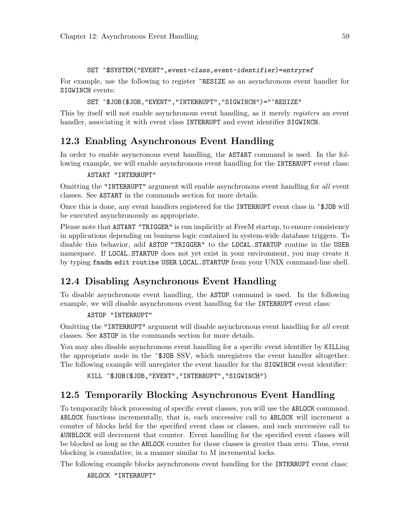#### SET ^\$SYSTEM("EVENT",event-class,event-identifier)=entryref

For example, use the following to register  $\hat{\tau}$ RESIZE as an asynchronous event handler for SIGWINCH events:

#### SET ^\$JOB(\$JOB,"EVENT","INTERRUPT","SIGWINCH")="^RESIZE"

This by itself will not enable asynchronous event handling, as it merely registers an event handler, associating it with event class INTERRUPT and event identifier SIGWINCH.

### 12.3 Enabling Asynchronous Event Handling

In order to enable asyncronous event handling, the ASTART command is used. In the following example, we will enable asynchronous event handling for the INTERRUPT event class:

#### ASTART "INTERRUPT"

Omitting the "INTERRUPT" argument will enable asynchronous event handling for all event classes. See ASTART in the commands section for more details.

Once this is done, any event handlers registered for the INTERRUPT event class in ^\$JOB will be executed asynchronously as appropriate.

Please note that ASTART "TRIGGER" is run implicitly at FreeM startup, to ensure consistency in applications depending on business logic contained in system-wide database triggers. To disable this behavior, add ASTOP "TRIGGER" to the LOCAL.STARTUP routine in the USER namespace. If LOCAL.STARTUP does not yet exist in your environment, you may create it by typing fmadm edit routine USER LOCAL.STARTUP from your UNIX command-line shell.

## 12.4 Disabling Asynchronous Event Handling

To disable asynchronous event handling, the ASTOP command is used. In the following example, we will disable asynchronous event handling for the INTERRUPT event class:

#### ASTOP "INTERRUPT"

Omitting the "INTERRUPT" argument will disable asynchronous event handling for all event classes. See ASTOP in the commands section for more details.

You may also disable asynchronous event handling for a specific event identifier by KILLing the appropriate node in the ^\$JOB SSV, which unregisters the event handler altogether. The following example will unregister the event handler for the SIGWINCH event identifier:

```
KILL ^$JOB($JOB, "EVENT", "INTERRUPT", "SIGWINCH")
```
### 12.5 Temporarily Blocking Asynchronous Event Handling

To temporarily block processing of specific event classes, you will use the ABLOCK command. ABLOCK functions incrementally, that is, each successive call to ABLOCK will increment a counter of blocks held for the specified event class or classes, and each successive call to AUNBLOCK will decrement that counter. Event handling for the specified event classes will be blocked as long as the ABLOCK counter for those classes is greater than zero. Thus, event blocking is cumulative, in a manner similar to M incremental locks.

The following example blocks asynchronous event handling for the INTERRUPT event class:

ABLOCK "INTERRUPT"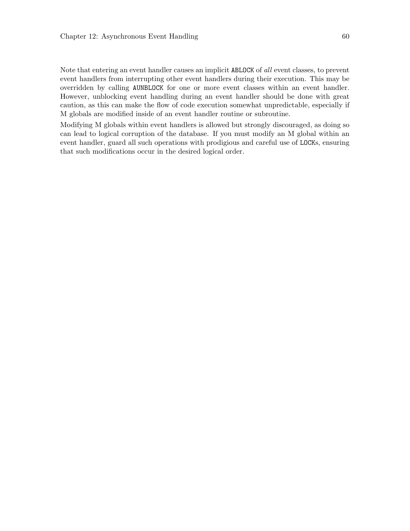Note that entering an event handler causes an implicit ABLOCK of all event classes, to prevent event handlers from interrupting other event handlers during their execution. This may be overridden by calling AUNBLOCK for one or more event classes within an event handler. However, unblocking event handling during an event handler should be done with great caution, as this can make the flow of code execution somewhat unpredictable, especially if M globals are modified inside of an event handler routine or subroutine.

Modifying M globals within event handlers is allowed but strongly discouraged, as doing so can lead to logical corruption of the database. If you must modify an M global within an event handler, guard all such operations with prodigious and careful use of LOCKs, ensuring that such modifications occur in the desired logical order.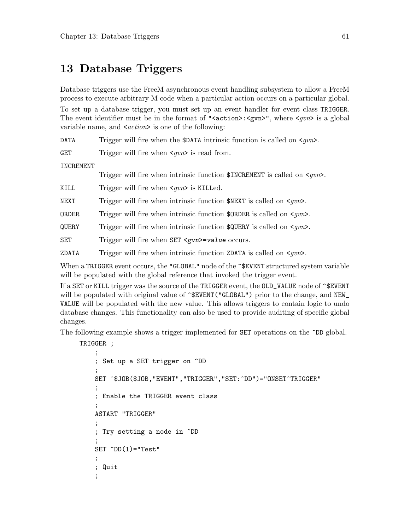## 13 Database Triggers

Database triggers use the FreeM asynchronous event handling subsystem to allow a FreeM process to execute arbitrary M code when a particular action occurs on a particular global.

To set up a database trigger, you must set up an event handler for event class TRIGGER. The event identifier must be in the format of " $\langle \text{action} \rangle$ : $\langle \text{gun} \rangle$ ", where  $\langle \text{gun} \rangle$  is a global variable name, and  $\langle action \rangle$  is one of the following:

DATA Trigger will fire when the \$DATA intrinsic function is called on  $\langle g v n \rangle$ .

GET Trigger will fire when  $\langle qvn \rangle$  is read from.

INCREMENT

Trigger will fire when intrinsic function  $\texttt{SINCREMENT}$  is called on  $\texttt{<}qvn\texttt{>}$ .

KILL Trigger will fire when  $\langle qvn \rangle$  is KILLed.

NEXT Trigger will fire when intrinsic function  $NEXT$  is called on  $\langle gvn \rangle$ .

**ORDER** Trigger will fire when intrinsic function  $\text{SDER}$  is called on  $\text{Squ}$ .

QUERY Trigger will fire when intrinsic function  $\texttt{SQUERY}$  is called on  $\texttt{<}gvn\texttt{>}$ .

SET Trigger will fire when SET <gvn>=value occurs.

**ZDATA** Trigger will fire when intrinsic function  $ZDATA$  is called on  $\langle gvn \rangle$ .

When a TRIGGER event occurs, the "GLOBAL" node of the  $\hat{}$ SEVENT structured system variable will be populated with the global reference that invoked the trigger event.

If a SET or KILL trigger was the source of the TRIGGER event, the OLD\_VALUE node of ^\$EVENT will be populated with original value of  $\hat{\cdot}$ EVENT("GLOBAL") prior to the change, and NEW\_ VALUE will be populated with the new value. This allows triggers to contain logic to undo database changes. This functionality can also be used to provide auditing of specific global changes.

The following example shows a trigger implemented for **SET** operations on the  $\hat{D}D$  global.

TRIGGER ;

```
;
; Set up a SET trigger on ^DD
;
SET ^$JOB($JOB,"EVENT","TRIGGER","SET:^DD")="ONSET^TRIGGER"
;
; Enable the TRIGGER event class
;
ASTART "TRIGGER"
;
; Try setting a node in ^DD
;
SET \hat{D}D(1)=Test;
; Quit
;
```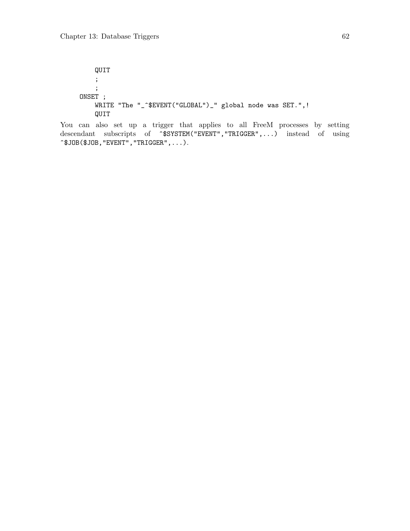QUIT ; ; ONSET ; WRITE "The "\_^\$EVENT("GLOBAL")\_" global node was SET.",! QUIT

You can also set up a trigger that applies to all FreeM processes by setting descendant subscripts of ^\$SYSTEM("EVENT","TRIGGER",...) instead of using  $\hat{\sigma}$ \$JOB $(\hat{\sigma})$ JOB, "EVENT", "TRIGGER", ...).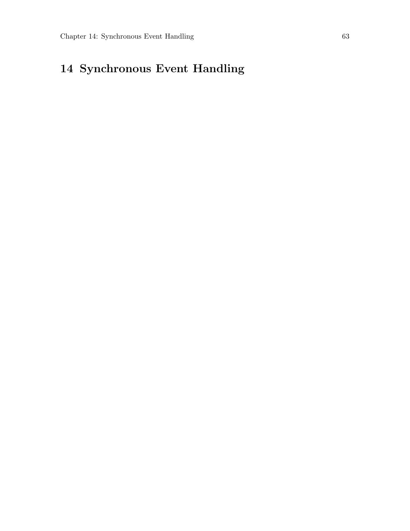# 14 Synchronous Event Handling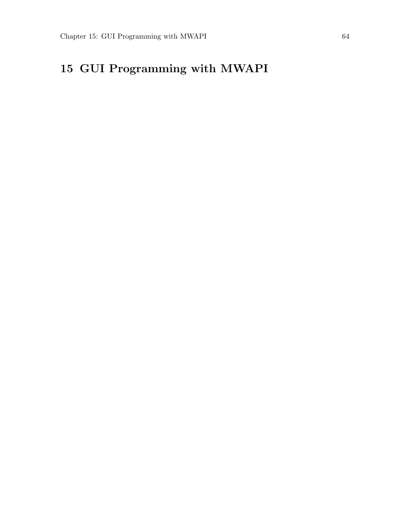# 15 GUI Programming with MWAPI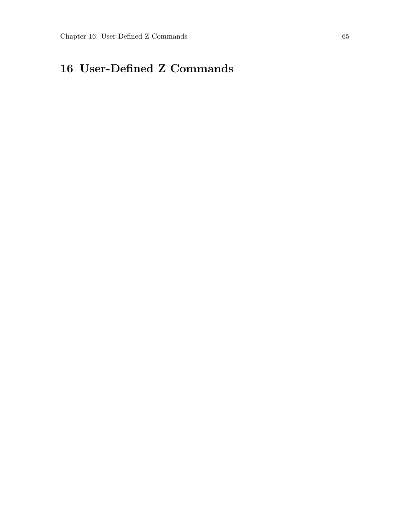# 16 User-Defined Z Commands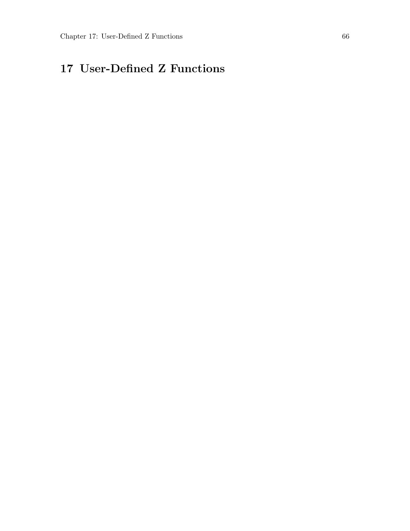# 17 User-Defined Z Functions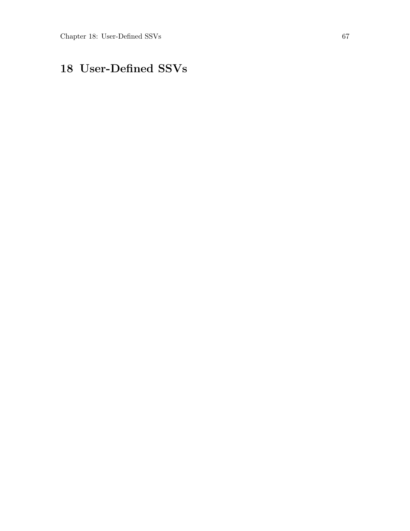# 18 User-Defined SSVs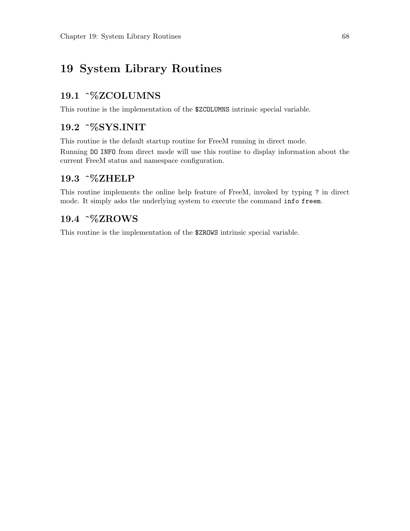## <span id="page-76-0"></span>19 System Library Routines

#### 19.1 ^%ZCOLUMNS

This routine is the implementation of the \$ZCOLUMNS intrinsic special variable.

## 19.2 ^%SYS.INIT

This routine is the default startup routine for FreeM running in direct mode.

Running DO INFO from direct mode will use this routine to display information about the current FreeM status and namespace configuration.

#### 19.3 ^%ZHELP

This routine implements the online help feature of FreeM, invoked by typing ? in direct mode. It simply asks the underlying system to execute the command info freem.

### 19.4 ^%ZROWS

This routine is the implementation of the \$ZROWS intrinsic special variable.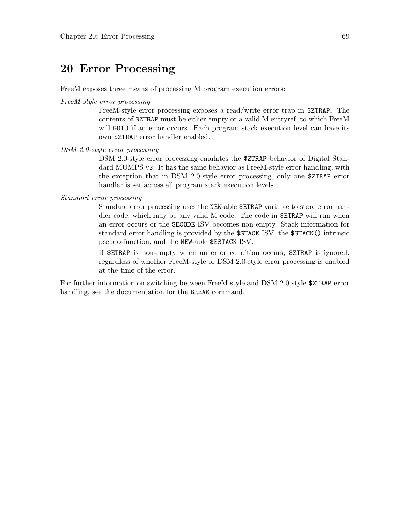## <span id="page-77-0"></span>20 Error Processing

FreeM exposes three means of processing M program execution errors:

#### FreeM-style error processing

FreeM-style error processing exposes a read/write error trap in \$ZTRAP. The contents of \$ZTRAP must be either empty or a valid M entryref, to which FreeM will GOTO if an error occurs. Each program stack execution level can have its own \$ZTRAP error handler enabled.

#### DSM 2.0-style error processing

DSM 2.0-style error processing emulates the \$ZTRAP behavior of Digital Standard MUMPS v2. It has the same behavior as FreeM-style error handling, with the exception that in DSM 2.0-style error processing, only one \$ZTRAP error handler is set across all program stack execution levels.

#### Standard error processing

Standard error processing uses the NEW-able \$ETRAP variable to store error handler code, which may be any valid M code. The code in \$ETRAP will run when an error occurs or the \$ECODE ISV becomes non-empty. Stack information for standard error handling is provided by the \$STACK ISV, the \$STACK() intrinsic pseudo-function, and the NEW-able \$ESTACK ISV.

If \$ETRAP is non-empty when an error condition occurs, \$ZTRAP is ignored, regardless of whether FreeM-style or DSM 2.0-style error processing is enabled at the time of the error.

For further information on switching between FreeM-style and DSM 2.0-style \$ZTRAP error handling, see the documentation for the BREAK command.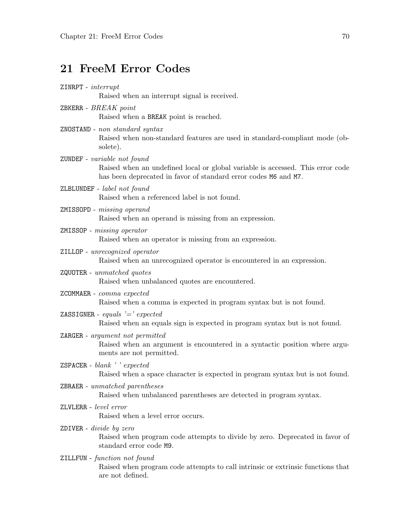# <span id="page-78-0"></span>21 FreeM Error Codes

| $ZINRPT - interrupt$<br>Raised when an interrupt signal is received.                                                                                                             |
|----------------------------------------------------------------------------------------------------------------------------------------------------------------------------------|
| ZBKERR - $BREAK$ $point$<br>Raised when a BREAK point is reached.                                                                                                                |
| $ZNOSTAND$ - $non\ standard\ syntax$<br>Raised when non-standard features are used in standard-compliant mode (ob-<br>solete).                                                   |
| ZUNDEF - variable not found<br>Raised when an undefined local or global variable is accessed. This error code<br>has been deprecated in favor of standard error codes M6 and M7. |
| ZLBLUNDEF - label not found<br>Raised when a referenced label is not found.                                                                                                      |
| ZMISSOPD - missing operand<br>Raised when an operand is missing from an expression.                                                                                              |
| ZMISSOP - missing operator<br>Raised when an operator is missing from an expression.                                                                                             |
| ZILLOP - unrecognized operator<br>Raised when an unrecognized operator is encountered in an expression.                                                                          |
| $ZQUOTER$ - unmatched quotes<br>Raised when unbalanced quotes are encountered.                                                                                                   |
| ZCOMMAER - $\it{comm}$ expected<br>Raised when a comma is expected in program syntax but is not found.                                                                           |
| ZASSIGNER - equals '=' expected<br>Raised when an equals sign is expected in program syntax but is not found.                                                                    |
| ZARGER - argument not permitted<br>Raised when an argument is encountered in a syntactic position where argu-<br>ments are not permitted.                                        |
| $ZSPACER - blank$ , $reexpected$<br>Raised when a space character is expected in program syntax but is not found.                                                                |
| $ZBRAER$ - unmatched parentheses<br>Raised when unbalanced parentheses are detected in program syntax.                                                                           |
| ZLVLERR - level error<br>Raised when a level error occurs.                                                                                                                       |
| ZDIVER – divide by zero<br>Raised when program code attempts to divide by zero. Deprecated in favor of<br>standard error code M9.                                                |
| ZILLFUN - function not found<br>Raised when program code attempts to call intrinsic or extrinsic functions that<br>are not defined.                                              |
|                                                                                                                                                                                  |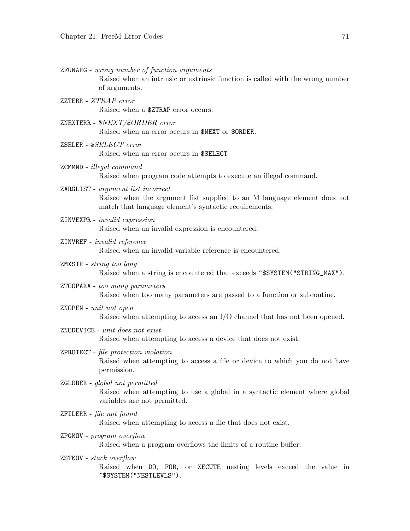ZFUNARG - wrong number of function arguments

Raised when an intrinsic or extrinsic function is called with the wrong number of arguments.

- ZZTERR ZTRAP error Raised when a \$ZTRAP error occurs.
- ZNEXTERR \$NEXT/\$ORDER error Raised when an error occurs in \$NEXT or \$ORDER.
- ZSELER \$SELECT error Raised when an error occurs in \$SELECT
- ZCMMND illegal command Raised when program code attempts to execute an illegal command.
- ZARGLIST argument list incorrect Raised when the argument list supplied to an M language element does not match that language element's syntactic requirements.
- ZINVEXPR invalid expression Raised when an invalid expression is encountered.
- ZINVREF invalid reference Raised when an invalid variable reference is encountered.
- ZMXSTR string too long Raised when a string is encountered that exceeds ~\$SYSTEM("STRING\_MAX").
- ZTOOPARA too many parameters Raised when too many parameters are passed to a function or subroutine.
- ZNOPEN unit not open Raised when attempting to access an I/O channel that has not been opened.
- ZNODEVICE unit does not exist Raised when attempting to access a device that does not exist.
- ZPROTECT file protection violation Raised when attempting to access a file or device to which you do not have permission.
- ZGLOBER global not permitted Raised when attempting to use a global in a syntactic element where global variables are not permitted.
- ZFILERR file not found Raised when attempting to access a file that does not exist.
- ZPGMOV program overflow Raised when a program overflows the limits of a routine buffer.
- ZSTKOV stack overflow Raised when DO, FOR, or XECUTE nesting levels exceed the value in ^\$SYSTEM("NESTLEVLS").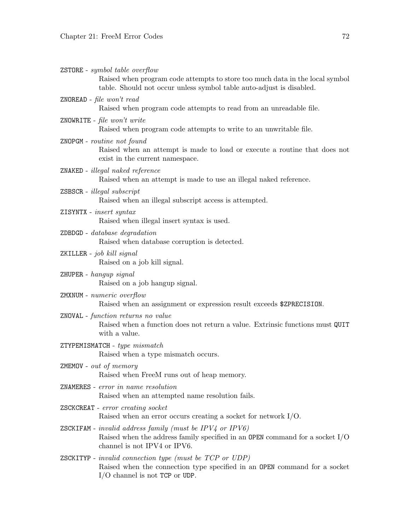| ZSTORE - symbol table overflow<br>Raised when program code attempts to store too much data in the local symbol<br>table. Should not occur unless symbol table auto-adjust is disabled.   |
|------------------------------------------------------------------------------------------------------------------------------------------------------------------------------------------|
| ZNOREAD - file won't read<br>Raised when program code attempts to read from an unreadable file.                                                                                          |
| ZNOWRITE - file won't write<br>Raised when program code attempts to write to an unwritable file.                                                                                         |
| ZNOPGM - routine not found<br>Raised when an attempt is made to load or execute a routine that does not<br>exist in the current namespace.                                               |
| ZNAKED - illegal naked reference<br>Raised when an attempt is made to use an illegal naked reference.                                                                                    |
| ZSBSCR - illegal subscript<br>Raised when an illegal subscript access is attempted.                                                                                                      |
| ZISYNTX - insert syntax<br>Raised when illegal insert syntax is used.                                                                                                                    |
| $ZDBDGD - database\ degradation$<br>Raised when database corruption is detected.                                                                                                         |
| ZKILLER - job kill signal<br>Raised on a job kill signal.                                                                                                                                |
| ZHUPER - hangup signal<br>Raised on a job hangup signal.                                                                                                                                 |
| ZMXNUM - numeric overflow<br>Raised when an assignment or expression result exceeds \$ZPRECISION.                                                                                        |
| ZNOVAL - function returns no value<br>Raised when a function does not return a value. Extrinsic functions must QUIT<br>with a value.                                                     |
| ZTYPEMISMATCH - type mismatch<br>Raised when a type mismatch occurs.                                                                                                                     |
| ZMEMOV - out of memory<br>Raised when FreeM runs out of heap memory.                                                                                                                     |
| ZNAMERES - error in name resolution<br>Raised when an attempted name resolution fails.                                                                                                   |
| ZSCKCREAT - error creating socket<br>Raised when an error occurs creating a socket for network $I/O$ .                                                                                   |
| <b>ZSCKIFAM</b> - <i>invalid address family (must be IPV4 or IPV6)</i><br>Raised when the address family specified in an OPEN command for a socket $I/O$<br>channel is not IPV4 or IPV6. |
| <b>ZSCKITYP</b> - <i>invalid connection type (must be TCP or UDP)</i><br>Raised when the connection type specified in an OPEN command for a socket<br>$I/O$ channel is not TCP or UDP.   |
|                                                                                                                                                                                          |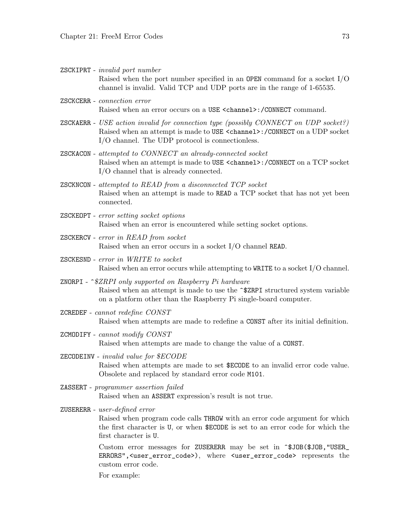ZSCKIPRT - invalid port number Raised when the port number specified in an OPEN command for a socket I/O channel is invalid. Valid TCP and UDP ports are in the range of 1-65535.

- ZSCKCERR connection error Raised when an error occurs on a USE <channel>:/CONNECT command.
- ZSCKAERR USE action invalid for connection type (possibly CONNECT on UDP socket?) Raised when an attempt is made to USE <channel>:/CONNECT on a UDP socket I/O channel. The UDP protocol is connectionless.
- ZSCKACON attempted to CONNECT an already-connected socket Raised when an attempt is made to USE <channel>:/CONNECT on a TCP socket I/O channel that is already connected.
- ZSCKNCON attempted to READ from a disconnected TCP socket Raised when an attempt is made to READ a TCP socket that has not yet been connected.
- ZSCKEOPT error setting socket options Raised when an error is encountered while setting socket options.
- ZSCKERCV error in READ from socket Raised when an error occurs in a socket I/O channel READ.
- ZSCKESND error in WRITE to socket Raised when an error occurs while attempting to WRITE to a socket I/O channel.
- ZNORPI ^\$ZRPI only supported on Raspberry Pi hardware Raised when an attempt is made to use the ^\$ZRPI structured system variable on a platform other than the Raspberry Pi single-board computer.
- ZCREDEF cannot redefine CONST Raised when attempts are made to redefine a CONST after its initial definition.
- ZCMODIFY cannot modify CONST Raised when attempts are made to change the value of a CONST.
- ZECODEINV invalid value for \$ECODE Raised when attempts are made to set \$ECODE to an invalid error code value. Obsolete and replaced by standard error code M101.
- ZASSERT programmer assertion failed Raised when an ASSERT expression's result is not true.

ZUSERERR - user-defined error

Raised when program code calls THROW with an error code argument for which the first character is U, or when \$ECODE is set to an error code for which the first character is U.

Custom error messages for ZUSERERR may be set in ^\$JOB(\$JOB,"USER\_ ERRORS",<user\_error\_code>), where <user\_error\_code> represents the custom error code.

For example: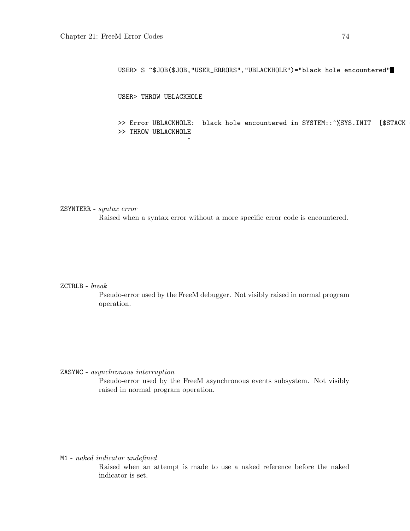USER> S ^\$JOB(\$JOB,"USER\_ERRORS","UBLACKHOLE")="black hole encountered"

USER> THROW UBLACKHOLE

>> Error UBLACKHOLE: black hole encountered in SYSTEM::^%SYS.INIT [\$STACK >> THROW UBLACKHOLE

ZSYNTERR - syntax error Raised when a syntax error without a more specific error code is encountered.

 $\hat{ }$ 

#### ZCTRLB - break

Pseudo-error used by the FreeM debugger. Not visibly raised in normal program operation.

ZASYNC - asynchronous interruption

Pseudo-error used by the FreeM asynchronous events subsystem. Not visibly raised in normal program operation.

M1 - naked indicator undefined

Raised when an attempt is made to use a naked reference before the naked indicator is set.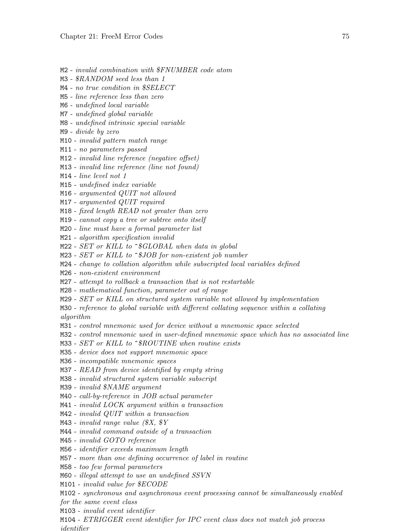- M2 invalid combination with \$FNUMBER code atom
- M3 \$RANDOM seed less than 1
- M4 no true condition in \$SELECT
- M5 line reference less than zero
- M6 undefined local variable
- M7 undefined global variable
- M8 undefined intrinsic special variable
- M9 divide by zero
- M10 invalid pattern match range
- M11 no parameters passed
- M12 invalid line reference (negative offset)
- M13 invalid line reference (line not found)
- M14 line level not 1
- M15 undefined index variable
- M16 argumented QUIT not allowed
- M17 argumented QUIT required
- M18 fixed length READ not greater than zero
- M19 cannot copy a tree or subtree onto itself
- M20 line must have a formal parameter list
- M21 algorithm specification invalid
- $M22$  SET or KILL to  $\hat{S}GLOBAL$  when data in global
- $M23$  SET or KILL to  $\hat{S}JOB$  for non-existent job number
- M24 change to collation algorithm while subscripted local variables defined
- M26 non-existent environment
- M27 attempt to rollback a transaction that is not restartable
- M28 mathematical function, parameter out of range
- M29 SET or KILL on structured system variable not allowed by implementation
- M30 reference to global variable with different collating sequence within a collating algorithm
- M31 control mnemonic used for device without a mnemonic space selected
- M32 control mnemonic used in user-defined mnemonic space which has no associated line
- M33 SET or KILL to ^\$ROUTINE when routine exists
- M35 device does not support mnemonic space
- M36 incompatible mnemonic spaces
- M37 READ from device identified by empty string
- M38 invalid structured system variable subscript
- M39 invalid \$NAME argument
- M40 call-by-reference in JOB actual parameter
- M41 invalid LOCK argument within a transaction
- M42 invalid QUIT within a transaction
- M43 invalid range value  $(X, \mathcal{N})$
- M44 invalid command outside of a transaction
- M45 invalid GOTO reference
- M56 identifier exceeds maximum length
- M57 more than one defining occurrence of label in routine
- M58 too few formal parameters
- M60 illegal attempt to use an undefined SSVN
- M101 invalid value for \$ECODE
- M102 synchronous and asynchronous event processing cannot be simultaneously enabled for the same event class
- M103 invalid event identifier
- M104 ETRIGGER event identifier for IPC event class does not match job process identifier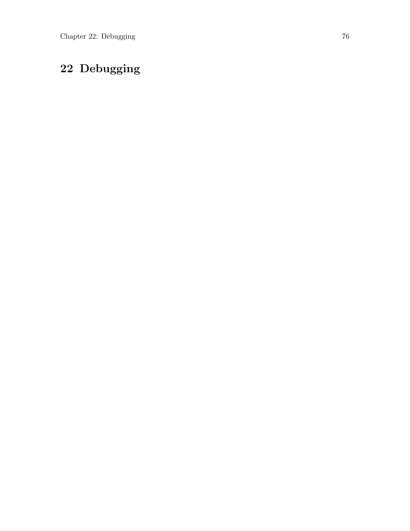# <span id="page-84-0"></span>22 Debugging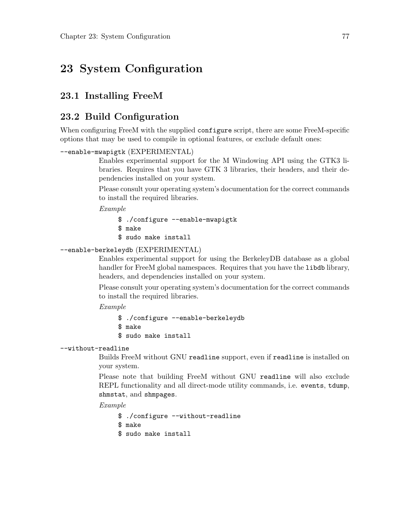## <span id="page-85-0"></span>23 System Configuration

#### 23.1 Installing FreeM

#### 23.2 Build Configuration

When configuring FreeM with the supplied configure script, there are some FreeM-specific options that may be used to compile in optional features, or exclude default ones:

```
--enable-mwapigtk (EXPERIMENTAL)
```
Enables experimental support for the M Windowing API using the GTK3 libraries. Requires that you have GTK 3 libraries, their headers, and their dependencies installed on your system.

Please consult your operating system's documentation for the correct commands to install the required libraries.

Example

\$ ./configure --enable-mwapigtk \$ make \$ sudo make install

#### --enable-berkeleydb (EXPERIMENTAL)

Enables experimental support for using the BerkeleyDB database as a global handler for FreeM global namespaces. Requires that you have the libdb library, headers, and dependencies installed on your system.

Please consult your operating system's documentation for the correct commands to install the required libraries.

Example

\$ ./configure --enable-berkeleydb \$ make \$ sudo make install

#### --without-readline

Builds FreeM without GNU readline support, even if readline is installed on your system.

Please note that building FreeM without GNU readline will also exclude REPL functionality and all direct-mode utility commands, i.e. events, tdump, shmstat, and shmpages.

Example

\$ ./configure --without-readline

- \$ make
- \$ sudo make install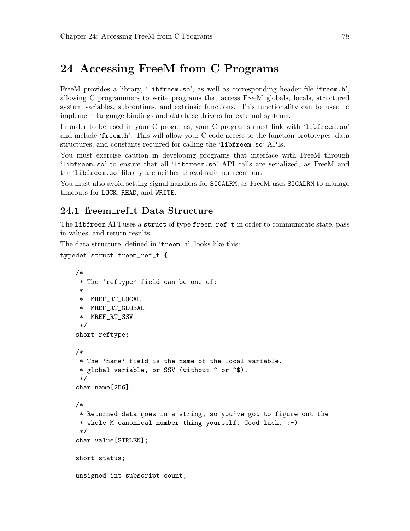## 24 Accessing FreeM from C Programs

FreeM provides a library, 'libfreem.so', as well as corresponding header file 'freem.h', allowing C programmers to write programs that access FreeM globals, locals, structured system variables, subroutines, and extrinsic functions. This functionality can be used to implement language bindings and database drivers for external systems.

In order to be used in your C programs, your C programs must link with 'libfreem.so' and include 'freem.h'. This will allow your C code access to the function prototypes, data structures, and constants required for calling the 'libfreem.so' APIs.

You must exercise caution in developing programs that interface with FreeM through 'libfreem.so' to ensure that all 'libfreem.so' API calls are serialized, as FreeM and the 'libfreem.so' library are neither thread-safe nor reentrant.

You must also avoid setting signal handlers for SIGALRM, as FreeM uses SIGALRM to manage timeouts for LOCK, READ, and WRITE.

#### 24.1 freem\_ref\_t Data Structure

The libfreem API uses a struct of type freem\_ref\_t in order to communicate state, pass in values, and return results.

The data structure, defined in 'freem.h', looks like this:

```
typedef struct freem_ref_t {
```

```
/*
 * The 'reftype' field can be one of:
 *
 * MREF_RT_LOCAL
 * MREF_RT_GLOBAL
 * MREF_RT_SSV
 */
short reftype;
/*
 * The 'name' field is the name of the local variable,
 * global variable, or SSV (without ^ or ^$).
 */
char name[256];
/*
 * Returned data goes in a string, so you've got to figure out the
 * whole M canonical number thing yourself. Good luck. :-)
 */
char value[STRLEN];
short status;
unsigned int subscript_count;
```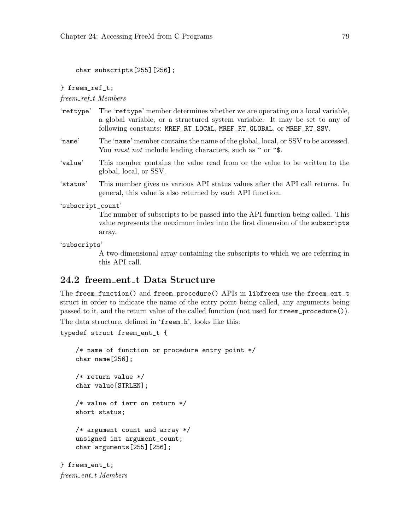char subscripts[255][256];

#### } freem\_ref\_t;

freem\_ref\_t Members

- 'reftype' The 'reftype' member determines whether we are operating on a local variable, a global variable, or a structured system variable. It may be set to any of following constants: MREF\_RT\_LOCAL, MREF\_RT\_GLOBAL, or MREF\_RT\_SSV.
- 'name' The 'name' member contains the name of the global, local, or SSV to be accessed. You *must not* include leading characters, such as  $\hat{\ }$  or  $\hat{\ }$ .
- 'value' This member contains the value read from or the value to be written to the global, local, or SSV.
- 'status' This member gives us various API status values after the API call returns. In general, this value is also returned by each API function.

#### 'subscript\_count'

The number of subscripts to be passed into the API function being called. This value represents the maximum index into the first dimension of the subscripts array.

#### 'subscripts'

A two-dimensional array containing the subscripts to which we are referring in this API call.

#### 24.2 freem\_ent\_t Data Structure

The freem\_function() and freem\_procedure() APIs in libfreem use the freem\_ent\_t struct in order to indicate the name of the entry point being called, any arguments being passed to it, and the return value of the called function (not used for freem\_procedure()).

The data structure, defined in 'freem.h', looks like this:

```
typedef struct freem_ent_t {
```

```
/* name of function or procedure entry point */
char name[256];
/* return value */
char value[STRLEN];
/* value of ierr on return */
short status;
/* argument count and array */
unsigned int argument_count;
char arguments[255][256];
```
} freem\_ent\_t; freem\_ent\_t Members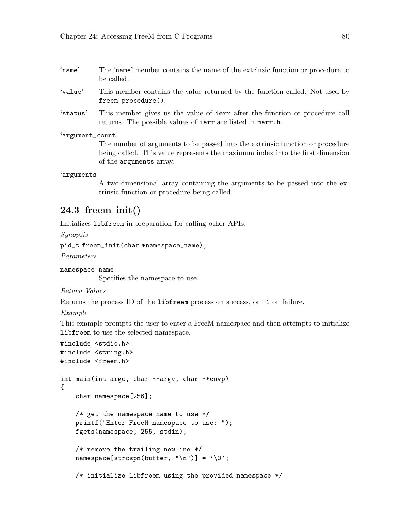- 'name' The 'name' member contains the name of the extrinsic function or procedure to be called.
- 'value' This member contains the value returned by the function called. Not used by freem\_procedure().
- 'status' This member gives us the value of ierr after the function or procedure call returns. The possible values of ierr are listed in merr.h.

'argument\_count'

The number of arguments to be passed into the extrinsic function or procedure being called. This value represents the maximum index into the first dimension of the arguments array.

'arguments'

A two-dimensional array containing the arguments to be passed into the extrinsic function or procedure being called.

#### $24.3$  freem init()

Initializes libfreem in preparation for calling other APIs.

Synopsis

```
pid_t freem_init(char *namespace_name);
```
Parameters

```
namespace_name
```
Specifies the namespace to use.

Return Values

Returns the process ID of the libfreem process on success, or -1 on failure.

Example

This example prompts the user to enter a FreeM namespace and then attempts to initialize libfreem to use the selected namespace.

```
#include <stdio.h>
#include <string.h>
#include <freem.h>
int main(int argc, char **argv, char **envp)
{
    char namespace[256];
    /* get the namespace name to use */printf("Enter FreeM namespace to use: ");
    fgets(namespace, 255, stdin);
    /* remove the trailing newline */
    namespace[strcspn(buffer, "\n")] = \sqrt{0};
    /* initialize libfreem using the provided namespace */
```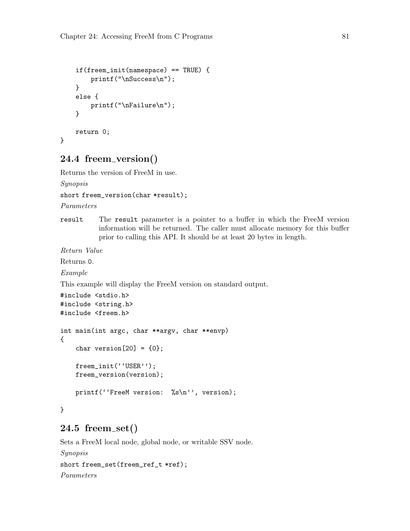```
if(freem_init(namespace) == TRUE) {
    printf("\nSuccess\n");
}
else {
    printf("\nFailure\n");
}
return 0;
```
#### 24.4 freem version()

Returns the version of FreeM in use.

Synopsis

}

```
short freem_version(char *result);
```
Parameters

result The result parameter is a pointer to a buffer in which the FreeM version information will be returned. The caller must allocate memory for this buffer prior to calling this API. It should be at least 20 bytes in length.

Return Value

Returns 0.

Example

This example will display the FreeM version on standard output.

```
#include <stdio.h>
#include <string.h>
#include <freem.h>
int main(int argc, char **argv, char **envp)
{
    char version[20] = \{0\};freem_init(''USER'');
    freem_version(version);
    printf(''FreeM version: %s\n'', version);
}
```
#### 24.5 freem set()

Sets a FreeM local node, global node, or writable SSV node. Synopsis short freem\_set(freem\_ref\_t \*ref); Parameters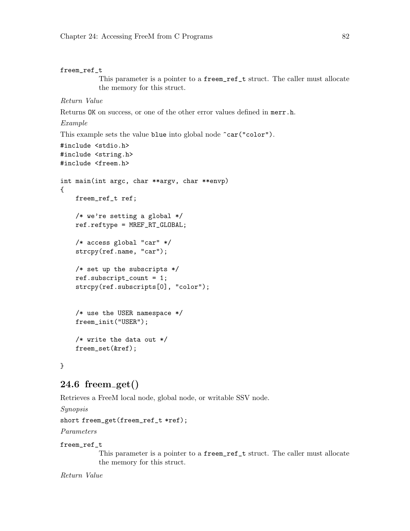```
freem_ref_t
           This parameter is a pointer to a freem_ref_t struct. The caller must allocate
           the memory for this struct.
Return Value
Returns OK on success, or one of the other error values defined in merr.h.
Example
This example sets the value blue into global node \text{car}("color").
#include <stdio.h>
#include <string.h>
#include <freem.h>
int main(int argc, char **argv, char **envp)
{
    freem_ref_t ref;
    /* we're setting a global */
    ref.reftype = MREF_RT_GLOBAL;
    /* access global "car" */
    strcpy(ref.name, "car");
    /* set up the subscripts */
    ref.subscript_count = 1;
    strcpy(ref.subscripts[0], "color");
    /* use the USER namespace */
    freem_init("USER");
    /* write the data out */
    freem_set(&ref);
}
```
#### $24.6$  freem get()

Retrieves a FreeM local node, global node, or writable SSV node.

Synopsis

short freem\_get(freem\_ref\_t \*ref);

Parameters

#### freem\_ref\_t

This parameter is a pointer to a freem\_ref\_t struct. The caller must allocate the memory for this struct.

Return Value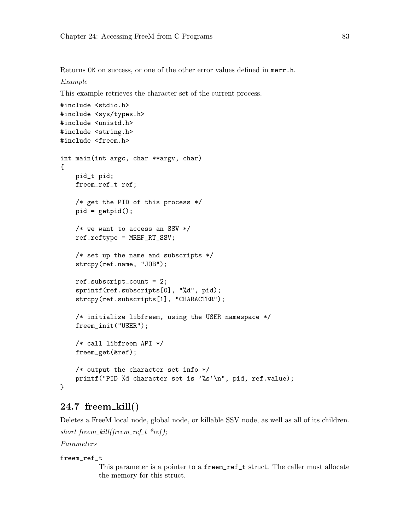Returns OK on success, or one of the other error values defined in merr.h. Example

This example retrieves the character set of the current process.

```
#include <stdio.h>
#include <sys/types.h>
#include <unistd.h>
#include <string.h>
#include <freem.h>
int main(int argc, char **argv, char)
{
   pid_t pid;
    freem_ref_t ref;
    /* get the PID of this process */
    pid = getpid();
    /* we want to access an SSV */
    ref.reftype = MREF_RT_SSV;
    /* set up the name and subscripts */
    strcpy(ref.name, "JOB");
    ref.subscript_count = 2;
    sprintf(ref.subscripts[0], "%d", pid);
    strcpy(ref.subscripts[1], "CHARACTER");
    /* initialize libfreem, using the USER namespace */
    freem_init("USER");
    /* call libfreem API */
    freem_get(&ref);
    /* output the character set info */
    printf("PID %d character set is '%s'\n", pid, ref.value);
}
```
#### $24.7$  freem  $\text{kill}()$

Deletes a FreeM local node, global node, or killable SSV node, as well as all of its children.

```
short freem_kill(freem_ref_t *ref);
```
Parameters

#### freem\_ref\_t

This parameter is a pointer to a freem\_ref\_t struct. The caller must allocate the memory for this struct.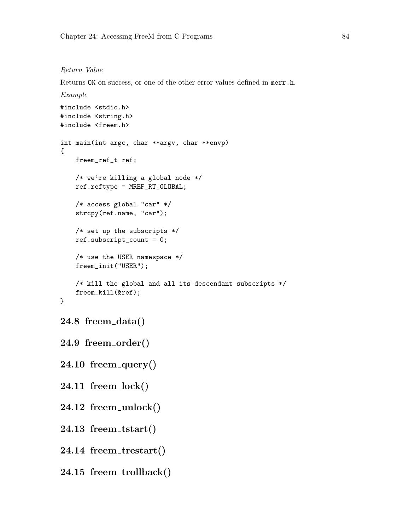#### Return Value

Returns OK on success, or one of the other error values defined in merr.h.

```
Example
#include <stdio.h>
#include <string.h>
#include <freem.h>
int main(int argc, char **argv, char **envp)
{
   freem_ref_t ref;
   /* we're killing a global node */
   ref.reftype = MREF_RT_GLOBAL;
   /* access global "car" */
   strcpy(ref.name, "car");
   /* set up the subscripts */
   ref.subscript_count = 0;
   /* use the USER namespace */
   freem_init("USER");
   /* kill the global and all its descendant subscripts */
   freem_kill(&ref);
}
24.8 freem data()
```

```
24.9 freem order()
```
- $24.10$  freem\_query()
- 24.11 freem lock()
- $24.12$  freem unlock()
- $24.13$  freem\_tstart()
- 24.14 freem\_trestart()
- 24.15 freem trollback()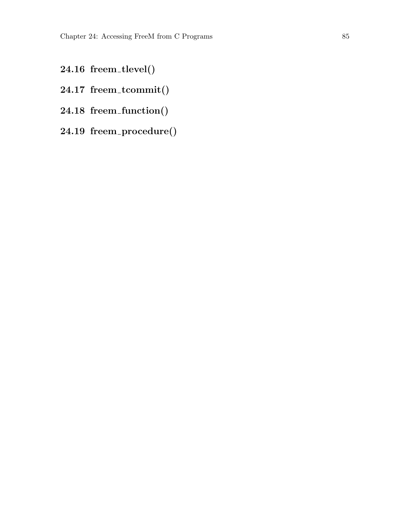- 24.16 freem tlevel()
- 24.17 freem\_tcommit()
- 24.18 freem function()
- 24.19 freem procedure()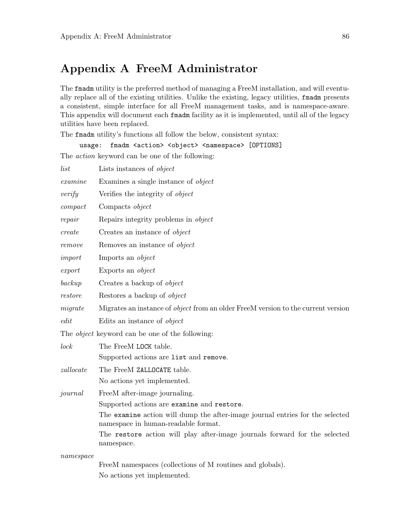## <span id="page-94-0"></span>Appendix A FreeM Administrator

The fmadm utility is the preferred method of managing a FreeM installation, and will eventually replace all of the existing utilities. Unlike the existing, legacy utilities, fmadm presents a consistent, simple interface for all FreeM management tasks, and is namespace-aware. This appendix will document each fmadm facility as it is implemented, until all of the legacy utilities have been replaced.

The fmadm utility's functions all follow the below, consistent syntax:

usage: fmadm <action> <object> <namespace> [OPTIONS] The action keyword can be one of the following:

| list              | Lists instances of <i>object</i>                                                                                     |
|-------------------|----------------------------------------------------------------------------------------------------------------------|
| examine           | Examines a single instance of <i>object</i>                                                                          |
| verify            | Verifies the integrity of <i>object</i>                                                                              |
| compact           | Compacts object                                                                                                      |
| repair            | Repairs integrity problems in <i>object</i>                                                                          |
| create            | Creates an instance of <i>object</i>                                                                                 |
| remove            | Removes an instance of <i>object</i>                                                                                 |
| import            | Imports an <i>object</i>                                                                                             |
| $\mathit{export}$ | Exports an <i>object</i>                                                                                             |
| backup            | Creates a backup of <i>object</i>                                                                                    |
| restore           | Restores a backup of <i>object</i>                                                                                   |
| migrate           | Migrates an instance of <i>object</i> from an older FreeM version to the current version                             |
| edit              | Edits an instance of <i>object</i>                                                                                   |
|                   | The <i>object</i> keyword can be one of the following:                                                               |
| lock              | The FreeM LOCK table.                                                                                                |
|                   | Supported actions are list and remove.                                                                               |
| zallocate         | The FreeM ZALLOCATE table.                                                                                           |
|                   | No actions yet implemented.                                                                                          |
| journal           | FreeM after-image journaling.                                                                                        |
|                   | Supported actions are examine and restore.                                                                           |
|                   | The examine action will dump the after-image journal entries for the selected<br>namespace in human-readable format. |
|                   | The restore action will play after-image journals forward for the selected<br>namespace.                             |
| namespace         |                                                                                                                      |
|                   | FreeM namespaces (collections of M routines and globals).                                                            |

No actions yet implemented.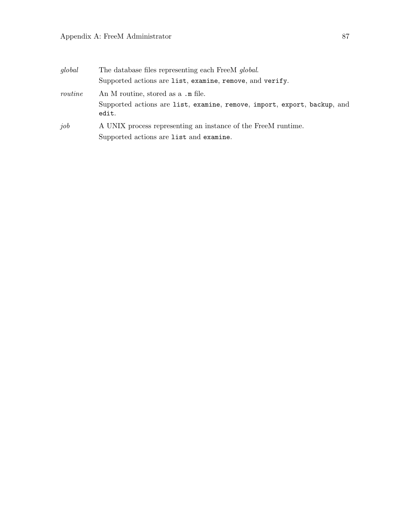#### Appendix A: FreeM Administrator 87

| global  | The database files representing each FreeM global.                                |
|---------|-----------------------------------------------------------------------------------|
|         | Supported actions are list, examine, remove, and verify.                          |
| routine | An M routine, stored as a .m file.                                                |
|         | Supported actions are list, examine, remove, import, export, backup, and<br>edit. |
| job     | A UNIX process representing an instance of the FreeM runtime.                     |
|         | Supported actions are list and examine.                                           |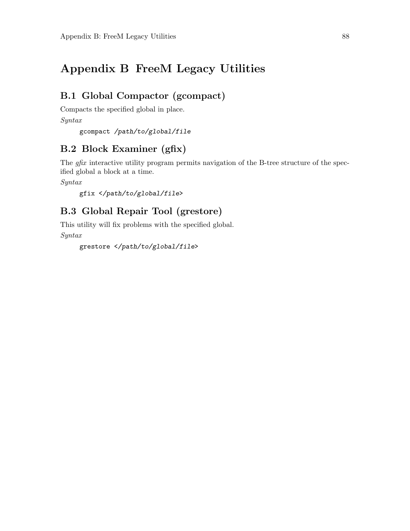## Appendix B FreeM Legacy Utilities

#### B.1 Global Compactor (gcompact)

Compacts the specified global in place.

```
Syntax
```
gcompact /path/to/global/file

#### B.2 Block Examiner (gfix)

The *gfix* interactive utility program permits navigation of the B-tree structure of the specified global a block at a time.

Syntax

```
gfix </path/to/global/file>
```
### B.3 Global Repair Tool (grestore)

This utility will fix problems with the specified global. Syntax

```
grestore </path/to/global/file>
```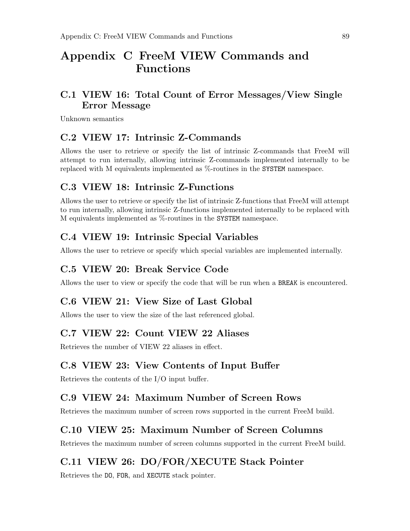## Appendix C FreeM VIEW Commands and Functions

#### C.1 VIEW 16: Total Count of Error Messages/View Single Error Message

Unknown semantics

#### C.2 VIEW 17: Intrinsic Z-Commands

Allows the user to retrieve or specify the list of intrinsic Z-commands that FreeM will attempt to run internally, allowing intrinsic Z-commands implemented internally to be replaced with M equivalents implemented as %-routines in the SYSTEM namespace.

#### C.3 VIEW 18: Intrinsic Z-Functions

Allows the user to retrieve or specify the list of intrinsic Z-functions that FreeM will attempt to run internally, allowing intrinsic Z-functions implemented internally to be replaced with M equivalents implemented as %-routines in the SYSTEM namespace.

#### C.4 VIEW 19: Intrinsic Special Variables

Allows the user to retrieve or specify which special variables are implemented internally.

#### C.5 VIEW 20: Break Service Code

Allows the user to view or specify the code that will be run when a BREAK is encountered.

#### C.6 VIEW 21: View Size of Last Global

Allows the user to view the size of the last referenced global.

#### C.7 VIEW 22: Count VIEW 22 Aliases

Retrieves the number of VIEW 22 aliases in effect.

#### C.8 VIEW 23: View Contents of Input Buffer

Retrieves the contents of the I/O input buffer.

#### C.9 VIEW 24: Maximum Number of Screen Rows

Retrieves the maximum number of screen rows supported in the current FreeM build.

#### C.10 VIEW 25: Maximum Number of Screen Columns

Retrieves the maximum number of screen columns supported in the current FreeM build.

#### C.11 VIEW 26: DO/FOR/XECUTE Stack Pointer

Retrieves the DO, FOR, and XECUTE stack pointer.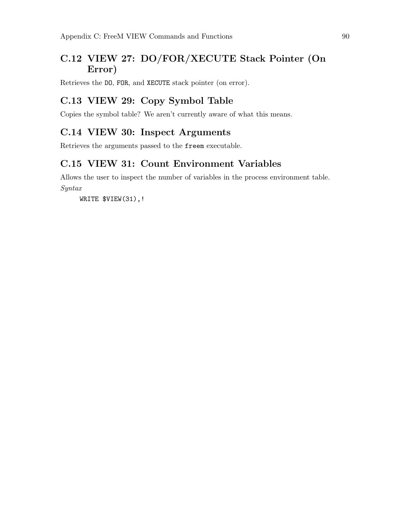## C.12 VIEW 27: DO/FOR/XECUTE Stack Pointer (On Error)

Retrieves the DO, FOR, and XECUTE stack pointer (on error).

### C.13 VIEW 29: Copy Symbol Table

Copies the symbol table? We aren't currently aware of what this means.

#### C.14 VIEW 30: Inspect Arguments

Retrieves the arguments passed to the freem executable.

### C.15 VIEW 31: Count Environment Variables

Allows the user to inspect the number of variables in the process environment table. Syntax

WRITE \$VIEW(31),!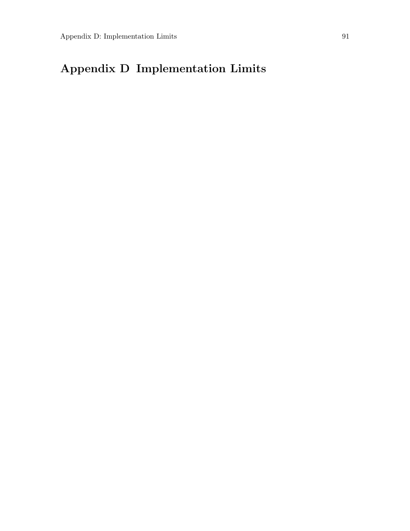# Appendix D Implementation Limits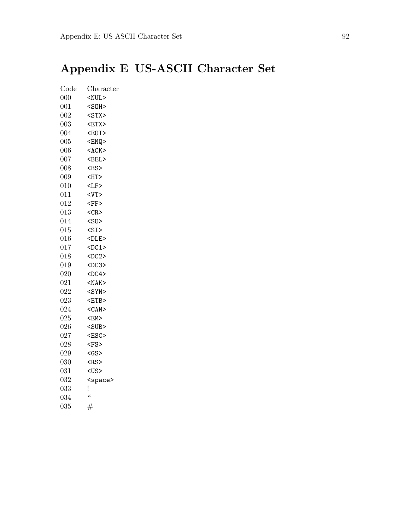# Appendix E US-ASCII Character Set

| Code | Character                                           |
|------|-----------------------------------------------------|
| 000  | $<$ NUL $>$                                         |
| 001  | $<$ SOH $>$                                         |
| 002  | $<$ STX $>$                                         |
| 003  | $<$ ETX $>$                                         |
| 004  | <e0t></e0t>                                         |
| 005  | <enq></enq>                                         |
| 006  | $<$ ACK $>$                                         |
| 007  | $\langle BEL \rangle$                               |
| 008  | $<$ BS>                                             |
| 009  | $\textrm{CHT}$                                      |
| 010  | ${ <\hspace{-1.5pt}{\rm LF} }$ ${ >}$               |
| 011  | $<$ VT $>$                                          |
| 012  | ${ <\hspace{-1.5pt}{\rm F}{\rm F}\hspace{-1.5pt}>}$ |
| 013  | $<$ CR $>$                                          |
| 014  | $<$ SO $>$                                          |
| 015  | $<$ SI $>$                                          |
| 016  | $<$ DLE>                                            |
| 017  | $<$ DC1>                                            |
| 018  | $<$ DC2>                                            |
| 019  | $<$ DC3>                                            |
| 020  | $<$ DC4>                                            |
| 021  | $<$ NAK $>$                                         |
| 022  | $<$ SYN>                                            |
| 023  | $<$ ETB $>$                                         |
| 024  | $<$ CAN $>$                                         |
| 025  | $<$ EM $>$                                          |
| 026  | $<$ SUB $>$                                         |
| 027  | <esc></esc>                                         |
| 028  | $<$ FS>                                             |
| 029  | $<$ GS>                                             |
| 030  | $<$ RS>                                             |
| 031  | <us></us>                                           |
| 032  | <space></space>                                     |
| 033  | ļ                                                   |
| 034  | $\zeta\zeta$                                        |
| 035  | $^{\#}$                                             |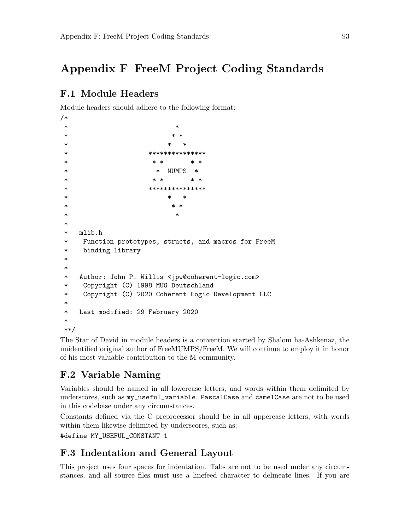## <span id="page-101-0"></span>Appendix F FreeM Project Coding Standards

### F.1 Module Headers

Module headers should adhere to the following format:

```
/*
\star* * *
* * *
* ****************
* * * * *
* * MUMPS *
* * * * *
* ***************
* * *
* * *
\star*
* mlib.h
* Function prototypes, structs, and macros for FreeM
* binding library
*
*
* Author: John P. Willis <jpw@coherent-logic.com>
* Copyright (C) 1998 MUG Deutschland
* Copyright (C) 2020 Coherent Logic Development LLC
*
* Last modified: 29 February 2020
*
**/
```
The Star of David in module headers is a convention started by Shalom ha-Ashkenaz, the unidentified original author of FreeMUMPS/FreeM. We will continue to employ it in honor of his most valuable contribution to the M community.

## F.2 Variable Naming

Variables should be named in all lowercase letters, and words within them delimited by underscores, such as my\_useful\_variable. PascalCase and camelCase are not to be used in this codebase under any circumstances.

Constants defined via the C preprocessor should be in all uppercase letters, with words within them likewise delimited by underscores, such as:

#define MY\_USEFUL\_CONSTANT 1

### F.3 Indentation and General Layout

This project uses four spaces for indentation. Tabs are not to be used under any circumstances, and all source files must use a linefeed character to delineate lines. If you are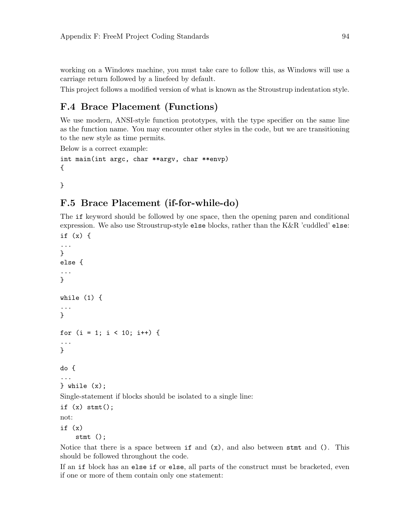<span id="page-102-0"></span>working on a Windows machine, you must take care to follow this, as Windows will use a carriage return followed by a linefeed by default.

This project follows a modified version of what is known as the Stroustrup indentation style.

### F.4 Brace Placement (Functions)

We use modern, ANSI-style function prototypes, with the type specifier on the same line as the function name. You may encounter other styles in the code, but we are transitioning to the new style as time permits.

Below is a correct example:

```
int main(int argc, char **argv, char **envp)
{
```
}

### F.5 Brace Placement (if-for-while-do)

The if keyword should be followed by one space, then the opening paren and conditional expression. We also use Stroustrup-style else blocks, rather than the K&R 'cuddled' else:

```
if (x) {
...
}
else {
...
}
while (1) {
...
}
for (i = 1; i < 10; i++) {
...
}
do {
...
} while (x);
Single-statement if blocks should be isolated to a single line:
if (x) stmt();
not:
if (x)
    stmt ();
```
Notice that there is a space between  $if$  and  $(x)$ , and also between stimt and (). This should be followed throughout the code.

If an if block has an else if or else, all parts of the construct must be bracketed, even if one or more of them contain only one statement: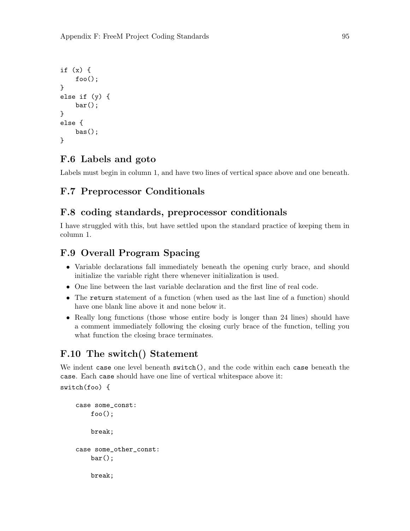```
if (x) {
    foo();
}
else if (y) {
    bar();
}
else {
    bas();
}
```
## F.6 Labels and goto

Labels must begin in column 1, and have two lines of vertical space above and one beneath.

## F.7 Preprocessor Conditionals

#### F.8 coding standards, preprocessor conditionals

I have struggled with this, but have settled upon the standard practice of keeping them in column 1.

## F.9 Overall Program Spacing

- Variable declarations fall immediately beneath the opening curly brace, and should initialize the variable right there whenever initialization is used.
- One line between the last variable declaration and the first line of real code.
- The return statement of a function (when used as the last line of a function) should have one blank line above it and none below it.
- Really long functions (those whose entire body is longer than 24 lines) should have a comment immediately following the closing curly brace of the function, telling you what function the closing brace terminates.

### F.10 The switch() Statement

We indent case one level beneath switch(), and the code within each case beneath the case. Each case should have one line of vertical whitespace above it:

```
switch(foo) {
```

```
case some_const:
    foo();
    break;
case some_other_const:
    bar();
    break;
```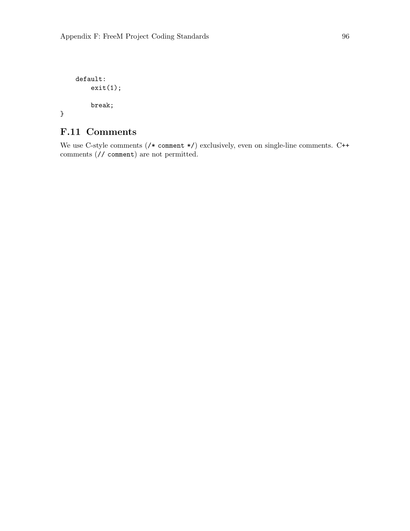```
default:
   exit(1);break;
```
}

## F.11 Comments

We use C-style comments (/\* comment \*/) exclusively, even on single-line comments. C++ comments (// comment) are not permitted.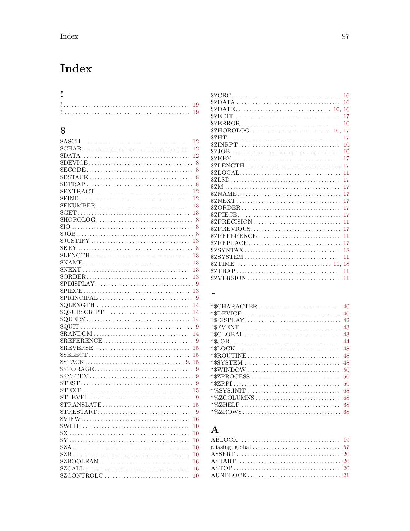# Index

| I                                                                                                                  |
|--------------------------------------------------------------------------------------------------------------------|
| 19                                                                                                                 |
| 19                                                                                                                 |
|                                                                                                                    |
| \$                                                                                                                 |
|                                                                                                                    |
| 12                                                                                                                 |
| 12                                                                                                                 |
|                                                                                                                    |
| $\mathbb{S}\text{DEVICE}\dots\dots\dots\dots\dots\dots\dots\dots\dots\dots\dots\dots$<br>8                         |
| 8                                                                                                                  |
| 8                                                                                                                  |
| 8                                                                                                                  |
| 12                                                                                                                 |
| 12                                                                                                                 |
| $FNUMBER \ldots \ldots \ldots \ldots \ldots \ldots \ldots \ldots \ldots$<br>13                                     |
| 13<br>$HOROLOG$<br>8                                                                                               |
| 8                                                                                                                  |
| 8                                                                                                                  |
| 13                                                                                                                 |
| $K EY \ldots \ldots \ldots \ldots \ldots \ldots \ldots \ldots \ldots \ldots \ldots \ldots \ldots$<br>8             |
| 13                                                                                                                 |
| $\text{\textsterling}NAME \dots \dots \dots \dots \dots \dots \dots \dots \dots \dots \dots \dots$<br>13           |
| $NEXT \ldots \ldots \ldots \ldots \ldots \ldots \ldots \ldots \ldots \ldots$<br>13                                 |
| 13                                                                                                                 |
|                                                                                                                    |
| 13                                                                                                                 |
| 9                                                                                                                  |
| 14                                                                                                                 |
| 14                                                                                                                 |
| $\texttt{\$QUERY}\dots\dots\dots\dots\dots\dots\dots\dots\dots\dots\dots\dots\dots$<br>14                          |
| - 9                                                                                                                |
| 14                                                                                                                 |
|                                                                                                                    |
| 15                                                                                                                 |
| 15                                                                                                                 |
|                                                                                                                    |
| 9                                                                                                                  |
| 9<br>9                                                                                                             |
| <b><i><u>STEXT</u></i></b><br>15                                                                                   |
| $\text{\$TLEVEL}\ldots\ldots\ldots\ldots\ldots\ldots\ldots\ldots\ldots\ldots\ldots\ldots$<br>9                     |
| $\texttt{STRANSLATE} \dots \dots \dots \dots \dots \dots \dots \dots \dots \dots \dots \dots$<br>15                |
|                                                                                                                    |
| 16                                                                                                                 |
| 10                                                                                                                 |
| 10                                                                                                                 |
| $^{\circ}\!\! sY \ldots \ldots \ldots \ldots \ldots \ldots \ldots \ldots \ldots \ldots \ldots \ldots \ldots$<br>10 |
| 10                                                                                                                 |
| 10                                                                                                                 |
| \$ZBOOLEAN<br>16                                                                                                   |
| 16                                                                                                                 |
| \$ZCONTROLC<br>10                                                                                                  |

| $$ZCRC \ldots \ldots \ldots \ldots \ldots \ldots \ldots \ldots \ldots \ldots \ldots$                                            | 16 |
|---------------------------------------------------------------------------------------------------------------------------------|----|
|                                                                                                                                 | 16 |
|                                                                                                                                 | 16 |
|                                                                                                                                 | 17 |
| $\texttt{\$ZERROR}\ldots\ldots\ldots\ldots\ldots\ldots\ldots\ldots\ldots\ldots\ldots\ldots$                                     | 10 |
|                                                                                                                                 | 17 |
|                                                                                                                                 | 17 |
|                                                                                                                                 | 10 |
|                                                                                                                                 | 10 |
|                                                                                                                                 | 17 |
| $$ZLENGTH$                                                                                                                      | 17 |
|                                                                                                                                 | 11 |
|                                                                                                                                 | 17 |
|                                                                                                                                 | 17 |
|                                                                                                                                 | 17 |
| $ZNEXT \ldots \ldots \ldots \ldots \ldots \ldots \ldots \ldots \ldots \ldots \ldots$                                            | 17 |
| $$ZORDER \dots \dots \dots \dots \dots \dots \dots \dots \dots \dots \dots \dots \dots$                                         | 17 |
|                                                                                                                                 | 17 |
| $$ZPRECISION \dots \dots \dots \dots \dots \dots \dots \dots \dots \dots \dots$                                                 | 11 |
| $$ZPREVIOUS \ldots \ldots \ldots \ldots \ldots \ldots \ldots \ldots \ldots$                                                     | 17 |
|                                                                                                                                 | 11 |
| $$ZREPLACE$                                                                                                                     | 17 |
| $$ZSYNTAX \dots \dots \dots \dots \dots \dots \dots \dots \dots \dots \dots$                                                    | 18 |
| $$ZSYSTEM$                                                                                                                      | 11 |
| $\text{\texttt{\$ZTIME}} \dots \dots \dots \dots \dots \dots \dots \dots \dots \dots \dots \dots \dots \dots \dots \dots \dots$ | 18 |
|                                                                                                                                 | 11 |
| $$ZVERSION \dots \dots \dots \dots \dots \dots \dots \dots \dots \dots \dots$                                                   | 11 |

#### $\hat{\phantom{a}}$

|                                                                                               | 42 |
|-----------------------------------------------------------------------------------------------|----|
|                                                                                               | 43 |
|                                                                                               | 43 |
|                                                                                               | 44 |
|                                                                                               | 48 |
| $\hat{\mathcal{S}}\text{ROUTINE}\dots\dots\dots\dots\dots\dots\dots\dots\dots\dots\dots\dots$ | 48 |
| $\hat{}$ SSYSTEM                                                                              | 48 |
| $\hat{\cdot}$ window                                                                          | 50 |
|                                                                                               | 50 |
|                                                                                               | 50 |
|                                                                                               | 68 |
| $\gamma$ %ZCOLUMNS                                                                            | 68 |
|                                                                                               | 68 |
|                                                                                               | 68 |

## $\bf A$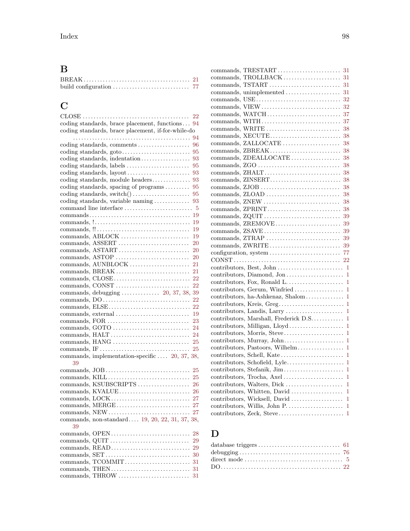# B

# C

|                                                                  | 22 |
|------------------------------------------------------------------|----|
| coding standards, brace placement, functions                     | 94 |
| coding standards, brace placement, if-for-while-do               |    |
|                                                                  | 94 |
| coding standards, comments                                       | 96 |
|                                                                  | 95 |
| coding standards, indentation                                    | 93 |
| coding standards, labels                                         | 95 |
| coding standards, layout                                         | 93 |
| coding standards, module headers                                 | 93 |
| coding standards, spacing of programs                            | 95 |
|                                                                  | 95 |
| coding standards, variable naming                                | 93 |
| command line interface                                           | 5  |
|                                                                  | 19 |
|                                                                  | 19 |
|                                                                  | 19 |
| commands, ABLOCK                                                 | 19 |
| commands, ASSERT                                                 | 20 |
| commands, ASTART                                                 | 20 |
| commands, ASTOP                                                  | 20 |
| commands, AUNBLOCK                                               | 21 |
| commands, BREAK                                                  | 21 |
| commands, CLOSE                                                  | 22 |
| commands, CONST                                                  | 22 |
|                                                                  | 39 |
|                                                                  | 22 |
| commands, ELSE                                                   | 22 |
| commands, external                                               | 19 |
| commands, FOR                                                    | 23 |
| $commands, GOTO \dots \dots \dots \dots \dots \dots \dots \dots$ | 24 |
| commands, HALT                                                   | 24 |
| commands, HANG                                                   | 25 |
|                                                                  | 25 |
| commands, implementation-specific  20, 37, 38,                   |    |
| 39                                                               |    |
| commands, JOB                                                    | 25 |
| commands, KILL                                                   | 25 |
| commands, KSUBSCRIPTS                                            | 26 |
| commands, KVALUE                                                 | 26 |
| commands, LOCK                                                   | 27 |
| commands, MERGE                                                  | 27 |
| commands, NEW                                                    | 27 |
| commands, non-standard 19, 20, 22, 31, 37, 38,                   |    |
| 39                                                               |    |
|                                                                  | 28 |
|                                                                  | 29 |
| commands, READ                                                   | 29 |
| commands, SET                                                    | 30 |
| commands, TCOMMIT                                                | 31 |
| commands, THEN                                                   | 31 |
|                                                                  |    |
|                                                                  |    |

| commands, TRESTART                                                                                 | 31             |
|----------------------------------------------------------------------------------------------------|----------------|
| commands, TROLLBACK                                                                                | 31             |
| commands, TSTART                                                                                   | 31             |
| commands, unimplemented                                                                            | 31             |
|                                                                                                    | 32             |
| commands, VIEW                                                                                     | 32             |
| commands, WATCH                                                                                    | 37             |
| commands, WITH                                                                                     | 37             |
| commands, WRITE                                                                                    | 38             |
| commands, XECUTE                                                                                   | 38             |
| commands, ZALLOCATE                                                                                | 38             |
| commands, ZBREAK                                                                                   | 38             |
| commands, ZDEALLOCATE                                                                              | 38             |
|                                                                                                    | 38             |
| commands, ZHALT                                                                                    | 38             |
| commands, ZINSERT                                                                                  | 38             |
|                                                                                                    | 38             |
| commands, ZLOAD                                                                                    | 38             |
| commands, ZNEW                                                                                     | 38             |
| commands, ZPRINT                                                                                   | 38             |
| commands, ZQUIT                                                                                    | 39             |
| commands, ZREMOVE                                                                                  | 39             |
| commands, ZSAVE                                                                                    | 39             |
| commands, ZTRAP                                                                                    | 39             |
| commands, ZWRITE                                                                                   | 39             |
|                                                                                                    | 77             |
| $\text{CONST} \dots \dots \dots \dots \dots \dots \dots \dots \dots \dots \dots \dots \dots \dots$ | 22             |
|                                                                                                    | 1              |
| contributors, Diamond, Jon                                                                         | 1              |
|                                                                                                    | $\mathbf{1}$   |
| contributors, Gerum, Winfried                                                                      | $\mathbf{1}$   |
| contributors, ha-Ashkenaz, Shalom                                                                  | $\mathbf{1}$   |
|                                                                                                    |                |
| contributors, Landis, Larry                                                                        | 1              |
| contributors, Marshall, Frederick D.S.                                                             | 1              |
| contributors, Milligan, Lloyd                                                                      | 1              |
| contributors, Morris, Steve                                                                        | 1              |
| contributors, Murray, John                                                                         | 1              |
| contributors, Pastoors, Wilhelm                                                                    | $\mathbf{1}$   |
| contributors, Schell, Kate                                                                         | 1              |
| contributors, Schofield, Lyle                                                                      | 1              |
| contributors, Stefanik, Jim                                                                        | 1              |
| contributors, Trocha, Axel                                                                         | $\mathbf{1}$   |
| contributors, Walters, Dick                                                                        | 1              |
| contributors, Whitten, David                                                                       | 1              |
| contributors, Wicksell, David                                                                      | $\mathbf{1}$   |
|                                                                                                    | $\mathbf{1}$   |
| contributors, Zeck, Steve                                                                          | $\overline{1}$ |
|                                                                                                    |                |

## D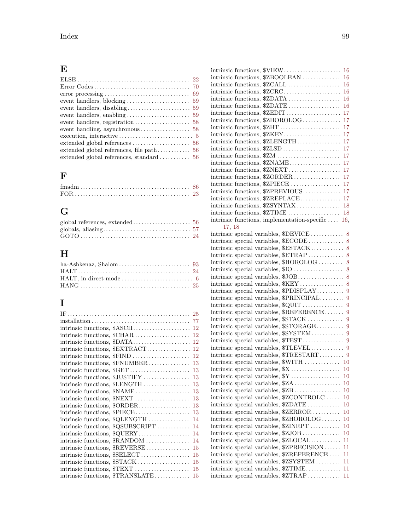## E

| event handling, asynchronous $\dots\dots\dots\dots\dots \dots$ 58 |
|-------------------------------------------------------------------|
|                                                                   |
|                                                                   |
|                                                                   |
|                                                                   |

# F

# G

# H

## I

| intrinsic functions, \$CHAR<br>12                      |
|--------------------------------------------------------|
|                                                        |
| intrinsic functions, \$EXTRACT<br>12                   |
| intrinsic functions, \$FIND<br>12                      |
| intrinsic functions, \$FNUMBER<br>13                   |
| intrinsic functions, \$GET<br>13                       |
| intrinsic functions, \$JUSTIFY<br>13                   |
| intrinsic functions, \$LENGTH<br>13                    |
| intrinsic functions, $NAME$<br>13                      |
| intrinsic functions, $\text{SNEXT}$<br>13              |
| intrinsic functions, $\text{\textsterling}ORDER$<br>13 |
| intrinsic functions, \$PIECE<br>13                     |
| intrinsic functions, \$QLENGTH<br>14                   |
| intrinsic functions, \$QSUBSCRIPT<br>14                |
| intrinsic functions, \$QUERY<br>14                     |
| intrinsic functions, \$RANDOM<br>14                    |
| intrinsic functions, \$REVERSE<br>15                   |
| intrinsic functions, \$SELECT<br>15                    |
| intrinsic functions, $STACK$<br>15                     |
| intrinsic functions, $TEXT$<br>15                      |
| intrinsic functions, $\text{$\text{TRANSLATE}}$<br>15  |

|                                                     | 16     |
|-----------------------------------------------------|--------|
| intrinsic functions, \$ZBOOLEAN                     | 16     |
| intrinsic functions, \$ZCALL                        | 16     |
| intrinsic functions, \$ZCRC                         | 16     |
| intrinsic functions, \$ZDATA                        | 16     |
| intrinsic functions, \$ZDATE                        | 16     |
| intrinsic functions, \$ZEDIT                        | 17     |
| intrinsic functions, \$ZHOROLOG                     | 17     |
| intrinsic functions, \$ZHT                          | 17     |
| intrinsic functions, \$ZKEY                         | 17     |
| intrinsic functions, \$ZLENGTH                      | 17     |
| intrinsic functions, \$ZLSD                         | 17     |
| intrinsic functions, \$ZM                           | 17     |
| intrinsic functions, \$ZNAME                        | 17     |
| intrinsic functions, \$ZNEXT                        | 17     |
| intrinsic functions, \$ZORDER                       | 17     |
| intrinsic functions, \$ZPIECE                       | 17     |
| intrinsic functions, \$ZPREVIOUS                    | 17     |
| intrinsic functions, \$ZREPLACE                     | 17     |
| intrinsic functions, \$ZSYNTAX                      | 18     |
| intrinsic functions, \$ZTIME                        | 18     |
| intrinsic functions, implementation-specific $16$ , |        |
| 17, 18                                              |        |
| intrinsic special variables, \$DEVICE               | 8      |
| intrinsic special variables, \$ECODE                | 8      |
| intrinsic special variables, \$ESTACK 8             |        |
| intrinsic special variables, $ETRAP$                | 8      |
| intrinsic special variables, \$HOROLOG              | 8      |
| intrinsic special variables, \$10                   | 8      |
| intrinsic special variables, \$JOB                  | 8      |
| intrinsic special variables, \$KEY                  | 8      |
| intrinsic special variables, \$PDISPLAY             | 9      |
| intrinsic special variables, \$PRINCIPAL            | 9      |
| intrinsic special variables, \$QUIT                 | 9      |
| intrinsic special variables, \$REFERENCE            | 9      |
| intrinsic special variables, \$STACK                | 9      |
| intrinsic special variables, $$STORAGE$             | 9      |
|                                                     |        |
|                                                     |        |
| intrinsic special variables, \$TLEVEL               | 9      |
| intrinsic special variables, \$TRESTART 9           |        |
| intrinsic special variables, \$WITH  10             |        |
| intrinsic special variables, \$X                    | 10     |
| intrinsic special variables, \$Y                    | 10     |
| intrinsic special variables, \$ZA                   | $10\,$ |
| intrinsic special variables, \$ZB                   | 10     |
| intrinsic special variables, \$ZCONTROLC            | $10\,$ |
| intrinsic special variables, \$ZDATE                | $10\,$ |
| intrinsic special variables, \$ZERROR               | $10\,$ |
| intrinsic special variables, \$ZHOROLOG             | $10\,$ |
| intrinsic special variables, \$ZINRPT               | $10\,$ |
| intrinsic special variables, \$ZJOB                 | $10\,$ |
| intrinsic special variables, \$ZLOCAL               | 11     |
| intrinsic special variables, \$ZPRECISION           | 11     |
| intrinsic special variables, \$ZREFERENCE           | 11     |
| intrinsic special variables, \$ZSYSTEM              | 11     |
| intrinsic special variables, \$ZTIME                | 11     |
| intrinsic special variables, \$ZTRAP                | 11     |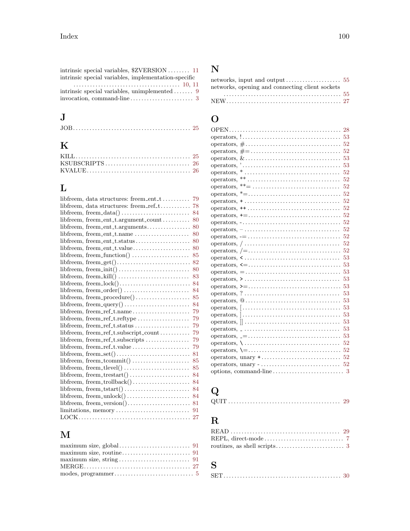### J

|--|--|--|--|

## K

### L

| libfreem, data structures: freem_ent_t                                   | 79 |
|--------------------------------------------------------------------------|----|
| libfreem, data structures: freem_ref_t                                   | 78 |
|                                                                          | 84 |
| $libfreem, freement_t. argument_count \ldots \ldots$                     | 80 |
| libfreem, freem_ent_t.arguments                                          | 80 |
| libfreem, freem_ent_t.name                                               | 80 |
| libfreem, freem_ent_t.status                                             | 80 |
| libfreem, freem_ent_t.value                                              | 80 |
| libfreem, freem_function() $\dots\dots\dots\dots\dots\dots$              | 85 |
|                                                                          | 82 |
|                                                                          | 80 |
|                                                                          | 83 |
|                                                                          | 84 |
|                                                                          | 84 |
|                                                                          | 85 |
|                                                                          | 84 |
| libfreem, freem_ref_t.name                                               | 79 |
| libfreem, freem_ref_t.reftype                                            | 79 |
| libfreem, freem_ref_t.status                                             | 79 |
| $libfreem, freem_ref_t.subscript_count \ldots \ldots$                    | 79 |
| libfreem, freem_ref_t.subscripts                                         | 79 |
|                                                                          | 79 |
| $libfreem, freem_set() \ldots \ldots \ldots \ldots \ldots \ldots \ldots$ | 81 |
|                                                                          | 85 |
| libfreem, freem_tlevel()                                                 | 85 |
| $libfreem, freem_trestart() \dots \dots \dots \dots \dots \dots$         | 84 |
|                                                                          | 84 |
|                                                                          | 84 |
| $libfreem, freem\_unlock() \dots \dots \dots \dots \dots \dots$          | 84 |
| $libfreem, freem\_version() \dots \dots \dots \dots \dots \dots \dots$   | 81 |
| limitations, memory                                                      | 91 |
|                                                                          | 27 |
|                                                                          |    |

### M

| $maximum size, string \ldots \ldots \ldots \ldots \ldots \ldots \ldots \ldots \ldots 91$ |  |
|------------------------------------------------------------------------------------------|--|
|                                                                                          |  |
|                                                                                          |  |

#### N

| networks, opening and connecting client sockets |  |
|-------------------------------------------------|--|
|                                                 |  |
|                                                 |  |

### O

| 28                                                                                                              |
|-----------------------------------------------------------------------------------------------------------------|
|                                                                                                                 |
| 52                                                                                                              |
| 52<br>operators, $\# = \dots \dots \dots \dots \dots \dots \dots \dots \dots \dots$                             |
| 53                                                                                                              |
| $operators, ' \dots \dots \dots \dots \dots \dots \dots \dots \dots \dots \dots$<br>53                          |
| 52                                                                                                              |
| 52                                                                                                              |
| 52                                                                                                              |
| operators, $* = \ldots, \ldots, \ldots, \ldots, \ldots, \ldots, \ldots, \ldots, \ldots$<br>52                   |
| 52<br>$operators, + \ldots, \ldots, \ldots, \ldots, \ldots, \ldots, \ldots, \ldots, \ldots,$                    |
| 52                                                                                                              |
| 52<br>$operators$ , $\ast = \dots \dots \dots \dots \dots \dots \dots \dots \dots \dots \dots \dots$            |
| 52<br>$operators, - \dots \dots \dots \dots \dots \dots \dots \dots \dots \dots \dots \dots$                    |
| 52                                                                                                              |
| 52<br>$operators, \, \cdot = \ldots \ldots \ldots \ldots \ldots \ldots \ldots \ldots \ldots \ldots$             |
| 52                                                                                                              |
| 52                                                                                                              |
| 53                                                                                                              |
| 53                                                                                                              |
| 53<br>$operators, = \ldots \ldots \ldots \ldots \ldots \ldots \ldots \ldots \ldots \ldots$                      |
| 53                                                                                                              |
| 53                                                                                                              |
| 53<br>operators, $? \dots \dots \dots \dots \dots \dots \dots \dots \dots \dots \dots$                          |
| 53<br>operators, $@ \ldots \ldots \ldots \ldots \ldots \ldots \ldots \ldots \ldots \ldots \ldots$               |
| 53                                                                                                              |
| 53<br>$operators$ , $\vert \ldots \ldots \ldots \ldots \ldots \ldots \ldots \ldots \ldots \ldots \ldots \ldots$ |
| 53<br>$\alpha$ operators, $\parallel \ldots \ldots \ldots \ldots \ldots \ldots \ldots \ldots \ldots$            |
| 53<br>$operators, \_ \ldots \ldots \ldots \ldots \ldots \ldots \ldots \ldots \ldots \ldots$                     |
| 53<br>$operators, \_ = \_ \dots \dots \dots \dots \dots \dots \dots \dots \dots \dots \dots$                    |
| 52<br>$operators, \setminus \ldots \ldots \ldots \ldots \ldots \ldots \ldots \ldots \ldots$                     |
| 52<br>operators, $\setminus = \ldots \ldots \ldots \ldots \ldots \ldots \ldots \ldots \ldots$                   |
| 52                                                                                                              |
| $operators, unary - \ldots \ldots \ldots \ldots \ldots \ldots \ldots \ldots$<br>52                              |
| options, command-line $\dots \dots \dots \dots \dots \dots \dots \dots$ 3                                       |

# Q

|--|--|--|--|

## R

#### S

|--|--|